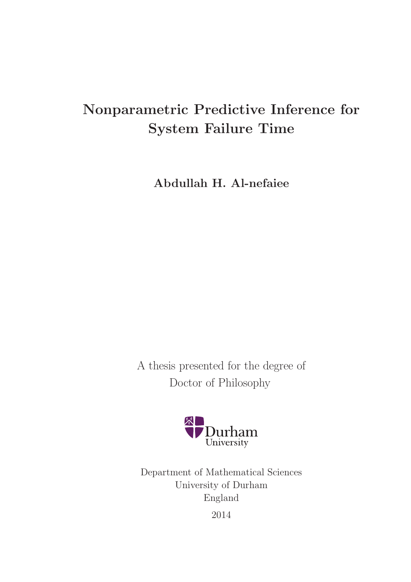# Nonparametric Predictive Inference for System Failure Time

Abdullah H. Al-nefaiee

A thesis presented for the degree of Doctor of Philosophy



Department of Mathematical Sciences University of Durham England 2014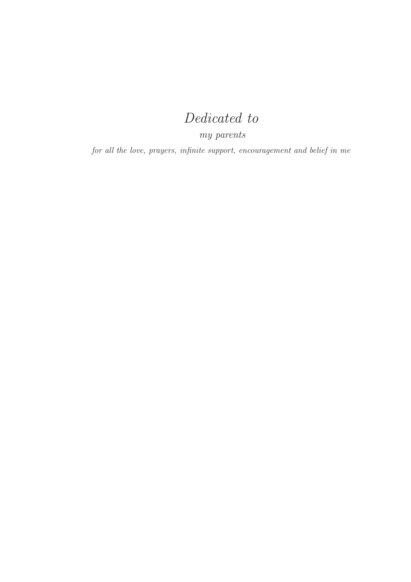# Dedicated to

my parents

for all the love, prayers, infinite support, encouragement and belief in me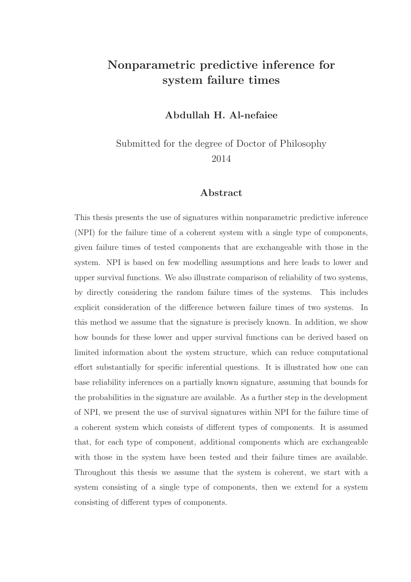### Nonparametric predictive inference for system failure times

#### Abdullah H. Al-nefaiee

Submitted for the degree of Doctor of Philosophy 2014

#### Abstract

This thesis presents the use of signatures within nonparametric predictive inference (NPI) for the failure time of a coherent system with a single type of components, given failure times of tested components that are exchangeable with those in the system. NPI is based on few modelling assumptions and here leads to lower and upper survival functions. We also illustrate comparison of reliability of two systems, by directly considering the random failure times of the systems. This includes explicit consideration of the difference between failure times of two systems. In this method we assume that the signature is precisely known. In addition, we show how bounds for these lower and upper survival functions can be derived based on limited information about the system structure, which can reduce computational effort substantially for specific inferential questions. It is illustrated how one can base reliability inferences on a partially known signature, assuming that bounds for the probabilities in the signature are available. As a further step in the development of NPI, we present the use of survival signatures within NPI for the failure time of a coherent system which consists of different types of components. It is assumed that, for each type of component, additional components which are exchangeable with those in the system have been tested and their failure times are available. Throughout this thesis we assume that the system is coherent, we start with a system consisting of a single type of components, then we extend for a system consisting of different types of components.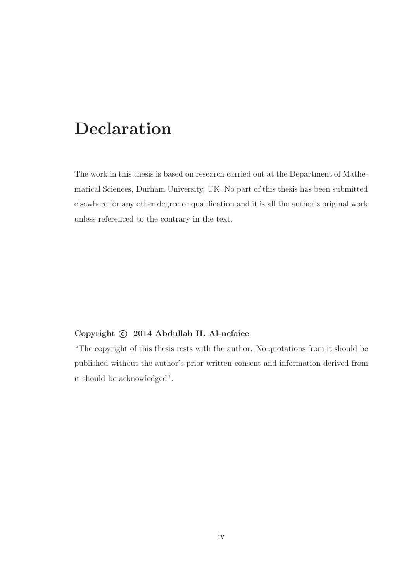# Declaration

The work in this thesis is based on research carried out at the Department of Mathematical Sciences, Durham University, UK. No part of this thesis has been submitted elsewhere for any other degree or qualification and it is all the author's original work unless referenced to the contrary in the text.

#### Copyright  $\odot$  2014 Abdullah H. Al-nefaiee.

"The copyright of this thesis rests with the author. No quotations from it should be published without the author's prior written consent and information derived from it should be acknowledged".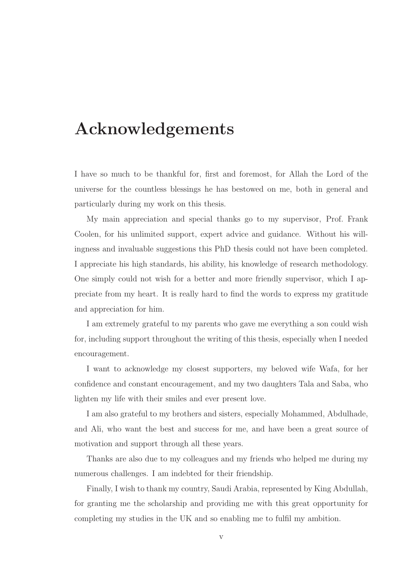# Acknowledgements

I have so much to be thankful for, first and foremost, for Allah the Lord of the universe for the countless blessings he has bestowed on me, both in general and particularly during my work on this thesis.

My main appreciation and special thanks go to my supervisor, Prof. Frank Coolen, for his unlimited support, expert advice and guidance. Without his willingness and invaluable suggestions this PhD thesis could not have been completed. I appreciate his high standards, his ability, his knowledge of research methodology. One simply could not wish for a better and more friendly supervisor, which I appreciate from my heart. It is really hard to find the words to express my gratitude and appreciation for him.

I am extremely grateful to my parents who gave me everything a son could wish for, including support throughout the writing of this thesis, especially when I needed encouragement.

I want to acknowledge my closest supporters, my beloved wife Wafa, for her confidence and constant encouragement, and my two daughters Tala and Saba, who lighten my life with their smiles and ever present love.

I am also grateful to my brothers and sisters, especially Mohammed, Abdulhade, and Ali, who want the best and success for me, and have been a great source of motivation and support through all these years.

Thanks are also due to my colleagues and my friends who helped me during my numerous challenges. I am indebted for their friendship.

Finally, I wish to thank my country, Saudi Arabia, represented by King Abdullah, for granting me the scholarship and providing me with this great opportunity for completing my studies in the UK and so enabling me to fulfil my ambition.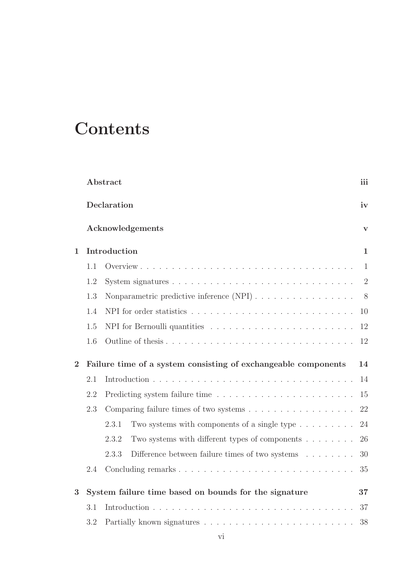# **Contents**

|                |     | Abstract                                                                           | iii            |
|----------------|-----|------------------------------------------------------------------------------------|----------------|
|                |     | Declaration                                                                        | iv             |
|                |     | Acknowledgements                                                                   | $\mathbf{V}$   |
| $\mathbf 1$    |     | Introduction                                                                       | $\mathbf{1}$   |
|                | 1.1 |                                                                                    | 1              |
|                | 1.2 |                                                                                    | $\overline{2}$ |
|                | 1.3 |                                                                                    | 8              |
|                | 1.4 |                                                                                    | 10             |
|                | 1.5 |                                                                                    | 12             |
|                | 1.6 | Outline of thesis                                                                  | 12             |
| $\overline{2}$ |     | Failure time of a system consisting of exchangeable components                     | 14             |
|                | 2.1 |                                                                                    | 14             |
|                | 2.2 |                                                                                    |                |
|                |     |                                                                                    | 15             |
|                | 2.3 | Comparing failure times of two systems $\ldots \ldots \ldots \ldots \ldots \ldots$ | 22             |
|                |     | 2.3.1<br>Two systems with components of a single type $\dots \dots$                | 24             |
|                |     | Two systems with different types of components $\dots \dots$<br>2.3.2              | 26             |
|                |     | Difference between failure times of two systems $\ldots \ldots$<br>2.3.3           | 30             |
|                | 2.4 |                                                                                    | 35             |
| 3              |     | System failure time based on bounds for the signature                              | 37             |
|                | 3.1 |                                                                                    | 37             |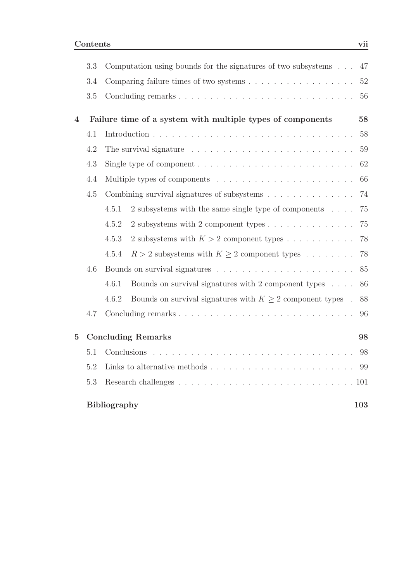|                | 3.3 | Computation using bounds for the signatures of two subsystems $\ldots$                 | 47  |  |  |  |  |  |  |  |
|----------------|-----|----------------------------------------------------------------------------------------|-----|--|--|--|--|--|--|--|
|                | 3.4 |                                                                                        | 52  |  |  |  |  |  |  |  |
|                | 3.5 |                                                                                        | 56  |  |  |  |  |  |  |  |
| 4              |     | Failure time of a system with multiple types of components                             | 58  |  |  |  |  |  |  |  |
|                | 4.1 |                                                                                        | 58  |  |  |  |  |  |  |  |
|                | 4.2 |                                                                                        | 59  |  |  |  |  |  |  |  |
|                | 4.3 | Single type of component $\ldots \ldots \ldots \ldots \ldots \ldots \ldots \ldots$     | 62  |  |  |  |  |  |  |  |
|                | 4.4 |                                                                                        | 66  |  |  |  |  |  |  |  |
|                | 4.5 | Combining survival signatures of subsystems                                            | 74  |  |  |  |  |  |  |  |
|                |     | 4.5.1<br>2 subsystems with the same single type of components $\dots$ .                | 75  |  |  |  |  |  |  |  |
|                |     | 4.5.2<br>2 subsystems with 2 component types                                           | 75  |  |  |  |  |  |  |  |
|                |     | 4.5.3<br>2 subsystems with $K > 2$ component types                                     | 78  |  |  |  |  |  |  |  |
|                |     | $R > 2$ subsystems with $K \ge 2$ component types<br>4.5.4                             | 78  |  |  |  |  |  |  |  |
|                | 4.6 |                                                                                        | 85  |  |  |  |  |  |  |  |
|                |     | 4.6.1<br>Bounds on survival signatures with 2 component types $\ldots$ .               | 86  |  |  |  |  |  |  |  |
|                |     | Bounds on survival signatures with $K \geq 2$ component types.<br>4.6.2                | 88  |  |  |  |  |  |  |  |
|                | 4.7 |                                                                                        | 96  |  |  |  |  |  |  |  |
| $\overline{5}$ |     | <b>Concluding Remarks</b>                                                              | 98  |  |  |  |  |  |  |  |
|                | 5.1 |                                                                                        | 98  |  |  |  |  |  |  |  |
|                | 5.2 | Links to alternative methods $\ldots \ldots \ldots \ldots \ldots \ldots \ldots \ldots$ | -99 |  |  |  |  |  |  |  |
|                | 5.3 |                                                                                        |     |  |  |  |  |  |  |  |
|                |     | <b>Bibliography</b>                                                                    | 103 |  |  |  |  |  |  |  |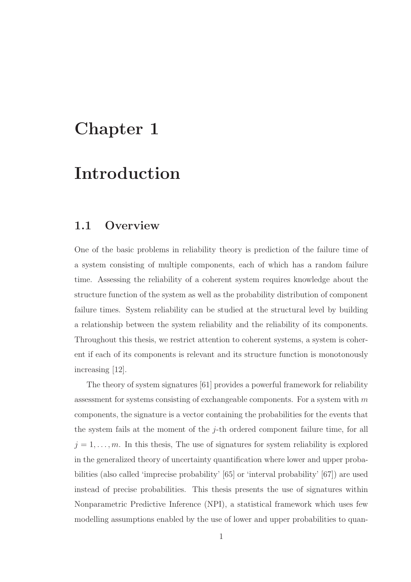# Chapter 1

# Introduction

### 1.1 Overview

One of the basic problems in reliability theory is prediction of the failure time of a system consisting of multiple components, each of which has a random failure time. Assessing the reliability of a coherent system requires knowledge about the structure function of the system as well as the probability distribution of component failure times. System reliability can be studied at the structural level by building a relationship between the system reliability and the reliability of its components. Throughout this thesis, we restrict attention to coherent systems, a system is coherent if each of its components is relevant and its structure function is monotonously increasing [12].

The theory of system signatures [61] provides a powerful framework for reliability assessment for systems consisting of exchangeable components. For a system with  $m$ components, the signature is a vector containing the probabilities for the events that the system fails at the moment of the  $j$ -th ordered component failure time, for all  $j = 1, \ldots, m$ . In this thesis, The use of signatures for system reliability is explored in the generalized theory of uncertainty quantification where lower and upper probabilities (also called 'imprecise probability' [65] or 'interval probability' [67]) are used instead of precise probabilities. This thesis presents the use of signatures within Nonparametric Predictive Inference (NPI), a statistical framework which uses few modelling assumptions enabled by the use of lower and upper probabilities to quan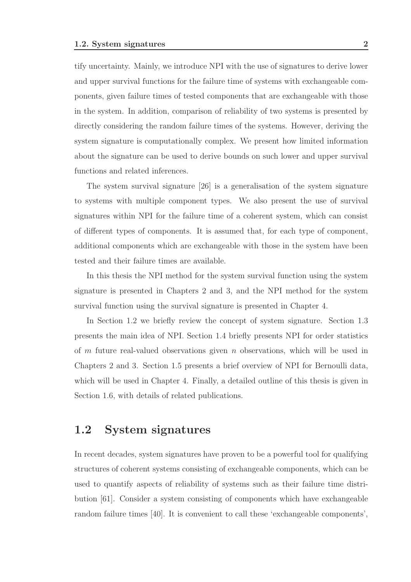tify uncertainty. Mainly, we introduce NPI with the use of signatures to derive lower and upper survival functions for the failure time of systems with exchangeable components, given failure times of tested components that are exchangeable with those in the system. In addition, comparison of reliability of two systems is presented by directly considering the random failure times of the systems. However, deriving the system signature is computationally complex. We present how limited information about the signature can be used to derive bounds on such lower and upper survival functions and related inferences.

The system survival signature [26] is a generalisation of the system signature to systems with multiple component types. We also present the use of survival signatures within NPI for the failure time of a coherent system, which can consist of different types of components. It is assumed that, for each type of component, additional components which are exchangeable with those in the system have been tested and their failure times are available.

In this thesis the NPI method for the system survival function using the system signature is presented in Chapters 2 and 3, and the NPI method for the system survival function using the survival signature is presented in Chapter 4.

In Section 1.2 we briefly review the concept of system signature. Section 1.3 presents the main idea of NPI. Section 1.4 briefly presents NPI for order statistics of  $m$  future real-valued observations given  $n$  observations, which will be used in Chapters 2 and 3. Section 1.5 presents a brief overview of NPI for Bernoulli data, which will be used in Chapter 4. Finally, a detailed outline of this thesis is given in Section 1.6, with details of related publications.

### 1.2 System signatures

In recent decades, system signatures have proven to be a powerful tool for qualifying structures of coherent systems consisting of exchangeable components, which can be used to quantify aspects of reliability of systems such as their failure time distribution [61]. Consider a system consisting of components which have exchangeable random failure times [40]. It is convenient to call these 'exchangeable components',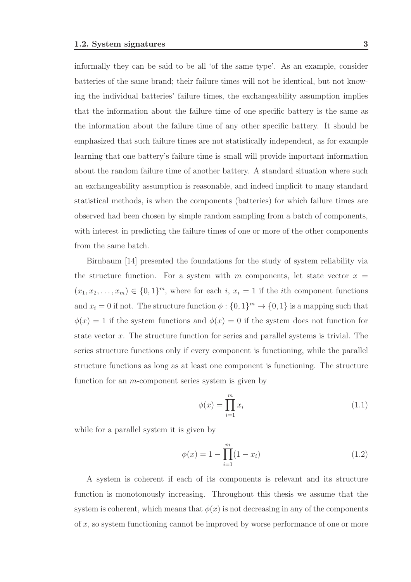informally they can be said to be all 'of the same type'. As an example, consider batteries of the same brand; their failure times will not be identical, but not knowing the individual batteries' failure times, the exchangeability assumption implies that the information about the failure time of one specific battery is the same as the information about the failure time of any other specific battery. It should be emphasized that such failure times are not statistically independent, as for example learning that one battery's failure time is small will provide important information about the random failure time of another battery. A standard situation where such an exchangeability assumption is reasonable, and indeed implicit to many standard statistical methods, is when the components (batteries) for which failure times are observed had been chosen by simple random sampling from a batch of components, with interest in predicting the failure times of one or more of the other components from the same batch.

Birnbaum [14] presented the foundations for the study of system reliability via the structure function. For a system with m components, let state vector  $x =$  $(x_1, x_2, \ldots, x_m) \in \{0, 1\}^m$ , where for each i,  $x_i = 1$  if the ith component functions and  $x_i = 0$  if not. The structure function  $\phi : \{0, 1\}^m \to \{0, 1\}$  is a mapping such that  $\phi(x) = 1$  if the system functions and  $\phi(x) = 0$  if the system does not function for state vector  $x$ . The structure function for series and parallel systems is trivial. The series structure functions only if every component is functioning, while the parallel structure functions as long as at least one component is functioning. The structure function for an  $m$ -component series system is given by

$$
\phi(x) = \prod_{i=1}^{m} x_i \tag{1.1}
$$

while for a parallel system it is given by

$$
\phi(x) = 1 - \prod_{i=1}^{m} (1 - x_i)
$$
\n(1.2)

A system is coherent if each of its components is relevant and its structure function is monotonously increasing. Throughout this thesis we assume that the system is coherent, which means that  $\phi(x)$  is not decreasing in any of the components of x, so system functioning cannot be improved by worse performance of one or more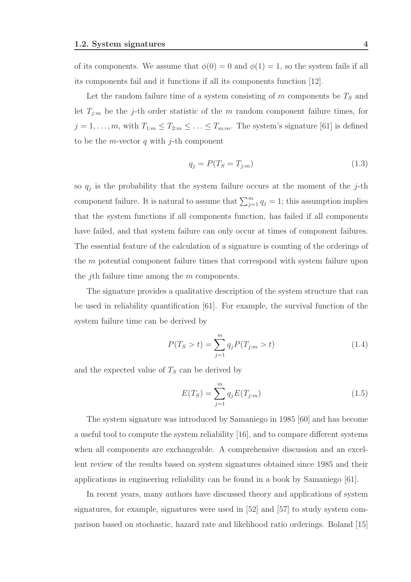of its components. We assume that  $\phi(0) = 0$  and  $\phi(1) = 1$ , so the system fails if all its components fail and it functions if all its components function [12].

Let the random failure time of a system consisting of  $m$  components be  $T<sub>S</sub>$  and let  $T_{j,m}$  be the j-th order statistic of the m random component failure times, for  $j = 1, \ldots, m$ , with  $T_{1:m} \leq T_{2:m} \leq \ldots \leq T_{m:m}$ . The system's signature [61] is defined to be the *m*-vector  $q$  with  $j$ -th component

$$
q_j = P(T_S = T_{j:m})\tag{1.3}
$$

so  $q_j$  is the probability that the system failure occurs at the moment of the j-th component failure. It is natural to assume that  $\sum_{j=1}^{m} q_j = 1$ ; this assumption implies that the system functions if all components function, has failed if all components have failed, and that system failure can only occur at times of component failures. The essential feature of the calculation of a signature is counting of the orderings of the m potential component failure times that correspond with system failure upon the jth failure time among the m components.

The signature provides a qualitative description of the system structure that can be used in reliability quantification [61]. For example, the survival function of the system failure time can be derived by

$$
P(T_S > t) = \sum_{j=1}^{m} q_j P(T_{j:m} > t)
$$
\n(1.4)

and the expected value of  $T<sub>S</sub>$  can be derived by

$$
E(T_S) = \sum_{j=1}^{m} q_j E(T_{j:m})
$$
\n(1.5)

The system signature was introduced by Samaniego in 1985 [60] and has become a useful tool to compute the system reliability [16], and to compare different systems when all components are exchangeable. A comprehensive discussion and an excellent review of the results based on system signatures obtained since 1985 and their applications in engineering reliability can be found in a book by Samaniego [61].

In recent years, many authors have discussed theory and applications of system signatures, for example, signatures were used in [52] and [57] to study system comparison based on stochastic, hazard rate and likelihood ratio orderings. Boland [15]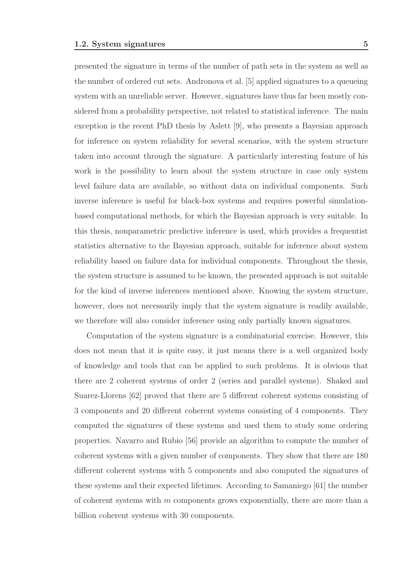presented the signature in terms of the number of path sets in the system as well as the number of ordered cut sets. Andronova et al. [5] applied signatures to a queueing system with an unreliable server. However, signatures have thus far been mostly considered from a probability perspective, not related to statistical inference. The main exception is the recent PhD thesis by Aslett [9], who presents a Bayesian approach for inference on system reliability for several scenarios, with the system structure taken into account through the signature. A particularly interesting feature of his work is the possibility to learn about the system structure in case only system level failure data are available, so without data on individual components. Such inverse inference is useful for black-box systems and requires powerful simulation-

based computational methods, for which the Bayesian approach is very suitable. In this thesis, nonparametric predictive inference is used, which provides a frequentist statistics alternative to the Bayesian approach, suitable for inference about system reliability based on failure data for individual components. Throughout the thesis, the system structure is assumed to be known, the presented approach is not suitable for the kind of inverse inferences mentioned above. Knowing the system structure, however, does not necessarily imply that the system signature is readily available, we therefore will also consider inference using only partially known signatures.

Computation of the system signature is a combinatorial exercise. However, this does not mean that it is quite easy, it just means there is a well organized body of knowledge and tools that can be applied to such problems. It is obvious that there are 2 coherent systems of order 2 (series and parallel systems). Shaked and Suarez-Llorens [62] proved that there are 5 different coherent systems consisting of 3 components and 20 different coherent systems consisting of 4 components. They computed the signatures of these systems and used them to study some ordering properties. Navarro and Rubio [56] provide an algorithm to compute the number of coherent systems with a given number of components. They show that there are 180 different coherent systems with 5 components and also computed the signatures of these systems and their expected lifetimes. According to Samaniego [61] the number of coherent systems with  $m$  components grows exponentially, there are more than a billion coherent systems with 30 components.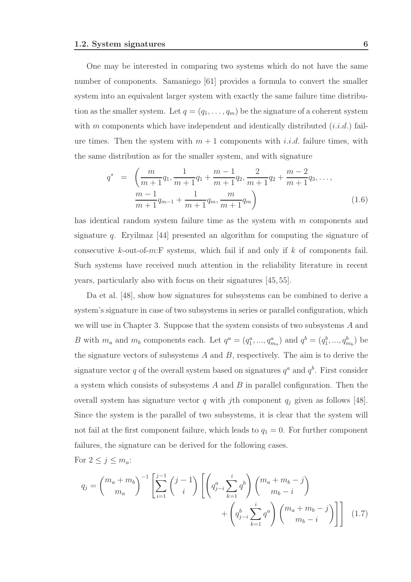One may be interested in comparing two systems which do not have the same number of components. Samaniego [61] provides a formula to convert the smaller system into an equivalent larger system with exactly the same failure time distribution as the smaller system. Let  $q = (q_1, \ldots, q_m)$  be the signature of a coherent system with  $m$  components which have independent and identically distributed  $(i.i.d.)$  failure times. Then the system with  $m + 1$  components with i.i.d. failure times, with the same distribution as for the smaller system, and with signature

$$
q^* = \left(\frac{m}{m+1}q_1, \frac{1}{m+1}q_1 + \frac{m-1}{m+1}q_2, \frac{2}{m+1}q_2 + \frac{m-2}{m+1}q_3, \dots, \frac{m-1}{m+1}q_{m-1} + \frac{1}{m+1}q_m, \frac{m}{m+1}q_m\right)
$$
(1.6)

has identical random system failure time as the system with m components and signature  $q$ . Eryilmaz [44] presented an algorithm for computing the signature of consecutive  $k$ -out-of-m:F systems, which fail if and only if  $k$  of components fail. Such systems have received much attention in the reliability literature in recent years, particularly also with focus on their signatures [45, 55].

Da et al. [48], show how signatures for subsystems can be combined to derive a system's signature in case of two subsystems in series or parallel configuration, which we will use in Chapter 3. Suppose that the system consists of two subsystems A and B with  $m_a$  and  $m_b$  components each. Let  $q^a = (q_1^a, ..., q_{m_a}^a)$  and  $q^b = (q_1^b, ..., q_{m_b}^b)$  be the signature vectors of subsystems  $A$  and  $B$ , respectively. The aim is to derive the signature vector q of the overall system based on signatures  $q^a$  and  $q^b$ . First consider a system which consists of subsystems  $A$  and  $B$  in parallel configuration. Then the overall system has signature vector  $q$  with jth component  $q_j$  given as follows [48]. Since the system is the parallel of two subsystems, it is clear that the system will not fail at the first component failure, which leads to  $q_1 = 0$ . For further component failures, the signature can be derived for the following cases.

For  $2 \leq j \leq m_a$ :

$$
q_{j} = {m_{a} + m_{b} \choose m_{a}}^{-1} \left[ \sum_{i=1}^{j-1} {j-1 \choose i} \left[ \left( q_{j-i}^{a} \sum_{k=1}^{i} q^{b} \right) {m_{a} + m_{b} - j \choose m_{b} - i} + \left( q_{j-i}^{b} \sum_{k=1}^{i} q^{a} \right) {m_{a} + m_{b} - j \choose m_{b} - i} \right] \right]
$$
(1.7)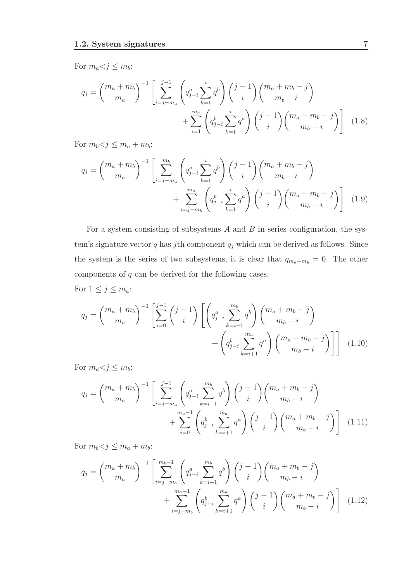For  $m_a < j \leq m_b$ :

$$
q_{j} = {m_{a} + m_{b} \choose m_{a}}^{-1} \left[ \sum_{i=j-m_{a}}^{j-1} {q_{j-i}^{a} \sum_{k=1}^{i} q^{b} \choose j-i} {j-1 \choose i} {m_{a} + m_{b} - j \choose m_{b} - i} + \sum_{i=1}^{m_{a}} {q_{j-i}^{b} \sum_{k=1}^{i} q^{a} \choose j-i} {j-1 \choose i} {m_{a} + m_{b} - j \choose m_{b} - i} \right]
$$
(1.8)

For  $m_b < j \leq m_a + m_b$ :

$$
q_{j} = {m_{a} + m_{b} \choose m_{a}}^{-1} \left[ \sum_{i=j-m_{a}}^{m_{b}} \left( q_{j-i}^{a} \sum_{k=1}^{i} q^{b} \right) {j-1 \choose i} {m_{a} + m_{b} - j \choose m_{b} - i} + \sum_{i=j-m_{b}}^{m_{a}} \left( q_{j-i}^{b} \sum_{k=1}^{i} q^{a} \right) {j-1 \choose i} {m_{a} + m_{b} - j \choose m_{b} - i} \right]
$$
(1.9)

For a system consisting of subsystems  $A$  and  $B$  in series configuration, the system's signature vector  $q$  has jth component  $q_j$  which can be derived as follows. Since the system is the series of two subsystems, it is clear that  $q_{m_a+m_b} = 0$ . The other components of  $q$  can be derived for the following cases.

For  $1 \leq j \leq m_a$ :

$$
q_{j} = {m_{a} + m_{b} \choose m_{a}}^{-1} \left[ \sum_{i=0}^{j-1} {j-1 \choose i} \left[ \left( q_{j-i}^{a} \sum_{k=i+1}^{m_{b}} q^{b} \right) {m_{a} + m_{b} - j \choose m_{b} - i} + \left( q_{j-i}^{b} \sum_{k=i+1}^{m_{a}} q^{a} \right) {m_{a} + m_{b} - j \choose m_{b} - i} \right] \right]
$$
(1.10)

For  $m_a < j \leq m_b$ :

$$
q_{j} = {m_{a} + m_{b} \choose m_{a}}^{-1} \left[ \sum_{i=j-m_{a}}^{j-1} \left( q_{j-i}^{a} \sum_{k=i+1}^{m_{b}} q^{b} \right) {j-1 \choose i} {m_{a} + m_{b} - j \choose m_{b} - i} + \sum_{i=0}^{m_{a}-1} \left( q_{j-i}^{b} \sum_{k=i+1}^{m_{a}} q^{a} \right) {j-1 \choose i} {m_{a} + m_{b} - j \choose m_{b} - i} \right]
$$
(1.11)

For  $m_b < j \leq m_a + m_b$ :

$$
q_{j} = {m_{a} + m_{b} \choose m_{a}}^{-1} \left[ \sum_{i=j-m_{a}}^{m_{b}-1} \left( q_{j-i}^{a} \sum_{k=i+1}^{m_{b}} q^{b} \right) {j-1 \choose i} {m_{a} + m_{b} - j \choose m_{b} - i} + \sum_{i=j-m_{b}}^{m_{a}-1} \left( q_{j-i}^{b} \sum_{k=i+1}^{m_{a}} q^{a} \right) {j-1 \choose i} {m_{a} + m_{b} - j \choose m_{b} - i} \right]
$$
(1.12)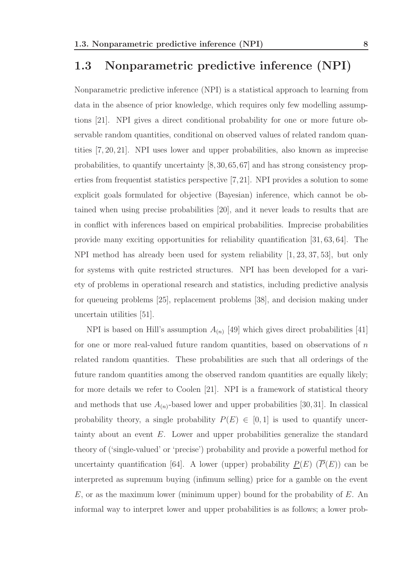### 1.3 Nonparametric predictive inference (NPI)

Nonparametric predictive inference (NPI) is a statistical approach to learning from data in the absence of prior knowledge, which requires only few modelling assumptions [21]. NPI gives a direct conditional probability for one or more future observable random quantities, conditional on observed values of related random quantities [7, 20, 21]. NPI uses lower and upper probabilities, also known as imprecise probabilities, to quantify uncertainty [8,30,65,67] and has strong consistency properties from frequentist statistics perspective [7,21]. NPI provides a solution to some explicit goals formulated for objective (Bayesian) inference, which cannot be obtained when using precise probabilities [20], and it never leads to results that are in conflict with inferences based on empirical probabilities. Imprecise probabilities provide many exciting opportunities for reliability quantification [31, 63, 64]. The NPI method has already been used for system reliability [1, 23, 37, 53], but only for systems with quite restricted structures. NPI has been developed for a variety of problems in operational research and statistics, including predictive analysis for queueing problems [25], replacement problems [38], and decision making under uncertain utilities [51].

NPI is based on Hill's assumption  $A_{(n)}$  [49] which gives direct probabilities [41] for one or more real-valued future random quantities, based on observations of  $n$ related random quantities. These probabilities are such that all orderings of the future random quantities among the observed random quantities are equally likely; for more details we refer to Coolen [21]. NPI is a framework of statistical theory and methods that use  $A_{(n)}$ -based lower and upper probabilities [30,31]. In classical probability theory, a single probability  $P(E) \in [0, 1]$  is used to quantify uncertainty about an event E. Lower and upper probabilities generalize the standard theory of ('single-valued' or 'precise') probability and provide a powerful method for uncertainty quantification [64]. A lower (upper) probability  $\underline{P}(E)$  ( $\overline{P}(E)$ ) can be interpreted as supremum buying (infimum selling) price for a gamble on the event  $E$ , or as the maximum lower (minimum upper) bound for the probability of  $E$ . An informal way to interpret lower and upper probabilities is as follows; a lower prob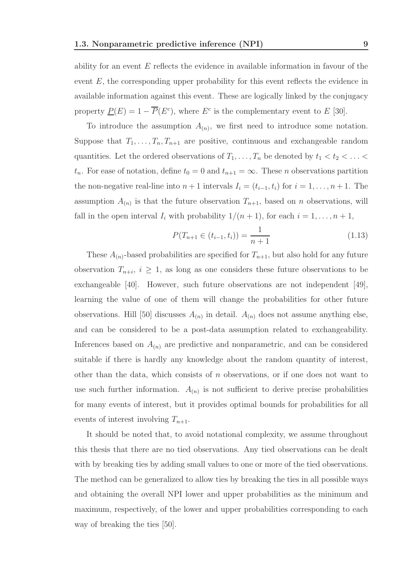ability for an event  $E$  reflects the evidence in available information in favour of the event  $E$ , the corresponding upper probability for this event reflects the evidence in available information against this event. These are logically linked by the conjugacy property  $\underline{P}(E) = 1 - \overline{P}(E^c)$ , where  $E^c$  is the complementary event to E [30].

To introduce the assumption  $A_{(n)}$ , we first need to introduce some notation. Suppose that  $T_1, \ldots, T_n, T_{n+1}$  are positive, continuous and exchangeable random quantities. Let the ordered observations of  $T_1, \ldots, T_n$  be denoted by  $t_1 < t_2 < \ldots <$  $t_n$ . For ease of notation, define  $t_0 = 0$  and  $t_{n+1} = \infty$ . These *n* observations partition the non-negative real-line into  $n+1$  intervals  $I_i = (t_{i-1}, t_i)$  for  $i = 1, \ldots, n+1$ . The assumption  $A_{(n)}$  is that the future observation  $T_{n+1}$ , based on n observations, will fall in the open interval  $I_i$  with probability  $1/(n+1)$ , for each  $i = 1, \ldots, n+1$ ,

$$
P(T_{n+1} \in (t_{i-1}, t_i)) = \frac{1}{n+1}
$$
\n(1.13)

These  $A_{(n)}$ -based probabilities are specified for  $T_{n+1}$ , but also hold for any future observation  $T_{n+i}$ ,  $i \geq 1$ , as long as one considers these future observations to be exchangeable [40]. However, such future observations are not independent [49], learning the value of one of them will change the probabilities for other future observations. Hill [50] discusses  $A_{(n)}$  in detail.  $A_{(n)}$  does not assume anything else, and can be considered to be a post-data assumption related to exchangeability. Inferences based on  $A_{(n)}$  are predictive and nonparametric, and can be considered suitable if there is hardly any knowledge about the random quantity of interest, other than the data, which consists of n observations, or if one does not want to use such further information.  $A_{(n)}$  is not sufficient to derive precise probabilities for many events of interest, but it provides optimal bounds for probabilities for all events of interest involving  $T_{n+1}$ .

It should be noted that, to avoid notational complexity, we assume throughout this thesis that there are no tied observations. Any tied observations can be dealt with by breaking ties by adding small values to one or more of the tied observations. The method can be generalized to allow ties by breaking the ties in all possible ways and obtaining the overall NPI lower and upper probabilities as the minimum and maximum, respectively, of the lower and upper probabilities corresponding to each way of breaking the ties [50].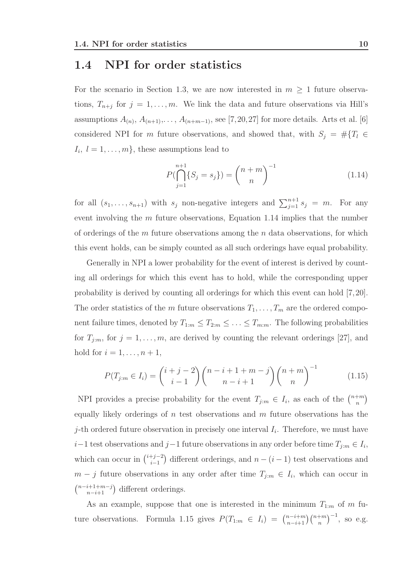### 1.4 NPI for order statistics

For the scenario in Section 1.3, we are now interested in  $m \geq 1$  future observations,  $T_{n+j}$  for  $j=1,\ldots,m$ . We link the data and future observations via Hill's assumptions  $A_{(n)}$ ,  $A_{(n+1)}, \ldots, A_{(n+m-1)}$ , see [7, 20, 27] for more details. Arts et al. [6] considered NPI for m future observations, and showed that, with  $S_j = #\{T_l \in$  $I_i, l = 1, \ldots, m$ , these assumptions lead to

$$
P(\bigcap_{j=1}^{n+1} \{S_j = s_j\}) = {n+m \choose n}^{-1}
$$
\n(1.14)

for all  $(s_1, \ldots, s_{n+1})$  with  $s_j$  non-negative integers and  $\sum_{j=1}^{n+1} s_j = m$ . For any event involving the  $m$  future observations, Equation 1.14 implies that the number of orderings of the  $m$  future observations among the  $n$  data observations, for which this event holds, can be simply counted as all such orderings have equal probability.

Generally in NPI a lower probability for the event of interest is derived by counting all orderings for which this event has to hold, while the corresponding upper probability is derived by counting all orderings for which this event can hold [7,20]. The order statistics of the m future observations  $T_1, \ldots, T_m$  are the ordered component failure times, denoted by  $T_{1:m} \leq T_{2:m} \leq \ldots \leq T_{m:m}$ . The following probabilities for  $T_{j:m}$ , for  $j = 1, \ldots, m$ , are derived by counting the relevant orderings [27], and hold for  $i = 1, \ldots, n + 1$ ,

$$
P(T_{j:m} \in I_i) = {i+j-2 \choose i-1} {n-i+1+m-j \choose n-i+1} {n+m \choose n}^{-1}
$$
(1.15)

NPI provides a precise probability for the event  $T_{j:m} \in I_i$ , as each of the  $\binom{n+m}{n}$  $\binom{m}{n}$ equally likely orderings of n test observations and  $m$  future observations has the *j*-th ordered future observation in precisely one interval  $I_i$ . Therefore, we must have  $i-1$  test observations and  $j-1$  future observations in any order before time  $T_{j:m} \in I_i$ , which can occur in  $\binom{i+j-2}{i-1}$  $\binom{+j-2}{i-1}$  different orderings, and  $n-(i-1)$  test observations and  $m - j$  future observations in any order after time  $T_{j:m} \in I_i$ , which can occur in  $\binom{n-i+1+m-j}{n-i+1}$  different orderings.

As an example, suppose that one is interested in the minimum  $T_{1:m}$  of m future observations. Formula 1.15 gives  $P(T_{1:m} \in I_i) = \binom{n-i+m}{n-i+1}$  $_{n-i+1}^{n-i+m}$  $\binom{n+m}{n}^{-1}$ , so e.g.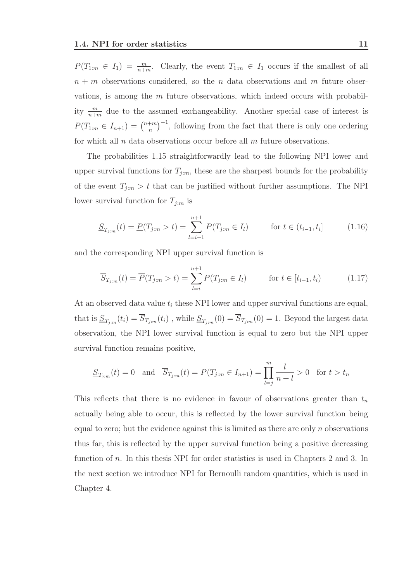$P(T_{1:m} \in I_1) = \frac{m}{n+m}$ . Clearly, the event  $T_{1:m} \in I_1$  occurs if the smallest of all  $n + m$  observations considered, so the n data observations and m future observations, is among the  $m$  future observations, which indeed occurs with probability  $\frac{m}{n+m}$  due to the assumed exchangeability. Another special case of interest is  $P(T_{1:m} \in I_{n+1}) = \binom{n+m}{n}$  $\binom{+m}{n}$ <sup>-1</sup>, following from the fact that there is only one ordering for which all n data observations occur before all  $m$  future observations.

The probabilities 1.15 straightforwardly lead to the following NPI lower and upper survival functions for  $T_{j:m}$ , these are the sharpest bounds for the probability of the event  $T_{j:m} > t$  that can be justified without further assumptions. The NPI lower survival function for  $T_{j:m}$  is

$$
\underline{S}_{T_{j:m}}(t) = \underline{P}(T_{j:m} > t) = \sum_{l=i+1}^{n+1} P(T_{j:m} \in I_l) \quad \text{for } t \in (t_{i-1}, t_i]
$$
 (1.16)

and the corresponding NPI upper survival function is

$$
\overline{S}_{T_{j:m}}(t) = \overline{P}(T_{j:m} > t) = \sum_{l=i}^{n+1} P(T_{j:m} \in I_l) \quad \text{for } t \in [t_{i-1}, t_i)
$$
 (1.17)

At an observed data value  $t_i$  these NPI lower and upper survival functions are equal, that is  $\underline{S}_{T_{j:m}}(t_i) = S_{T_{j:m}}(t_i)$ , while  $\underline{S}_{T_{j:m}}(0) = S_{T_{j:m}}(0) = 1$ . Beyond the largest data observation, the NPI lower survival function is equal to zero but the NPI upper survival function remains positive,

$$
\underline{S}_{T_{j:m}}(t) = 0 \text{ and } \overline{S}_{T_{j:m}}(t) = P(T_{j:m} \in I_{n+1}) = \prod_{l=j}^{m} \frac{l}{n+l} > 0 \text{ for } t > t_n
$$

This reflects that there is no evidence in favour of observations greater than  $t_n$ actually being able to occur, this is reflected by the lower survival function being equal to zero; but the evidence against this is limited as there are only  $n$  observations thus far, this is reflected by the upper survival function being a positive decreasing function of n. In this thesis NPI for order statistics is used in Chapters 2 and 3. In the next section we introduce NPI for Bernoulli random quantities, which is used in Chapter 4.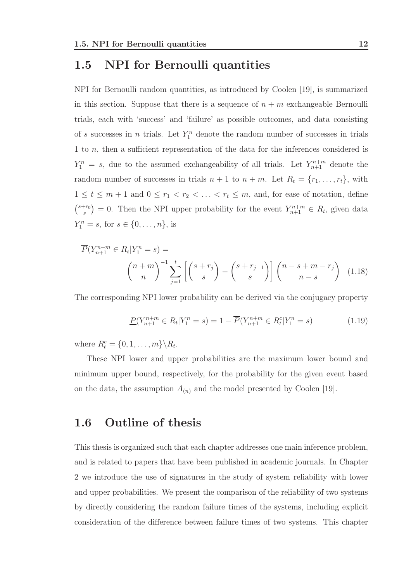### 1.5 NPI for Bernoulli quantities

NPI for Bernoulli random quantities, as introduced by Coolen [19], is summarized in this section. Suppose that there is a sequence of  $n + m$  exchangeable Bernoulli trials, each with 'success' and 'failure' as possible outcomes, and data consisting of s successes in n trials. Let  $Y_1^n$  denote the random number of successes in trials 1 to n, then a sufficient representation of the data for the inferences considered is  $Y_1^n = s$ , due to the assumed exchangeability of all trials. Let  $Y_{n+1}^{n+m}$  denote the random number of successes in trials  $n + 1$  to  $n + m$ . Let  $R_t = \{r_1, \ldots, r_t\}$ , with  $1 \leq t \leq m+1$  and  $0 \leq r_1 < r_2 < \ldots < r_t \leq m$ , and, for ease of notation, define  $\binom{s+r_0}{s}$  $s^{(r_0)}$  = 0. Then the NPI upper probability for the event  $Y^{n+m}_{n+1} \in R_t$ , given data  $Y_1^n = s$ , for  $s \in \{0, ..., n\}$ , is

$$
\overline{P}(Y_{n+1}^{n+m} \in R_t | Y_1^n = s) =
$$
\n
$$
\binom{n+m}{n}^{-1} \sum_{j=1}^t \left[ \binom{s+r_j}{s} - \binom{s+r_{j-1}}{s} \right] \binom{n-s+m-r_j}{n-s} \quad (1.18)
$$

The corresponding NPI lower probability can be derived via the conjugacy property

$$
\underline{P}(Y_{n+1}^{n+m} \in R_t | Y_1^n = s) = 1 - \overline{P}(Y_{n+1}^{n+m} \in R_t^c | Y_1^n = s)
$$
\n(1.19)

where  $R_t^c = \{0, 1, \ldots, m\} \backslash R_t$ .

These NPI lower and upper probabilities are the maximum lower bound and minimum upper bound, respectively, for the probability for the given event based on the data, the assumption  $A_{(n)}$  and the model presented by Coolen [19].

### 1.6 Outline of thesis

This thesis is organized such that each chapter addresses one main inference problem, and is related to papers that have been published in academic journals. In Chapter 2 we introduce the use of signatures in the study of system reliability with lower and upper probabilities. We present the comparison of the reliability of two systems by directly considering the random failure times of the systems, including explicit consideration of the difference between failure times of two systems. This chapter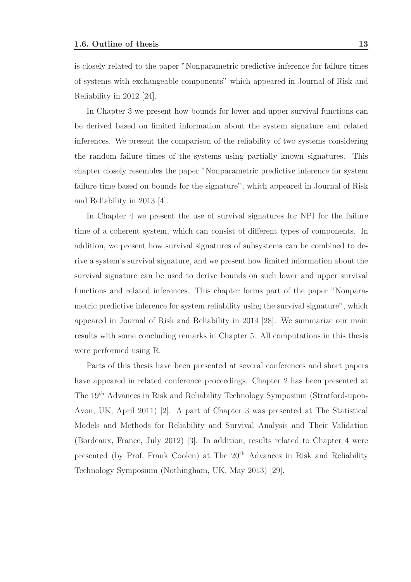is closely related to the paper "Nonparametric predictive inference for failure times of systems with exchangeable components" which appeared in Journal of Risk and Reliability in 2012 [24].

In Chapter 3 we present how bounds for lower and upper survival functions can be derived based on limited information about the system signature and related inferences. We present the comparison of the reliability of two systems considering the random failure times of the systems using partially known signatures. This chapter closely resembles the paper "Nonparametric predictive inference for system failure time based on bounds for the signature", which appeared in Journal of Risk and Reliability in 2013 [4].

In Chapter 4 we present the use of survival signatures for NPI for the failure time of a coherent system, which can consist of different types of components. In addition, we present how survival signatures of subsystems can be combined to derive a system's survival signature, and we present how limited information about the survival signature can be used to derive bounds on such lower and upper survival functions and related inferences. This chapter forms part of the paper "Nonparametric predictive inference for system reliability using the survival signature", which appeared in Journal of Risk and Reliability in 2014 [28]. We summarize our main results with some concluding remarks in Chapter 5. All computations in this thesis were performed using R.

Parts of this thesis have been presented at several conferences and short papers have appeared in related conference proceedings. Chapter 2 has been presented at The 19th Advances in Risk and Reliability Technology Symposium (Stratford-upon-Avon, UK, April 2011) [2]. A part of Chapter 3 was presented at The Statistical Models and Methods for Reliability and Survival Analysis and Their Validation (Bordeaux, France, July 2012) [3]. In addition, results related to Chapter 4 were presented (by Prof. Frank Coolen) at The 20th Advances in Risk and Reliability Technology Symposium (Nothingham, UK, May 2013) [29].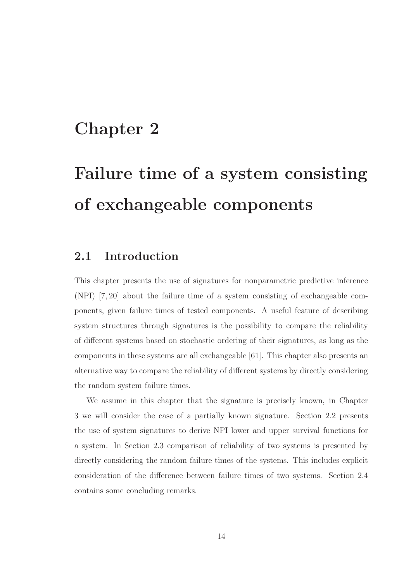# Chapter 2

# Failure time of a system consisting of exchangeable components

### 2.1 Introduction

This chapter presents the use of signatures for nonparametric predictive inference (NPI) [7, 20] about the failure time of a system consisting of exchangeable components, given failure times of tested components. A useful feature of describing system structures through signatures is the possibility to compare the reliability of different systems based on stochastic ordering of their signatures, as long as the components in these systems are all exchangeable [61]. This chapter also presents an alternative way to compare the reliability of different systems by directly considering the random system failure times.

We assume in this chapter that the signature is precisely known, in Chapter 3 we will consider the case of a partially known signature. Section 2.2 presents the use of system signatures to derive NPI lower and upper survival functions for a system. In Section 2.3 comparison of reliability of two systems is presented by directly considering the random failure times of the systems. This includes explicit consideration of the difference between failure times of two systems. Section 2.4 contains some concluding remarks.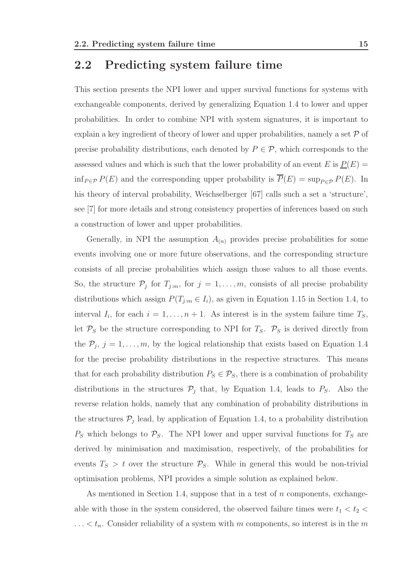#### 2.2 Predicting system failure time

This section presents the NPI lower and upper survival functions for systems with exchangeable components, derived by generalizing Equation 1.4 to lower and upper probabilities. In order to combine NPI with system signatures, it is important to explain a key ingredient of theory of lower and upper probabilities, namely a set  $\mathcal P$  of precise probability distributions, each denoted by  $P \in \mathcal{P}$ , which corresponds to the assessed values and which is such that the lower probability of an event E is  $P(E)$  =  $\inf_{P \in \mathcal{P}} P(E)$  and the corresponding upper probability is  $\overline{P}(E) = \sup_{P \in \mathcal{P}} P(E)$ . In his theory of interval probability, Weichselberger [67] calls such a set a 'structure', see [7] for more details and strong consistency properties of inferences based on such a construction of lower and upper probabilities.

Generally, in NPI the assumption  $A_{(n)}$  provides precise probabilities for some events involving one or more future observations, and the corresponding structure consists of all precise probabilities which assign those values to all those events. So, the structure  $\mathcal{P}_j$  for  $T_{j:m}$ , for  $j = 1, \ldots, m$ , consists of all precise probability distributions which assign  $P(T_{j:m} \in I_i)$ , as given in Equation 1.15 in Section 1.4, to interval  $I_i$ , for each  $i = 1, \ldots, n + 1$ . As interest is in the system failure time  $T_S$ , let  $P_S$  be the structure corresponding to NPI for  $T_S$ .  $P_S$  is derived directly from the  $P_j$ ,  $j = 1, \ldots, m$ , by the logical relationship that exists based on Equation 1.4 for the precise probability distributions in the respective structures. This means that for each probability distribution  $P_S \in \mathcal{P}_S$ , there is a combination of probability distributions in the structures  $P_j$  that, by Equation 1.4, leads to  $P_S$ . Also the reverse relation holds, namely that any combination of probability distributions in the structures  $P_j$  lead, by application of Equation 1.4, to a probability distribution  $P<sub>S</sub>$  which belongs to  $P<sub>S</sub>$ . The NPI lower and upper survival functions for  $T<sub>S</sub>$  are derived by minimisation and maximisation, respectively, of the probabilities for events  $T_S > t$  over the structure  $P_S$ . While in general this would be non-trivial optimisation problems, NPI provides a simple solution as explained below.

As mentioned in Section 1.4, suppose that in a test of  $n$  components, exchangeable with those in the system considered, the observed failure times were  $t_1 < t_2 <$  $\ldots < t_n$ . Consider reliability of a system with m components, so interest is in the m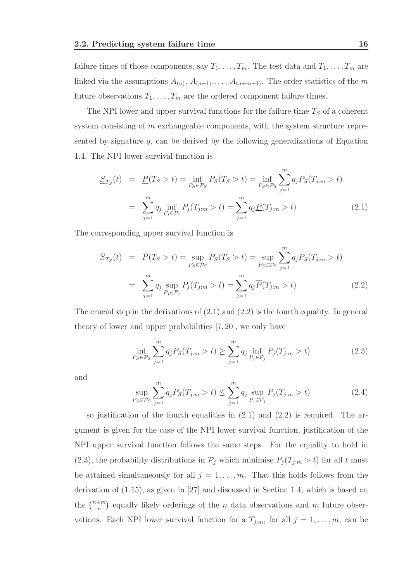failure times of those components, say  $T_1, \ldots, T_m$ . The test data and  $T_1, \ldots, T_m$  are linked via the assumptions  $A_{(n)}$ ,  $A_{(n+1)}$ ,...,  $A_{(n+m-1)}$ . The order statistics of the m future observations  $T_1, \ldots, T_m$  are the ordered component failure times.

The NPI lower and upper survival functions for the failure time  $T<sub>S</sub>$  of a coherent system consisting of m exchangeable components, with the system structure represented by signature  $q$ , can be derived by the following generalizations of Equation 1.4. The NPI lower survival function is

$$
\underline{S}_{T_S}(t) = \underline{P}(T_S > t) = \inf_{P_S \in \mathcal{P}_S} P_S(T_S > t) = \inf_{P_S \in \mathcal{P}_S} \sum_{j=1}^m q_j P_S(T_{j:m} > t)
$$

$$
= \sum_{j=1}^m q_j \inf_{P_j \in \mathcal{P}_j} P_j(T_{j:m} > t) = \sum_{j=1}^m q_j \underline{P}(T_{j:m} > t)
$$
(2.1)

The corresponding upper survival function is

$$
\overline{S}_{T_S}(t) = \overline{P}(T_S > t) = \sup_{P_S \in \mathcal{P}_S} P_S(T_S > t) = \sup_{P_S \in \mathcal{P}_S} \sum_{j=1}^m q_j P_S(T_{j:m} > t)
$$

$$
= \sum_{j=1}^m q_j \sup_{P_j \in \mathcal{P}_j} P_j(T_{j:m} > t) = \sum_{j=1}^m q_j \overline{P}(T_{j:m} > t)
$$
(2.2)

The crucial step in the derivations of  $(2.1)$  and  $(2.2)$  is the fourth equality. In general theory of lower and upper probabilities [7, 20], we only have

$$
\inf_{P_S \in \mathcal{P}_S} \sum_{j=1}^m q_j P_S(T_{j:m} > t) \ge \sum_{j=1}^m q_j \inf_{P_j \in \mathcal{P}_j} P_j(T_{j:m} > t)
$$
\n(2.3)

and

$$
\sup_{P_S \in \mathcal{P}_S} \sum_{j=1}^m q_j P_S(T_{j:m} > t) \le \sum_{j=1}^m q_j \sup_{P_j \in \mathcal{P}_j} P_j(T_{j:m} > t)
$$
\n(2.4)

so justification of the fourth equalities in  $(2.1)$  and  $(2.2)$  is required. The argument is given for the case of the NPI lower survival function, justification of the NPI upper survival function follows the same steps. For the equality to hold in (2.3), the probability distributions in  $\mathcal{P}_j$  which minimise  $P_j(T_{j:m} > t)$  for all t must be attained simultaneously for all  $j = 1, \ldots, m$ . That this holds follows from the derivation of (1.15), as given in [27] and discussed in Section 1.4, which is based on the  $\binom{n+m}{n}$  $\binom{+m}{n}$  equally likely orderings of the *n* data observations and *m* future observations. Each NPI lower survival function for a  $T_{j:m}$ , for all  $j = 1, \ldots, m$ , can be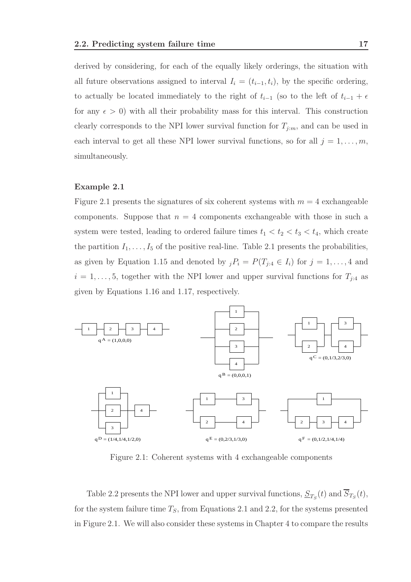derived by considering, for each of the equally likely orderings, the situation with all future observations assigned to interval  $I_i = (t_{i-1}, t_i)$ , by the specific ordering, to actually be located immediately to the right of  $t_{i-1}$  (so to the left of  $t_{i-1} + \epsilon$ for any  $\epsilon > 0$ ) with all their probability mass for this interval. This construction clearly corresponds to the NPI lower survival function for  $T_{j:m}$ , and can be used in each interval to get all these NPI lower survival functions, so for all  $j = 1, \ldots, m$ , simultaneously.

#### Example 2.1

Figure 2.1 presents the signatures of six coherent systems with  $m = 4$  exchangeable components. Suppose that  $n = 4$  components exchangeable with those in such a system were tested, leading to ordered failure times  $t_1 < t_2 < t_3 < t_4$ , which create the partition  $I_1, \ldots, I_5$  of the positive real-line. Table 2.1 presents the probabilities, as given by Equation 1.15 and denoted by  ${}_{j}P_{i} = P(T_{j:4} \in I_{i})$  for  $j = 1, ..., 4$  and  $i = 1, \ldots, 5$ , together with the NPI lower and upper survival functions for  $T_{j:4}$  as given by Equations 1.16 and 1.17, respectively.



Figure 2.1: Coherent systems with 4 exchangeable components

Table 2.2 presents the NPI lower and upper survival functions,  $\underline{S}_{T_S}(t)$  and  $S_{T_S}(t)$ , for the system failure time  $T<sub>S</sub>$ , from Equations 2.1 and 2.2, for the systems presented in Figure 2.1. We will also consider these systems in Chapter 4 to compare the results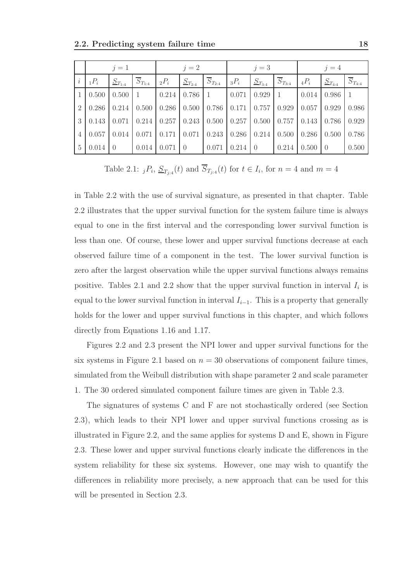|                           | $j=1$          |                          |                                                                                                                              | $j=2$          |                 |               | $j=3$                                                     |                   |         | $j=4$              |                          |
|---------------------------|----------------|--------------------------|------------------------------------------------------------------------------------------------------------------------------|----------------|-----------------|---------------|-----------------------------------------------------------|-------------------|---------|--------------------|--------------------------|
| $_1P_i$                   | $S_{T_{1:4}}$  | $\overline{S}_{T_{1:4}}$ | $_2P_i$                                                                                                                      | $S_{T_{2:4}}$  | $S_{T_{2:4}}$   | $_3P_i$       | $S_{T_{3:4}}$                                             | $S_{T_{3:4}}$     | $_4P_i$ | $S_{T_{4:4}}$      | $\overline{S}_{T_{4:4}}$ |
| $1 \mid 0.500$            | $0.500 \mid 1$ |                          | $\mid 0.214 \mid 0.786 \mid 1$                                                                                               |                |                 | $0.071$ 0.929 |                                                           | $\mathbf{1}$      |         | $0.014$ 0.986 1    |                          |
| 2   0.286   0.214   0.500 |                |                          |                                                                                                                              |                |                 |               | $0.286$   $0.500$   $0.786$   $0.171$   $0.757$   $0.929$ |                   | 0.057   | 0.929              | 0.986                    |
|                           |                |                          | $3 \mid 0.143 \mid 0.071 \mid 0.214 \mid 0.257 \mid 0.243 \mid 0.500 \mid 0.257 \mid 0.500 \mid 0.757 \mid 0.143 \mid 0.786$ |                |                 |               |                                                           |                   |         |                    | 0.929                    |
| $4 \mid 0.057$            | 0.014          |                          | $0.071$   $0.171$   $0.071$   $0.243$                                                                                        |                |                 |               | $\mid$ 0.286   0.214   0.500                              |                   |         | $0.286 \mid 0.500$ | 0.786                    |
| $5 \mid 0.014$            | $\overline{0}$ | $0.014$ 0.071            |                                                                                                                              | $\overline{0}$ | $0.071$ 0.214 0 |               |                                                           | $0.214$ $0.500$ 0 |         |                    | 0.500                    |

Table 2.1:  ${}_{j}P_{i}$ ,  $\underline{S}_{T_{j:4}}(t)$  and  $S_{T_{j:4}}(t)$  for  $t \in I_{i}$ , for  $n = 4$  and  $m = 4$ 

in Table 2.2 with the use of survival signature, as presented in that chapter. Table 2.2 illustrates that the upper survival function for the system failure time is always equal to one in the first interval and the corresponding lower survival function is less than one. Of course, these lower and upper survival functions decrease at each observed failure time of a component in the test. The lower survival function is zero after the largest observation while the upper survival functions always remains positive. Tables 2.1 and 2.2 show that the upper survival function in interval  $I_i$  is equal to the lower survival function in interval  $I_{i-1}$ . This is a property that generally holds for the lower and upper survival functions in this chapter, and which follows directly from Equations 1.16 and 1.17.

Figures 2.2 and 2.3 present the NPI lower and upper survival functions for the six systems in Figure 2.1 based on  $n = 30$  observations of component failure times, simulated from the Weibull distribution with shape parameter 2 and scale parameter 1. The 30 ordered simulated component failure times are given in Table 2.3.

The signatures of systems C and F are not stochastically ordered (see Section 2.3), which leads to their NPI lower and upper survival functions crossing as is illustrated in Figure 2.2, and the same applies for systems D and E, shown in Figure 2.3. These lower and upper survival functions clearly indicate the differences in the system reliability for these six systems. However, one may wish to quantify the differences in reliability more precisely, a new approach that can be used for this will be presented in Section 2.3.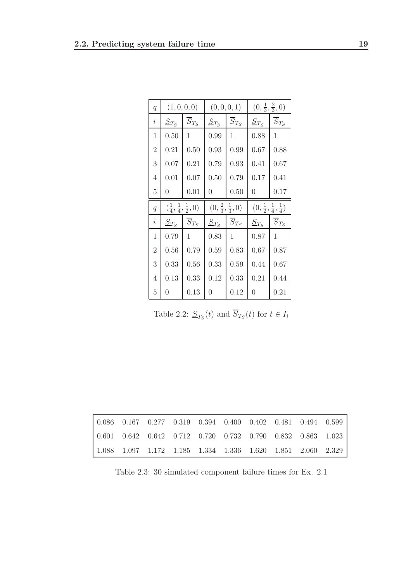| $\overline{q}$ | (1,0,0,0)                                    |                      |                                    | (0,0,0,1)            | $(0, \frac{1}{3}, \frac{2}{3}, 0)$           |                      |
|----------------|----------------------------------------------|----------------------|------------------------------------|----------------------|----------------------------------------------|----------------------|
| $\dot{\imath}$ | $S_{T_S}$                                    | $\overline{S}_{T_S}$ | $S_{T_S}$                          | $\overline{S}_{T_S}$ | $S_{T_S}$                                    | $\overline{S}_{T_S}$ |
| 1              | 0.50                                         | 1                    | 0.99                               | 1                    | 0.88                                         | 1                    |
| $\overline{2}$ | 0.21                                         | 0.50                 | 0.93                               | 0.99                 | 0.67                                         | 0.88                 |
| 3              | 0.07                                         | 0.21                 | 0.79                               | 0.93                 | 0.41                                         | 0.67                 |
| 4              | 0.01                                         | 0.07                 | 0.50                               | 0.79                 | 0.17                                         | 0.41                 |
| 5              | $\theta$                                     | 0.01                 | $\theta$                           | 0.50                 | 0                                            | 0.17                 |
|                | $(\frac{1}{4}, \frac{1}{4}, \frac{1}{2}, 0)$ |                      | $(0, \frac{2}{3}, \frac{1}{3}, 0)$ |                      |                                              |                      |
| $\overline{q}$ |                                              |                      |                                    |                      | $(0, \frac{1}{2}, \frac{1}{4}, \frac{1}{4})$ |                      |
| $\dot{\imath}$ | $\underline{S}_{T_S}$                        | $\overline{S}_{T_S}$ | $\underline{S}_{T_S}$              | $\overline{S}_{T_S}$ | $\underline{S}_{T_S}$                        | $\overline{S}_{T_S}$ |
| 1              | 0.79                                         | 1                    | 0.83                               | 1                    | 0.87                                         | 1                    |
| $\overline{2}$ | 0.56                                         | 0.79                 | 0.59                               | 0.83                 | 0.67                                         | 0.87                 |
| 3              | 0.33                                         | 0.56                 | 0.33                               | 0.59                 | 0.44                                         | 0.67                 |
| 4              | 0.13                                         | 0.33                 | 0.12                               | 0.33                 | 0.21                                         | 0.44                 |

Table 2.2:  $S_{T_S}(t)$  and  $S_{T_S}(t)$  for  $t \in I_i$ 

|  |  |  |  | $0.086$ $0.167$ $0.277$ $0.319$ $0.394$ $0.400$ $0.402$ $0.481$ $0.494$ $0.599$ |  |
|--|--|--|--|---------------------------------------------------------------------------------|--|
|  |  |  |  | $0.601$ $0.642$ $0.642$ $0.712$ $0.720$ $0.732$ $0.790$ $0.832$ $0.863$ $1.023$ |  |
|  |  |  |  | 1.088 1.097 1.172 1.185 1.334 1.336 1.620 1.851 2.060 2.329                     |  |

Table 2.3: 30 simulated component failure times for Ex. 2.1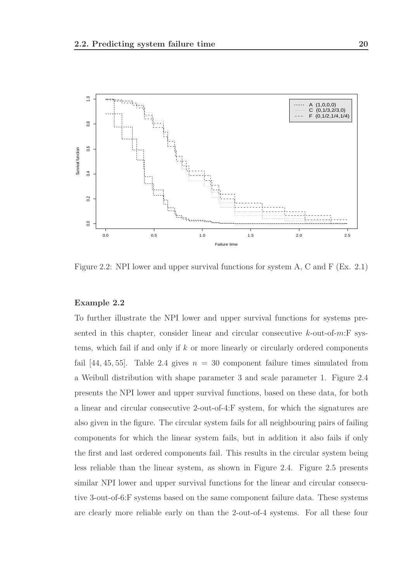

Figure 2.2: NPI lower and upper survival functions for system A, C and F (Ex. 2.1)

#### Example 2.2

To further illustrate the NPI lower and upper survival functions for systems presented in this chapter, consider linear and circular consecutive  $k$ -out-of-m:F systems, which fail if and only if  $k$  or more linearly or circularly ordered components fail [44, 45, 55]. Table 2.4 gives  $n = 30$  component failure times simulated from a Weibull distribution with shape parameter 3 and scale parameter 1. Figure 2.4 presents the NPI lower and upper survival functions, based on these data, for both a linear and circular consecutive 2-out-of-4:F system, for which the signatures are also given in the figure. The circular system fails for all neighbouring pairs of failing components for which the linear system fails, but in addition it also fails if only the first and last ordered components fail. This results in the circular system being less reliable than the linear system, as shown in Figure 2.4. Figure 2.5 presents similar NPI lower and upper survival functions for the linear and circular consecutive 3-out-of-6:F systems based on the same component failure data. These systems are clearly more reliable early on than the 2-out-of-4 systems. For all these four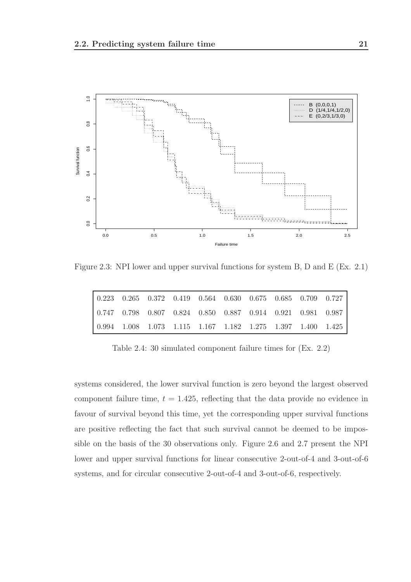

Figure 2.3: NPI lower and upper survival functions for system B, D and E (Ex. 2.1)

| $\vert 0.223 \quad 0.265 \quad 0.372 \quad 0.419 \quad 0.564 \quad 0.630 \quad 0.675 \quad 0.685 \quad 0.709 \quad 0.727 \vert$ |  |  |  |  |  |
|---------------------------------------------------------------------------------------------------------------------------------|--|--|--|--|--|
| $\vert$ 0.747 0.798 0.807 0.824 0.850 0.887 0.914 0.921 0.981 0.987                                                             |  |  |  |  |  |
| $\vert 0.994 \quad 1.008 \quad 1.073 \quad 1.115 \quad 1.167 \quad 1.182 \quad 1.275 \quad 1.397 \quad 1.400 \quad 1.425$       |  |  |  |  |  |

Table 2.4: 30 simulated component failure times for (Ex. 2.2)

systems considered, the lower survival function is zero beyond the largest observed component failure time,  $t = 1.425$ , reflecting that the data provide no evidence in favour of survival beyond this time, yet the corresponding upper survival functions are positive reflecting the fact that such survival cannot be deemed to be impossible on the basis of the 30 observations only. Figure 2.6 and 2.7 present the NPI lower and upper survival functions for linear consecutive 2-out-of-4 and 3-out-of-6 systems, and for circular consecutive 2-out-of-4 and 3-out-of-6, respectively.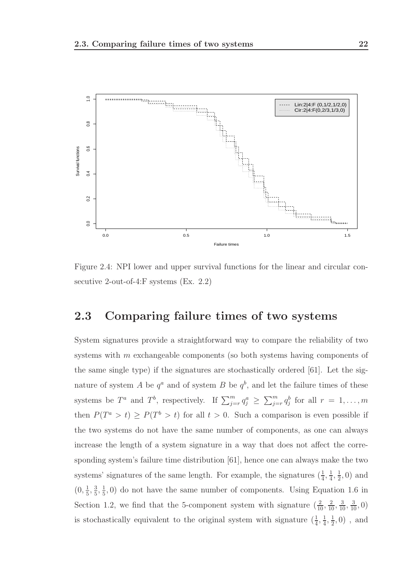

Figure 2.4: NPI lower and upper survival functions for the linear and circular consecutive 2-out-of-4:F systems (Ex. 2.2)

### 2.3 Comparing failure times of two systems

System signatures provide a straightforward way to compare the reliability of two systems with m exchangeable components (so both systems having components of the same single type) if the signatures are stochastically ordered [61]. Let the signature of system A be  $q^a$  and of system B be  $q^b$ , and let the failure times of these systems be  $T^a$  and  $T^b$ , respectively. If  $\sum_{j=r}^m q_j^a \geq \sum_{j=r}^m q_j^b$  for all  $r = 1, \ldots, m$ then  $P(T^a > t) \ge P(T^b > t)$  for all  $t > 0$ . Such a comparison is even possible if the two systems do not have the same number of components, as one can always increase the length of a system signature in a way that does not affect the corresponding system's failure time distribution [61], hence one can always make the two systems' signatures of the same length. For example, the signatures  $(\frac{1}{4}, \frac{1}{4})$  $\frac{1}{4}$ ,  $\frac{1}{2}$  $(\frac{1}{2},0)$  and  $(0, \frac{1}{5})$  $\frac{1}{5}, \frac{3}{5}$  $\frac{3}{5}, \frac{1}{5}$  $\frac{1}{5}$ , 0) do not have the same number of components. Using Equation 1.6 in Section 1.2, we find that the 5-component system with signature  $(\frac{2}{10}, \frac{2}{10}, \frac{3}{10}, \frac{3}{10}, 0)$ is stochastically equivalent to the original system with signature  $(\frac{1}{4}, \frac{1}{4})$  $\frac{1}{4}$ ,  $\frac{1}{2}$  $(\frac{1}{2},0)$ , and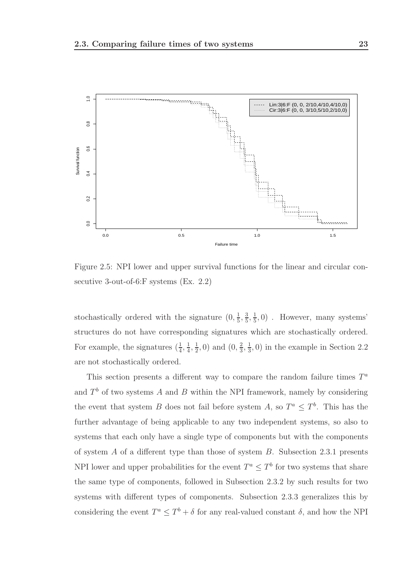

Figure 2.5: NPI lower and upper survival functions for the linear and circular consecutive 3-out-of-6:F systems (Ex. 2.2)

stochastically ordered with the signature  $(0, \frac{1}{5})$  $\frac{1}{5}, \frac{3}{5}$  $\frac{3}{5}, \frac{1}{5}$  $(\frac{1}{5}, 0)$ . However, many systems' structures do not have corresponding signatures which are stochastically ordered. For example, the signatures  $(\frac{1}{4}, \frac{1}{4})$  $\frac{1}{4}$ ,  $\frac{1}{2}$  $(\frac{1}{2}, 0)$  and  $(0, \frac{2}{3})$  $\frac{2}{3}, \frac{1}{3}$  $(\frac{1}{3}, 0)$  in the example in Section 2.2 are not stochastically ordered.

This section presents a different way to compare the random failure times  $T^a$ and  $T<sup>b</sup>$  of two systems A and B within the NPI framework, namely by considering the event that system B does not fail before system A, so  $T^a \leq T^b$ . This has the further advantage of being applicable to any two independent systems, so also to systems that each only have a single type of components but with the components of system  $A$  of a different type than those of system  $B$ . Subsection 2.3.1 presents NPI lower and upper probabilities for the event  $T^a \leq T^b$  for two systems that share the same type of components, followed in Subsection 2.3.2 by such results for two systems with different types of components. Subsection 2.3.3 generalizes this by considering the event  $T^a \leq T^b + \delta$  for any real-valued constant  $\delta$ , and how the NPI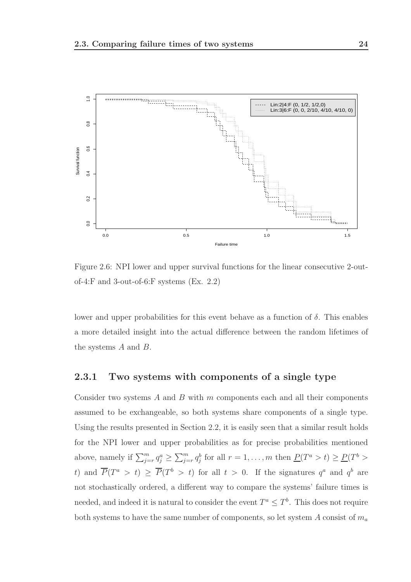

Figure 2.6: NPI lower and upper survival functions for the linear consecutive 2-outof-4:F and 3-out-of-6:F systems (Ex. 2.2)

lower and upper probabilities for this event behave as a function of  $\delta$ . This enables a more detailed insight into the actual difference between the random lifetimes of the systems A and B.

#### 2.3.1 Two systems with components of a single type

Consider two systems  $A$  and  $B$  with  $m$  components each and all their components assumed to be exchangeable, so both systems share components of a single type. Using the results presented in Section 2.2, it is easily seen that a similar result holds for the NPI lower and upper probabilities as for precise probabilities mentioned above, namely if  $\sum_{j=r}^{m} q_j^a \ge \sum_{j=r}^{m} q_j^b$  for all  $r = 1, \ldots, m$  then  $\underline{P}(T^a > t) \ge \underline{P}(T^b > t)$ t) and  $\overline{P}(T^a > t) \geq \overline{P}(T^b > t)$  for all  $t > 0$ . If the signatures  $q^a$  and  $q^b$  are not stochastically ordered, a different way to compare the systems' failure times is needed, and indeed it is natural to consider the event  $T^a \leq T^b$ . This does not require both systems to have the same number of components, so let system A consist of  $m_a$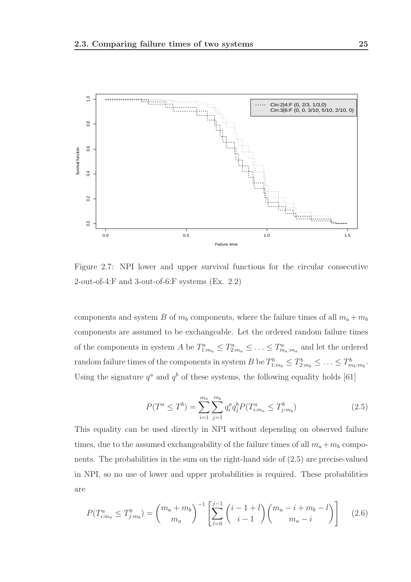

Figure 2.7: NPI lower and upper survival functions for the circular consecutive 2-out-of-4:F and 3-out-of-6:F systems (Ex. 2.2)

components and system B of  $m_b$  components, where the failure times of all  $m_a + m_b$ components are assumed to be exchangeable. Let the ordered random failure times of the components in system A be  $T_{1:m_a}^a \leq T_{2:m_a}^a \leq \ldots \leq T_{m_a:m_a}^a$  and let the ordered random failure times of the components in system B be  $T_{1:m_b}^b \leq T_{2:m_b}^b \leq \ldots \leq T_{m_b:m_b}^b$ . Using the signature  $q^a$  and  $q^b$  of these systems, the following equality holds [61]

$$
P(T^a \le T^b) = \sum_{i=1}^{m_a} \sum_{j=1}^{m_b} q_i^a q_j^b P(T^a_{i:m_a} \le T^b_{j:m_b})
$$
\n(2.5)

This equality can be used directly in NPI without depending on observed failure times, due to the assumed exchangeability of the failure times of all  $m_a + m_b$  components. The probabilities in the sum on the right-hand side of (2.5) are precise-valued in NPI, so no use of lower and upper probabilities is required. These probabilities are

$$
P(T_{i:m_a}^a \le T_{j:m_b}^b) = {m_a + m_b \choose m_a}^{-1} \left[ \sum_{l=0}^{j-1} {i-1+l \choose i-1} {m_a - i + m_b - l \choose m_a - i} \right]
$$
(2.6)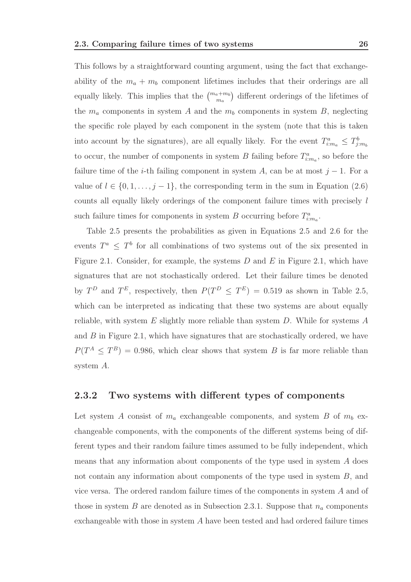This follows by a straightforward counting argument, using the fact that exchangeability of the  $m_a + m_b$  component lifetimes includes that their orderings are all equally likely. This implies that the  $\binom{m_a+m_b}{m_a}$  different orderings of the lifetimes of the  $m_a$  components in system A and the  $m_b$  components in system B, neglecting the specific role played by each component in the system (note that this is taken into account by the signatures), are all equally likely. For the event  $T_{i:m_a}^a \leq T_{j:m_b}^b$ to occur, the number of components in system B failing before  $T_{i,m_a}^a$ , so before the failure time of the *i*-th failing component in system A, can be at most  $j - 1$ . For a value of  $l \in \{0, 1, \ldots, j-1\}$ , the corresponding term in the sum in Equation (2.6) counts all equally likely orderings of the component failure times with precisely l such failure times for components in system B occurring before  $T_{i:m_a}^a$ .

Table 2.5 presents the probabilities as given in Equations 2.5 and 2.6 for the events  $T^a \leq T^b$  for all combinations of two systems out of the six presented in Figure 2.1. Consider, for example, the systems  $D$  and  $E$  in Figure 2.1, which have signatures that are not stochastically ordered. Let their failure times be denoted by  $T^D$  and  $T^E$ , respectively, then  $P(T^D \leq T^E) = 0.519$  as shown in Table 2.5, which can be interpreted as indicating that these two systems are about equally reliable, with system  $E$  slightly more reliable than system  $D$ . While for systems  $A$ and  $B$  in Figure 2.1, which have signatures that are stochastically ordered, we have  $P(T^A \leq T^B) = 0.986$ , which clear shows that system B is far more reliable than system A.

#### 2.3.2 Two systems with different types of components

Let system A consist of  $m_a$  exchangeable components, and system B of  $m_b$  exchangeable components, with the components of the different systems being of different types and their random failure times assumed to be fully independent, which means that any information about components of the type used in system A does not contain any information about components of the type used in system B, and vice versa. The ordered random failure times of the components in system A and of those in system B are denoted as in Subsection 2.3.1. Suppose that  $n_a$  components exchangeable with those in system A have been tested and had ordered failure times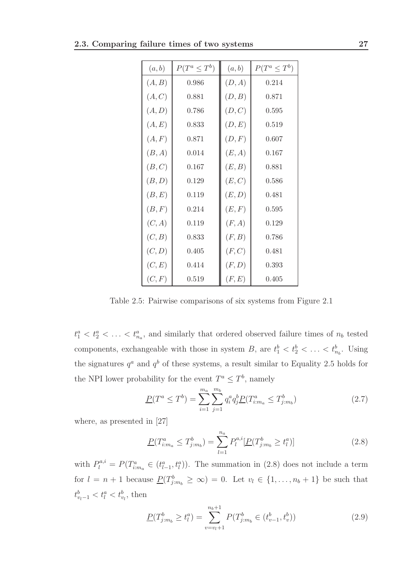| (a,b)  | $P(T^a \leq T^b)$ | (a,b)  | $P(T^a \leq T^b)$ |
|--------|-------------------|--------|-------------------|
| (A, B) | 0.986             | (D, A) | 0.214             |
| (A, C) | 0.881             | (D, B) | 0.871             |
| (A, D) | 0.786             | (D, C) | 0.595             |
| (A, E) | 0.833             | (D, E) | 0.519             |
| (A, F) | 0.871             | (D, F) | 0.607             |
| (B, A) | 0.014             | (E, A) | 0.167             |
| (B,C)  | 0.167             | (E, B) | 0.881             |
| (B,D)  | 0.129             | (E,C)  | 0.586             |
| (B, E) | 0.119             | (E,D)  | 0.481             |
| (B, F) | 0.214             | (E, F) | 0.595             |
| (C, A) | 0.119             | (F, A) | 0.129             |
| (C, B) | 0.833             | (F, B) | 0.786             |
| (C, D) | 0.405             | (F,C)  | 0.481             |
| (C, E) | 0.414             | (F, D) | 0.393             |
| (C, F) | 0.519             | (F, E) | 0.405             |

Table 2.5: Pairwise comparisons of six systems from Figure 2.1

 $t_1^a < t_2^a < \ldots < t_{n_a}^a$ , and similarly that ordered observed failure times of  $n_b$  tested components, exchangeable with those in system B, are  $t_1^b < t_2^b < \ldots < t_{n_b}^b$ . Using the signatures  $q^a$  and  $q^b$  of these systems, a result similar to Equality 2.5 holds for the NPI lower probability for the event  $T^a \leq T^b$ , namely

$$
\underline{P}(T^a \le T^b) = \sum_{i=1}^{m_a} \sum_{j=1}^{m_b} q_i^a q_j^b \underline{P}(T^a_{i:m_a} \le T^b_{j:m_b})
$$
\n(2.7)

where, as presented in [27]

$$
\underline{P}(T_{i:m_a}^a \le T_{j:m_b}^b) = \sum_{l=1}^{n_a} P_l^{a,i} [\underline{P}(T_{j:m_b}^b \ge t_l^a)] \tag{2.8}
$$

with  $P_l^{a,i} = P(T_{i,m_a}^a \in (t_{l-1}^a, t_l^a))$ . The summation in (2.8) does not include a term for  $l = n + 1$  because  $\underline{P}(T_{j:m_b}^b \geq \infty) = 0$ . Let  $v_l \in \{1, ..., n_b + 1\}$  be such that  $t_{v_l-1}^b < t_l^a < t_{v_l}^b$ , then

$$
\underline{P}(T_{j:m_b}^b \ge t_l^a) = \sum_{v=v_l+1}^{n_b+1} P(T_{j:m_b}^b \in (t_{v-1}^b, t_v^b))
$$
\n(2.9)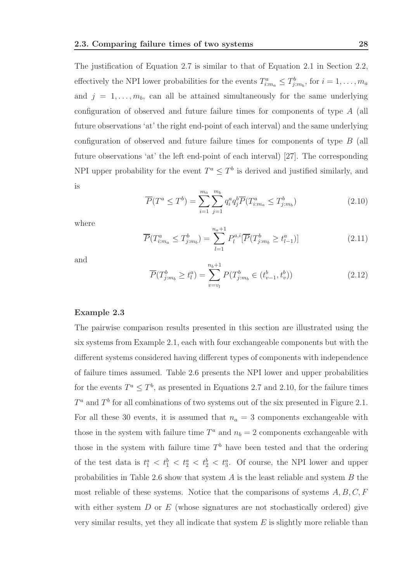The justification of Equation 2.7 is similar to that of Equation 2.1 in Section 2.2, effectively the NPI lower probabilities for the events  $T_{i:m_a}^a \leq T_{j:m_b}^b$ , for  $i = 1, \ldots, m_a$ and  $j = 1, \ldots, m_b$ , can all be attained simultaneously for the same underlying configuration of observed and future failure times for components of type A (all future observations 'at' the right end-point of each interval) and the same underlying configuration of observed and future failure times for components of type B (all future observations 'at' the left end-point of each interval) [27]. The corresponding NPI upper probability for the event  $T^a \leq T^b$  is derived and justified similarly, and is

$$
\overline{P}(T^a \le T^b) = \sum_{i=1}^{m_a} \sum_{j=1}^{m_b} q_i^a q_j^b \overline{P}(T^a_{i:m_a} \le T^b_{j:m_b})
$$
\n(2.10)

where

$$
\overline{P}(T_{i:m_a}^a \le T_{j:m_b}^b) = \sum_{l=1}^{n_a+1} P_l^{a,i} [\overline{P}(T_{j:m_b}^b \ge t_{l-1}^a)] \tag{2.11}
$$

and

$$
\overline{P}(T_{j:m_b}^b \ge t_l^a) = \sum_{v=v_l}^{n_b+1} P(T_{j:m_b}^b \in (t_{v-1}^b, t_v^b))
$$
\n(2.12)

#### Example 2.3

The pairwise comparison results presented in this section are illustrated using the six systems from Example 2.1, each with four exchangeable components but with the different systems considered having different types of components with independence of failure times assumed. Table 2.6 presents the NPI lower and upper probabilities for the events  $T^a \leq T^b$ , as presented in Equations 2.7 and 2.10, for the failure times  $T^a$  and  $T^b$  for all combinations of two systems out of the six presented in Figure 2.1. For all these 30 events, it is assumed that  $n_a = 3$  components exchangeable with those in the system with failure time  $T^a$  and  $n_b = 2$  components exchangeable with those in the system with failure time  $T<sup>b</sup>$  have been tested and that the ordering of the test data is  $t_1^a < t_1^b < t_2^a < t_2^b < t_3^a$ . Of course, the NPI lower and upper probabilities in Table 2.6 show that system  $A$  is the least reliable and system  $B$  the most reliable of these systems. Notice that the comparisons of systems  $A, B, C, F$ with either system  $D$  or  $E$  (whose signatures are not stochastically ordered) give very similar results, yet they all indicate that system  $E$  is slightly more reliable than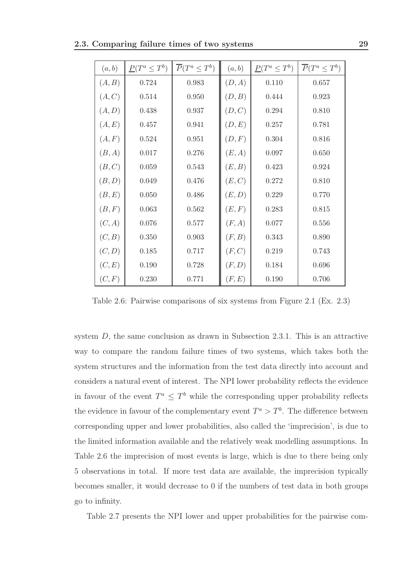| (a, b) | $\underline{P}(T^a \leq T^b)$ | $\overline{P}(T^a \leq T^b)$ | (a,b)  | $\underline{P}(T^a \leq T^b)$ | $\overline{P}(T^a \leq T^b)$ |
|--------|-------------------------------|------------------------------|--------|-------------------------------|------------------------------|
| (A, B) | 0.724                         | 0.983                        | (D, A) | 0.110                         | 0.657                        |
| (A, C) | 0.514                         | 0.950                        | (D, B) | 0.444                         | 0.923                        |
| (A, D) | 0.438                         | 0.937                        | (D,C)  | 0.294                         | 0.810                        |
| (A, E) | 0.457                         | 0.941                        | (D, E) | 0.257                         | 0.781                        |
| (A, F) | 0.524                         | 0.951                        | (D, F) | 0.304                         | 0.816                        |
| (B, A) | 0.017                         | 0.276                        | (E, A) | 0.097                         | 0.650                        |
| (B,C)  | 0.059                         | 0.543                        | (E, B) | 0.423                         | 0.924                        |
| (B,D)  | 0.049                         | 0.476                        | (E, C) | 0.272                         | 0.810                        |
| (B, E) | 0.050                         | 0.486                        | (E,D)  | 0.229                         | 0.770                        |
| (B, F) | 0.063                         | 0.562                        | (E, F) | 0.283                         | 0.815                        |
| (C, A) | 0.076                         | 0.577                        | (F, A) | 0.077                         | 0.556                        |
| (C, B) | 0.350                         | $0.903\,$                    | (F, B) | $0.343\,$                     | 0.890                        |
| (C, D) | 0.185                         | 0.717                        | (F,C)  | 0.219                         | 0.743                        |
| (C, E) | 0.190                         | 0.728                        | (F, D) | 0.184                         | 0.696                        |
| (C, F) | 0.230                         | 0.771                        | (F, E) | 0.190                         | 0.706                        |

Table 2.6: Pairwise comparisons of six systems from Figure 2.1 (Ex. 2.3)

system D, the same conclusion as drawn in Subsection 2.3.1. This is an attractive way to compare the random failure times of two systems, which takes both the system structures and the information from the test data directly into account and considers a natural event of interest. The NPI lower probability reflects the evidence in favour of the event  $T^a \n\t\leq T^b$  while the corresponding upper probability reflects the evidence in favour of the complementary event  $T^a > T^b$ . The difference between corresponding upper and lower probabilities, also called the 'imprecision', is due to the limited information available and the relatively weak modelling assumptions. In Table 2.6 the imprecision of most events is large, which is due to there being only 5 observations in total. If more test data are available, the imprecision typically becomes smaller, it would decrease to 0 if the numbers of test data in both groups go to infinity.

Table 2.7 presents the NPI lower and upper probabilities for the pairwise com-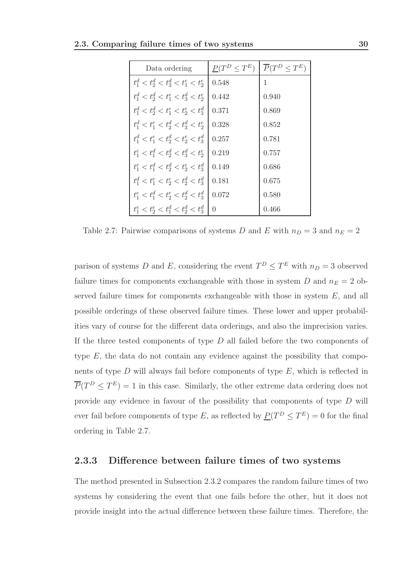| Data ordering                           | $P(T^D < T^E)$   | $\overline{P}(T^D \leq T^E)$ |
|-----------------------------------------|------------------|------------------------------|
| $t_1^d < t_2^d < t_3^d < t_1^e < t_2^e$ | 0.548            | 1                            |
| $t_1^d < t_2^d < t_1^e < t_3^d < t_2^e$ | 0.442            | 0.940                        |
| $t_1^d < t_2^d < t_1^e < t_2^e < t_3^d$ | 0.371            | 0.869                        |
| $t_1^d < t_1^e < t_2^d < t_3^d < t_2^e$ | 0.328            | 0.852                        |
| $t_1^d < t_1^e < t_2^d < t_2^e < t_3^d$ | 0.257            | 0.781                        |
| $t_1^e < t_1^d < t_2^d < t_3^d < t_2^e$ | 0.219            | 0.757                        |
| $t_1^e < t_1^d < t_2^d < t_2^e < t_3^d$ | 0.149            | 0.686                        |
| $t_1^d < t_1^e < t_2^e < t_3^d < t_3^d$ | 0.181            | 0.675                        |
| $t_1^e < t_1^d < t_2^e < t_2^d < t_3^d$ | 0.072            | 0.580                        |
| $t_1^e < t_2^e < t_1^d < t_2^d < t_3^d$ | $\left( \right)$ | 0.466                        |

Table 2.7: Pairwise comparisons of systems  $D$  and  $E$  with  $n_D = 3$  and  $n_E = 2$ 

parison of systems D and E, considering the event  $T^D \leq T^E$  with  $n_D = 3$  observed failure times for components exchangeable with those in system D and  $n_E = 2$  observed failure times for components exchangeable with those in system  $E$ , and all possible orderings of these observed failure times. These lower and upper probabilities vary of course for the different data orderings, and also the imprecision varies. If the three tested components of type  $D$  all failed before the two components of type  $E$ , the data do not contain any evidence against the possibility that components of type  $D$  will always fail before components of type  $E$ , which is reflected in  $\overline{P}(T^D \leq T^E) = 1$  in this case. Similarly, the other extreme data ordering does not provide any evidence in favour of the possibility that components of type D will ever fail before components of type E, as reflected by  $\underline{P}(T^D \leq T^E) = 0$  for the final ordering in Table 2.7.

#### 2.3.3 Difference between failure times of two systems

The method presented in Subsection 2.3.2 compares the random failure times of two systems by considering the event that one fails before the other, but it does not provide insight into the actual difference between these failure times. Therefore, the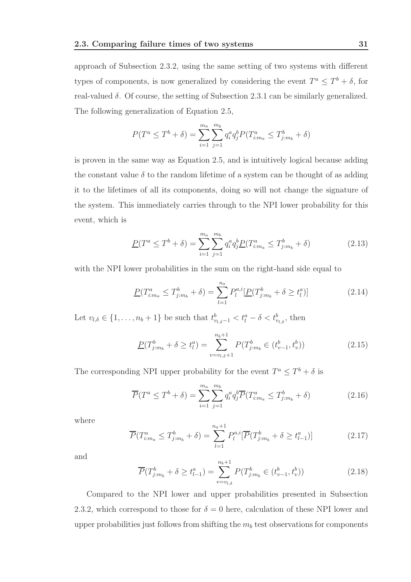approach of Subsection 2.3.2, using the same setting of two systems with different types of components, is now generalized by considering the event  $T^a \leq T^b + \delta$ , for real-valued  $\delta$ . Of course, the setting of Subsection 2.3.1 can be similarly generalized. The following generalization of Equation 2.5,

$$
P(T^{a} \leq T^{b} + \delta) = \sum_{i=1}^{m_{a}} \sum_{j=1}^{m_{b}} q_{i}^{a} q_{j}^{b} P(T_{i:m_{a}}^{a} \leq T_{j:m_{b}}^{b} + \delta)
$$

is proven in the same way as Equation 2.5, and is intuitively logical because adding the constant value  $\delta$  to the random lifetime of a system can be thought of as adding it to the lifetimes of all its components, doing so will not change the signature of the system. This immediately carries through to the NPI lower probability for this event, which is

$$
\underline{P}(T^a \le T^b + \delta) = \sum_{i=1}^{m_a} \sum_{j=1}^{m_b} q_i^a q_j^b \underline{P}(T^a_{i:m_a} \le T^b_{j:m_b} + \delta)
$$
\n(2.13)

with the NPI lower probabilities in the sum on the right-hand side equal to

$$
\underline{P}(T_{i:m_a}^a \le T_{j:m_b}^b + \delta) = \sum_{l=1}^{n_a} P_l^{a,i} [\underline{P}(T_{j:m_b}^b + \delta \ge t_l^a)] \tag{2.14}
$$

Let  $v_{l,\delta} \in \{1, \ldots, n_b + 1\}$  be such that  $t_{v_{l,\delta}-1}^b < t_l^a - \delta < t_{v_{l,\delta}}^b$ , then

$$
\underline{P}(T_{j:m_b}^b + \delta \ge t_l^a) = \sum_{v=v_{l,\delta}+1}^{n_b+1} P(T_{j:m_b}^b \in (t_{v-1}^b, t_v^b))
$$
\n(2.15)

The corresponding NPI upper probability for the event  $T^a \leq T^b + \delta$  is

$$
\overline{P}(T^a \le T^b + \delta) = \sum_{i=1}^{m_a} \sum_{j=1}^{m_b} q_i^a q_j^b \overline{P}(T^a_{i:m_a} \le T^b_{j:m_b} + \delta)
$$
\n(2.16)

where

$$
\overline{P}(T_{i:m_a}^a \le T_{j:m_b}^b + \delta) = \sum_{l=1}^{n_a+1} P_l^{a,i} [\overline{P}(T_{j:m_b}^b + \delta \ge t_{l-1}^a)] \tag{2.17}
$$

and

$$
\overline{P}(T_{j:m_b}^b + \delta \ge t_{l-1}^a) = \sum_{v=v_{l,\delta}}^{n_b+1} P(T_{j:m_b}^b \in (t_{v-1}^b, t_v^b))
$$
\n(2.18)

Compared to the NPI lower and upper probabilities presented in Subsection 2.3.2, which correspond to those for  $\delta = 0$  here, calculation of these NPI lower and upper probabilities just follows from shifting the  $m_b$  test observations for components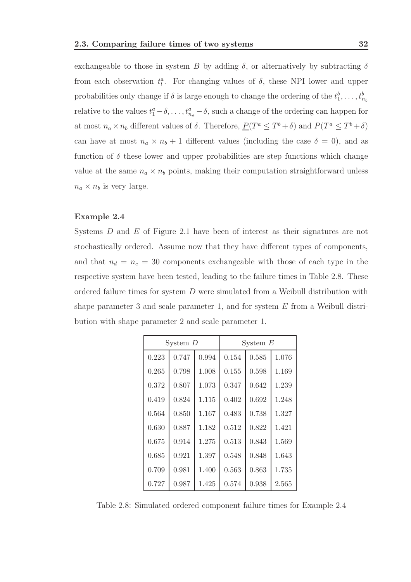exchangeable to those in system B by adding  $\delta$ , or alternatively by subtracting  $\delta$ from each observation  $t_l^a$ . For changing values of  $\delta$ , these NPI lower and upper probabilities only change if  $\delta$  is large enough to change the ordering of the  $t_1^b, \ldots, t_{n_b}^b$ relative to the values  $t_1^a - \delta, \ldots, t_{n_a}^a - \delta$ , such a change of the ordering can happen for at most  $n_a \times n_b$  different values of  $\delta$ . Therefore,  $P(T^a \leq T^b + \delta)$  and  $\overline{P}(T^a \leq T^b + \delta)$ can have at most  $n_a \times n_b + 1$  different values (including the case  $\delta = 0$ ), and as function of  $\delta$  these lower and upper probabilities are step functions which change value at the same  $n_a \times n_b$  points, making their computation straightforward unless  $n_a \times n_b$  is very large.

#### Example 2.4

Systems D and E of Figure 2.1 have been of interest as their signatures are not stochastically ordered. Assume now that they have different types of components, and that  $n_d = n_e = 30$  components exchangeable with those of each type in the respective system have been tested, leading to the failure times in Table 2.8. These ordered failure times for system D were simulated from a Weibull distribution with shape parameter 3 and scale parameter 1, and for system  $E$  from a Weibull distribution with shape parameter 2 and scale parameter 1.

| System $D$ |       |       | System $E$ |       |       |
|------------|-------|-------|------------|-------|-------|
| 0.223      | 0.747 | 0.994 | 0.154      | 0.585 | 1.076 |
| 0.265      | 0.798 | 1.008 | 0.155      | 0.598 | 1.169 |
| 0.372      | 0.807 | 1.073 | 0.347      | 0.642 | 1.239 |
| 0.419      | 0.824 | 1.115 | 0.402      | 0.692 | 1.248 |
| 0.564      | 0.850 | 1.167 | 0.483      | 0.738 | 1.327 |
| 0.630      | 0.887 | 1.182 | 0.512      | 0.822 | 1.421 |
| 0.675      | 0.914 | 1.275 | 0.513      | 0.843 | 1.569 |
| 0.685      | 0.921 | 1.397 | 0.548      | 0.848 | 1.643 |
| 0.709      | 0.981 | 1.400 | 0.563      | 0.863 | 1.735 |
| 0.727      | 0.987 | 1.425 | 0.574      | 0.938 | 2.565 |

Table 2.8: Simulated ordered component failure times for Example 2.4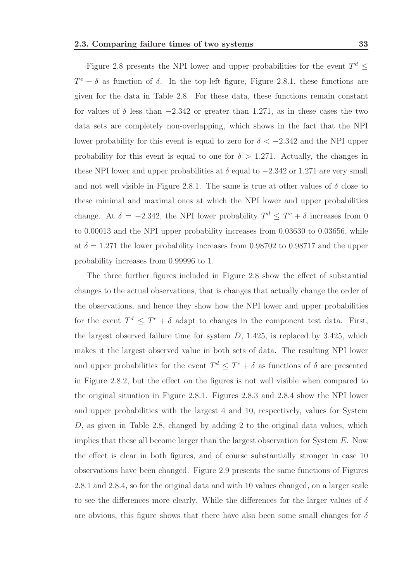Figure 2.8 presents the NPI lower and upper probabilities for the event  $T^d \leq$  $T^e + \delta$  as function of  $\delta$ . In the top-left figure, Figure 2.8.1, these functions are given for the data in Table 2.8. For these data, these functions remain constant for values of  $\delta$  less than  $-2.342$  or greater than 1.271, as in these cases the two data sets are completely non-overlapping, which shows in the fact that the NPI lower probability for this event is equal to zero for  $\delta < -2.342$  and the NPI upper probability for this event is equal to one for  $\delta > 1.271$ . Actually, the changes in these NPI lower and upper probabilities at  $\delta$  equal to  $-2.342$  or 1.271 are very small and not well visible in Figure 2.8.1. The same is true at other values of  $\delta$  close to these minimal and maximal ones at which the NPI lower and upper probabilities change. At  $\delta = -2.342$ , the NPI lower probability  $T^d \leq T^e + \delta$  increases from 0 to 0.00013 and the NPI upper probability increases from 0.03630 to 0.03656, while at  $\delta = 1.271$  the lower probability increases from 0.98702 to 0.98717 and the upper probability increases from 0.99996 to 1.

The three further figures included in Figure 2.8 show the effect of substantial changes to the actual observations, that is changes that actually change the order of the observations, and hence they show how the NPI lower and upper probabilities for the event  $T^d \leq T^e + \delta$  adapt to changes in the component test data. First, the largest observed failure time for system  $D$ , 1.425, is replaced by 3.425, which makes it the largest observed value in both sets of data. The resulting NPI lower and upper probabilities for the event  $T^d \leq T^e + \delta$  as functions of  $\delta$  are presented in Figure 2.8.2, but the effect on the figures is not well visible when compared to the original situation in Figure 2.8.1. Figures 2.8.3 and 2.8.4 show the NPI lower and upper probabilities with the largest 4 and 10, respectively, values for System D, as given in Table 2.8, changed by adding 2 to the original data values, which implies that these all become larger than the largest observation for System E. Now the effect is clear in both figures, and of course substantially stronger in case 10 observations have been changed. Figure 2.9 presents the same functions of Figures 2.8.1 and 2.8.4, so for the original data and with 10 values changed, on a larger scale to see the differences more clearly. While the differences for the larger values of  $\delta$ are obvious, this figure shows that there have also been some small changes for  $\delta$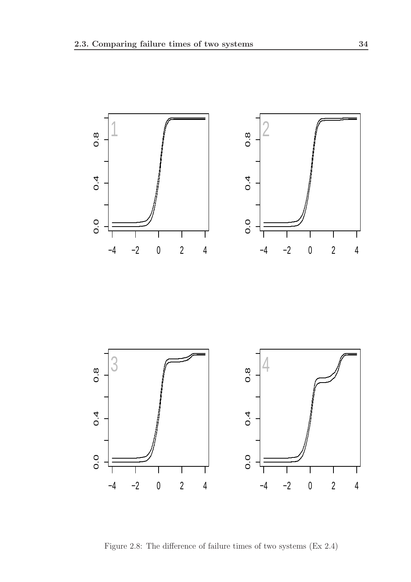

Figure 2.8: The difference of failure times of two systems (Ex 2.4)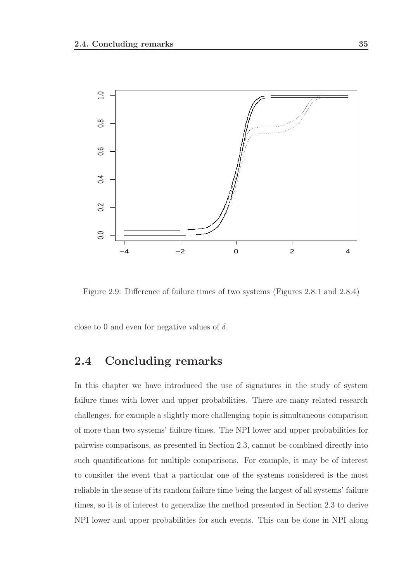

Figure 2.9: Difference of failure times of two systems (Figures 2.8.1 and 2.8.4)

close to 0 and even for negative values of  $\delta$ .

# 2.4 Concluding remarks

In this chapter we have introduced the use of signatures in the study of system failure times with lower and upper probabilities. There are many related research challenges, for example a slightly more challenging topic is simultaneous comparison of more than two systems' failure times. The NPI lower and upper probabilities for pairwise comparisons, as presented in Section 2.3, cannot be combined directly into such quantifications for multiple comparisons. For example, it may be of interest to consider the event that a particular one of the systems considered is the most reliable in the sense of its random failure time being the largest of all systems' failure times, so it is of interest to generalize the method presented in Section 2.3 to derive NPI lower and upper probabilities for such events. This can be done in NPI along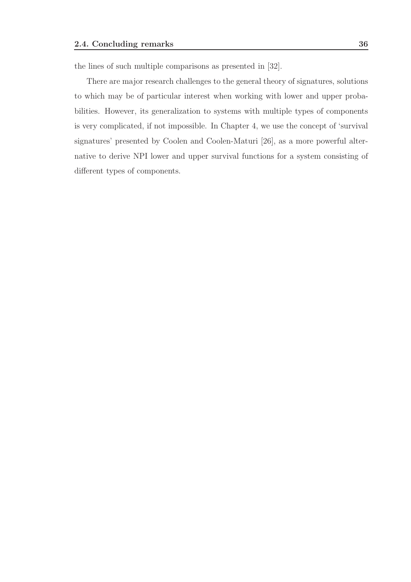the lines of such multiple comparisons as presented in [32].

There are major research challenges to the general theory of signatures, solutions to which may be of particular interest when working with lower and upper probabilities. However, its generalization to systems with multiple types of components is very complicated, if not impossible. In Chapter 4, we use the concept of 'survival signatures' presented by Coolen and Coolen-Maturi [26], as a more powerful alternative to derive NPI lower and upper survival functions for a system consisting of different types of components.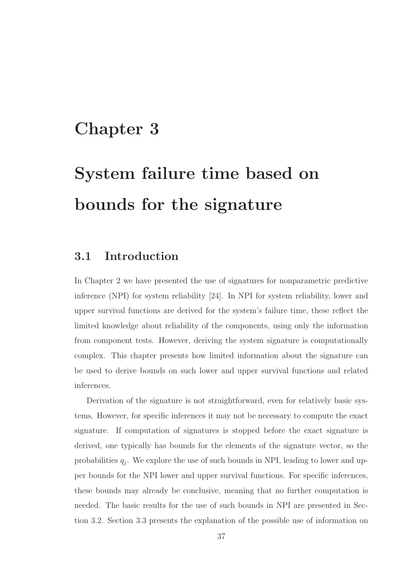# Chapter 3

# System failure time based on bounds for the signature

# 3.1 Introduction

In Chapter 2 we have presented the use of signatures for nonparametric predictive inference (NPI) for system reliability [24]. In NPI for system reliability, lower and upper survival functions are derived for the system's failure time, these reflect the limited knowledge about reliability of the components, using only the information from component tests. However, deriving the system signature is computationally complex. This chapter presents how limited information about the signature can be used to derive bounds on such lower and upper survival functions and related inferences.

Derivation of the signature is not straightforward, even for relatively basic systems. However, for specific inferences it may not be necessary to compute the exact signature. If computation of signatures is stopped before the exact signature is derived, one typically has bounds for the elements of the signature vector, so the probabilities  $q_j$ . We explore the use of such bounds in NPI, leading to lower and upper bounds for the NPI lower and upper survival functions. For specific inferences, these bounds may already be conclusive, meaning that no further computation is needed. The basic results for the use of such bounds in NPI are presented in Section 3.2. Section 3.3 presents the explanation of the possible use of information on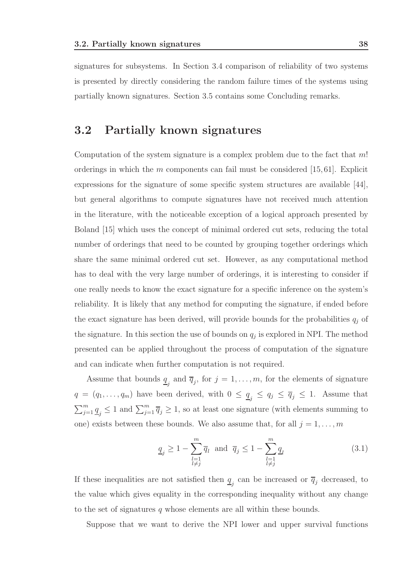signatures for subsystems. In Section 3.4 comparison of reliability of two systems is presented by directly considering the random failure times of the systems using partially known signatures. Section 3.5 contains some Concluding remarks.

# 3.2 Partially known signatures

Computation of the system signature is a complex problem due to the fact that m! orderings in which the  $m$  components can fail must be considered [15,61]. Explicit expressions for the signature of some specific system structures are available [44], but general algorithms to compute signatures have not received much attention in the literature, with the noticeable exception of a logical approach presented by Boland [15] which uses the concept of minimal ordered cut sets, reducing the total number of orderings that need to be counted by grouping together orderings which share the same minimal ordered cut set. However, as any computational method has to deal with the very large number of orderings, it is interesting to consider if one really needs to know the exact signature for a specific inference on the system's reliability. It is likely that any method for computing the signature, if ended before the exact signature has been derived, will provide bounds for the probabilities  $q_i$  of the signature. In this section the use of bounds on  $q_j$  is explored in NPI. The method presented can be applied throughout the process of computation of the signature and can indicate when further computation is not required.

Assume that bounds  $\underline{q}_j$  and  $\overline{q}_j$ , for  $j = 1, \ldots, m$ , for the elements of signature  $q = (q_1, \ldots, q_m)$  have been derived, with  $0 \le \underline{q}_j \le q_j \le \overline{q}_j \le 1$ . Assume that  $\sum_{j=1}^m \underline{q}_j \leq 1$  and  $\sum_{j=1}^m \overline{q}_j \geq 1$ , so at least one signature (with elements summing to one) exists between these bounds. We also assume that, for all  $j = 1, \ldots, m$ 

$$
\underline{q}_j \ge 1 - \sum_{\substack{l=1 \ l \neq j}}^m \overline{q}_l \text{ and } \overline{q}_j \le 1 - \sum_{\substack{l=1 \ l \neq j}}^m \underline{q}_l \tag{3.1}
$$

If these inequalities are not satisfied then  $q_j$  can be increased or  $\overline{q}_j$  decreased, to the value which gives equality in the corresponding inequality without any change to the set of signatures  $q$  whose elements are all within these bounds.

Suppose that we want to derive the NPI lower and upper survival functions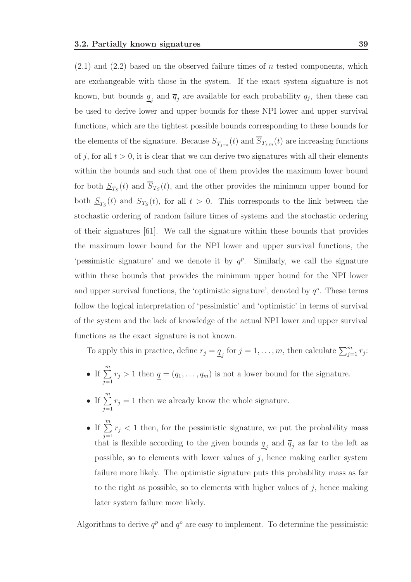$(2.1)$  and  $(2.2)$  based on the observed failure times of n tested components, which are exchangeable with those in the system. If the exact system signature is not known, but bounds  $\underline{q}_j$  and  $\overline{q}_j$  are available for each probability  $q_j$ , then these can be used to derive lower and upper bounds for these NPI lower and upper survival functions, which are the tightest possible bounds corresponding to these bounds for the elements of the signature. Because  $\underline{S}_{T_{j:m}}(t)$  and  $S_{T_{j:m}}(t)$  are increasing functions of j, for all  $t > 0$ , it is clear that we can derive two signatures with all their elements within the bounds and such that one of them provides the maximum lower bound for both  $S_{T_S}(t)$  and  $S_{T_S}(t)$ , and the other provides the minimum upper bound for both  $S_{T_S}(t)$  and  $S_{T_S}(t)$ , for all  $t > 0$ . This corresponds to the link between the stochastic ordering of random failure times of systems and the stochastic ordering of their signatures [61]. We call the signature within these bounds that provides the maximum lower bound for the NPI lower and upper survival functions, the 'pessimistic signature' and we denote it by  $q^p$ . Similarly, we call the signature within these bounds that provides the minimum upper bound for the NPI lower and upper survival functions, the 'optimistic signature', denoted by  $q^o$ . These terms follow the logical interpretation of 'pessimistic' and 'optimistic' in terms of survival of the system and the lack of knowledge of the actual NPI lower and upper survival functions as the exact signature is not known.

To apply this in practice, define  $r_j = \underline{q}_j$  for  $j = 1, \ldots, m$ , then calculate  $\sum_{j=1}^m r_j$ :

- If  $\sum^m$  $j=1$  $r_j > 1$  then  $q = (q_1, \ldots, q_m)$  is not a lower bound for the signature.
- If  $\sum^m$  $j=1$  $r_j = 1$  then we already know the whole signature.
- If  $\sum^m$  $j=1$  $r_j < 1$  then, for the pessimistic signature, we put the probability mass that is flexible according to the given bounds  $q_j$  and  $\overline{q}_j$  as far to the left as possible, so to elements with lower values of  $j$ , hence making earlier system failure more likely. The optimistic signature puts this probability mass as far to the right as possible, so to elements with higher values of  $j$ , hence making later system failure more likely.

Algorithms to derive  $q^p$  and  $q^o$  are easy to implement. To determine the pessimistic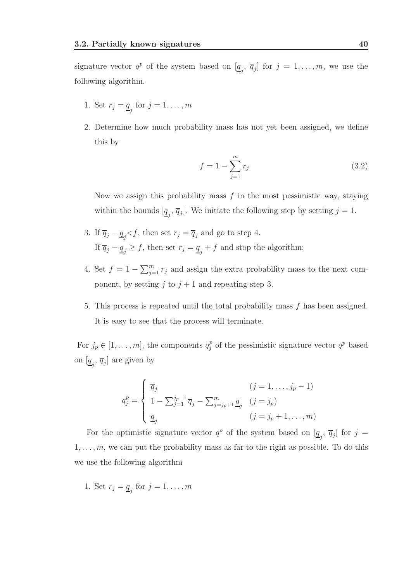signature vector  $q^p$  of the system based on  $[\underline{q}_j, \overline{q}_j]$  for  $j = 1, \ldots, m$ , we use the following algorithm.

- 1. Set  $r_j = \underline{q}_j$  for  $j = 1, \ldots, m$
- 2. Determine how much probability mass has not yet been assigned, we define this by

$$
f = 1 - \sum_{j=1}^{m} r_j \tag{3.2}
$$

Now we assign this probability mass  $f$  in the most pessimistic way, staying within the bounds  $[\underline{q}_j, \overline{q}_j]$ . We initiate the following step by setting  $j = 1$ .

- 3. If  $\overline{q}_j \underline{q}_j \langle f, \text{ then set } r_j = \overline{q}_j \text{ and go to step 4.}$ If  $\overline{q}_j - \underline{q}_j \geq f$ , then set  $r_j = \underline{q}_j + f$  and stop the algorithm;
- 4. Set  $f = 1 \sum_{j=1}^{m} r_j$  and assign the extra probability mass to the next component, by setting j to  $j + 1$  and repeating step 3.
- 5. This process is repeated until the total probability mass f has been assigned. It is easy to see that the process will terminate.

For  $j_p \in [1, \ldots, m]$ , the components  $q_j^p$  $_j^p$  of the pessimistic signature vector  $q^p$  based on  $[\underline{q}_j, \overline{q}_j]$  are given by

$$
q_j^p = \begin{cases} \overline{q}_j & (j = 1, ..., j_p - 1) \\ 1 - \sum_{j=1}^{j_p - 1} \overline{q}_j - \sum_{j=j_p+1}^m \underline{q}_j & (j = j_p) \\ \underline{q}_j & (j = j_p + 1, ..., m) \end{cases}
$$

For the optimistic signature vector  $q^o$  of the system based on  $[\underline{q}_j, \overline{q}_j]$  for  $j =$  $1, \ldots, m$ , we can put the probability mass as far to the right as possible. To do this we use the following algorithm

1. Set  $r_j = \underline{q}_j$  for  $j = 1, \ldots, m$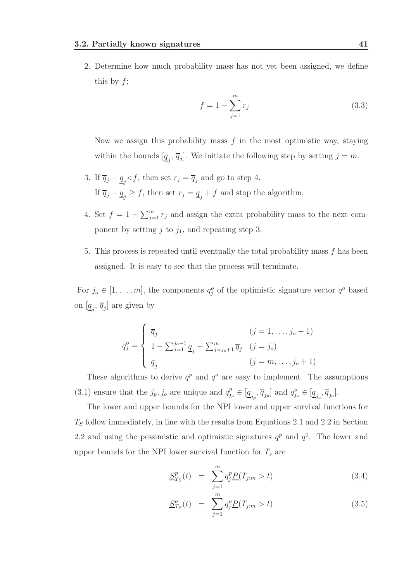2. Determine how much probability mass has not yet been assigned, we define this by  $f$ ;

$$
f = 1 - \sum_{j=1}^{m} r_j
$$
\n(3.3)

Now we assign this probability mass  $f$  in the most optimistic way, staying within the bounds  $[\underline{q}_j, \overline{q}_j]$ . We initiate the following step by setting  $j = m$ .

- 3. If  $\overline{q}_j \underline{q}_j \langle f, \rho \rangle$  then set  $r_j = \overline{q}_j$  and go to step 4. If  $\overline{q}_j - \underline{q}_j \geq f$ , then set  $r_j = \underline{q}_j + f$  and stop the algorithm;
- 4. Set  $f = 1 \sum_{j=1}^{m} r_j$  and assign the extra probability mass to the next component by setting  $j$  to  $j_1$ , and repeating step 3.
- 5. This process is repeated until eventually the total probability mass f has been assigned. It is easy to see that the process will terminate.

For  $j_o \in [1, \ldots, m]$ , the components  $q_j^o$  of the optimistic signature vector  $q^o$  based on  $[\underline{q}_j, \overline{q}_j]$  are given by

$$
q_j^o = \begin{cases} \overline{q}_j & (j = 1, ..., j_o - 1) \\ 1 - \sum_{j=1}^{j_o - 1} \underline{q}_j - \sum_{j=j_o + 1}^m \overline{q}_j & (j = j_o) \\ \underline{q}_j & (j = m, ..., j_o + 1) \end{cases}
$$

These algorithms to derive  $q^p$  and  $q^o$  are easy to implement. The assumptions  $(3.1)$  ensure that the  $j_p, j_o$  are unique and  $q_i^p$  $j_p^p \in [\underline{q}_{j_p}, \overline{q}_{j_p}]$  and  $q_{j_o}^o \in [\underline{q}_{j_o}, \overline{q}_{j_o}]$ .

The lower and upper bounds for the NPI lower and upper survival functions for  $T<sub>S</sub>$  follow immediately, in line with the results from Equations 2.1 and 2.2 in Section 2.2 and using the pessimistic and optimistic signatures  $q^p$  and  $q^0$ . The lower and upper bounds for the NPI lower survival function for  $T_s$  are

$$
\underline{S}_{T_S}^p(t) = \sum_{j=1}^m q_j^p \underline{P}(T_{j:m} > t) \tag{3.4}
$$

$$
\underline{S}_{T_S}^o(t) = \sum_{j=1}^m q_j^o \underline{P}(T_{j:m} > t) \tag{3.5}
$$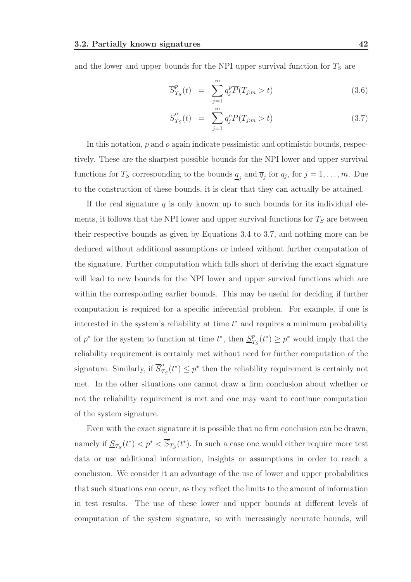and the lower and upper bounds for the NPI upper survival function for  $T<sub>S</sub>$  are

$$
\overline{S}_{T_S}^p(t) = \sum_{j=1}^m q_j^p \overline{P}(T_{j:m} > t)
$$
\n(3.6)

$$
\overline{S}_{T_S}^o(t) = \sum_{j=1}^m q_j^o \overline{P}(T_{j:m} > t)
$$
\n(3.7)

In this notation, p and o again indicate pessimistic and optimistic bounds, respectively. These are the sharpest possible bounds for the NPI lower and upper survival functions for  $T_S$  corresponding to the bounds  $\underline{q}_j$  and  $\overline{q}_j$  for  $q_j$ , for  $j = 1, \ldots, m$ . Due to the construction of these bounds, it is clear that they can actually be attained.

If the real signature  $q$  is only known up to such bounds for its individual elements, it follows that the NPI lower and upper survival functions for  $T<sub>S</sub>$  are between their respective bounds as given by Equations 3.4 to 3.7, and nothing more can be deduced without additional assumptions or indeed without further computation of the signature. Further computation which falls short of deriving the exact signature will lead to new bounds for the NPI lower and upper survival functions which are within the corresponding earlier bounds. This may be useful for deciding if further computation is required for a specific inferential problem. For example, if one is interested in the system's reliability at time  $t^*$  and requires a minimum probability of  $p^*$  for the system to function at time  $t^*$ , then  $S^p$  $T_S(t^*) \geq p^*$  would imply that the reliability requirement is certainly met without need for further computation of the signature. Similarly, if  $\overline{S}_{7}^{o}$  $T_S(t^*) \leq p^*$  then the reliability requirement is certainly not met. In the other situations one cannot draw a firm conclusion about whether or not the reliability requirement is met and one may want to continue computation of the system signature.

Even with the exact signature it is possible that no firm conclusion can be drawn, namely if  $\underline{S}_{T_S}(t^*) < p^* < \overline{S}_{T_S}(t^*)$ . In such a case one would either require more test data or use additional information, insights or assumptions in order to reach a conclusion. We consider it an advantage of the use of lower and upper probabilities that such situations can occur, as they reflect the limits to the amount of information in test results. The use of these lower and upper bounds at different levels of computation of the system signature, so with increasingly accurate bounds, will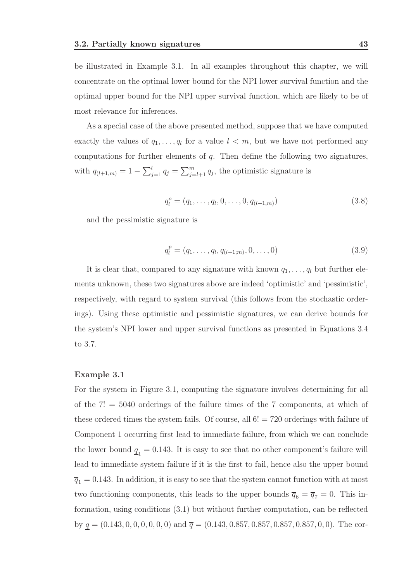be illustrated in Example 3.1. In all examples throughout this chapter, we will concentrate on the optimal lower bound for the NPI lower survival function and the optimal upper bound for the NPI upper survival function, which are likely to be of most relevance for inferences.

As a special case of the above presented method, suppose that we have computed exactly the values of  $q_1, \ldots, q_l$  for a value  $l < m$ , but we have not performed any computations for further elements of  $q$ . Then define the following two signatures, with  $q_{(l+1,m)} = 1 - \sum_{j=1}^{l} q_j = \sum_{j=l+1}^{m} q_j$ , the optimistic signature is

$$
q_l^o = (q_1, \dots, q_l, 0, \dots, 0, q_{(l+1,m)})
$$
\n(3.8)

and the pessimistic signature is

$$
q_l^p = (q_1, \dots, q_l, q_{(l+1;m)}, 0, \dots, 0)
$$
\n(3.9)

It is clear that, compared to any signature with known  $q_1, \ldots, q_l$  but further elements unknown, these two signatures above are indeed 'optimistic' and 'pessimistic', respectively, with regard to system survival (this follows from the stochastic orderings). Using these optimistic and pessimistic signatures, we can derive bounds for the system's NPI lower and upper survival functions as presented in Equations 3.4 to 3.7.

#### Example 3.1

For the system in Figure 3.1, computing the signature involves determining for all of the  $7! = 5040$  orderings of the failure times of the 7 components, at which of these ordered times the system fails. Of course, all 6! = 720 orderings with failure of Component 1 occurring first lead to immediate failure, from which we can conclude the lower bound  $\underline{q}_1 = 0.143$ . It is easy to see that no other component's failure will lead to immediate system failure if it is the first to fail, hence also the upper bound  $\overline{q}_1 = 0.143$ . In addition, it is easy to see that the system cannot function with at most two functioning components, this leads to the upper bounds  $\overline{q}_6 = \overline{q}_7 = 0$ . This information, using conditions (3.1) but without further computation, can be reflected by  $q = (0.143, 0, 0, 0, 0, 0, 0)$  and  $\overline{q} = (0.143, 0.857, 0.857, 0.857, 0.857, 0, 0)$ . The cor-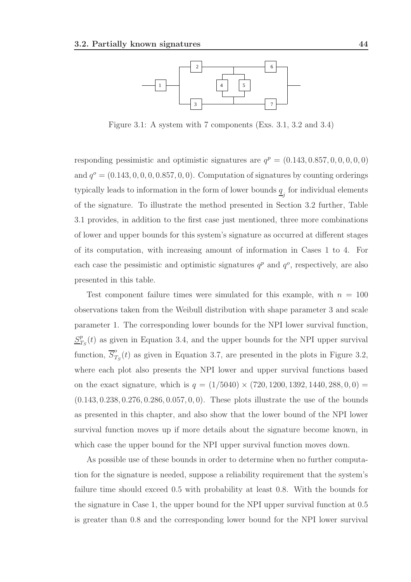

Figure 3.1: A system with 7 components (Exs. 3.1, 3.2 and 3.4)

responding pessimistic and optimistic signatures are  $q^p = (0.143, 0.857, 0, 0, 0, 0, 0)$ and  $q^o = (0.143, 0, 0, 0, 0.857, 0, 0)$ . Computation of signatures by counting orderings typically leads to information in the form of lower bounds  $\underline{q}_j$  for individual elements of the signature. To illustrate the method presented in Section 3.2 further, Table 3.1 provides, in addition to the first case just mentioned, three more combinations of lower and upper bounds for this system's signature as occurred at different stages of its computation, with increasing amount of information in Cases 1 to 4. For each case the pessimistic and optimistic signatures  $q^p$  and  $q^o$ , respectively, are also presented in this table.

Test component failure times were simulated for this example, with  $n = 100$ observations taken from the Weibull distribution with shape parameter 3 and scale parameter 1. The corresponding lower bounds for the NPI lower survival function,  $S^p_7$  $T_{T_S}(t)$  as given in Equation 3.4, and the upper bounds for the NPI upper survival function,  $\overline{S}_7^o$  $T_S(t)$  as given in Equation 3.7, are presented in the plots in Figure 3.2, where each plot also presents the NPI lower and upper survival functions based on the exact signature, which is  $q = (1/5040) \times (720, 1200, 1392, 1440, 288, 0, 0) =$ (0.143, 0.238, 0.276, 0.286, 0.057, 0, 0). These plots illustrate the use of the bounds as presented in this chapter, and also show that the lower bound of the NPI lower survival function moves up if more details about the signature become known, in which case the upper bound for the NPI upper survival function moves down.

As possible use of these bounds in order to determine when no further computation for the signature is needed, suppose a reliability requirement that the system's failure time should exceed 0.5 with probability at least 0.8. With the bounds for the signature in Case 1, the upper bound for the NPI upper survival function at 0.5 is greater than 0.8 and the corresponding lower bound for the NPI lower survival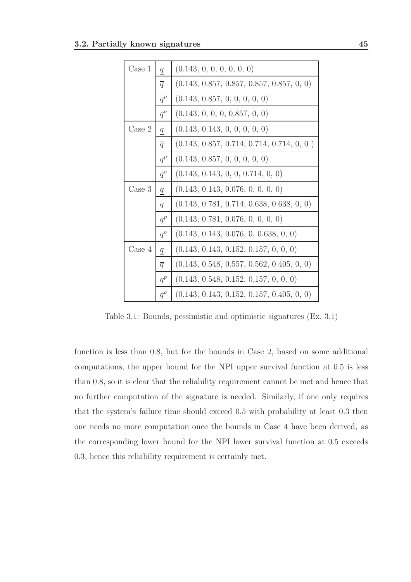| Case 1          | $\boldsymbol{q}$ | (0.143, 0, 0, 0, 0, 0, 0)                   |
|-----------------|------------------|---------------------------------------------|
|                 | $\overline{q}$   | $(0.143, 0.857, 0.857, 0.857, 0.857, 0, 0)$ |
|                 | $q^p$            | (0.143, 0.857, 0, 0, 0, 0, 0)               |
|                 | $q^o$            | (0.143, 0, 0, 0, 0.857, 0, 0)               |
| $\text{Case} 2$ | $\underline{q}$  | (0.143, 0.143, 0, 0, 0, 0, 0)               |
|                 | $\overline{q}$   | $(0.143, 0.857, 0.714, 0.714, 0.714, 0, 0)$ |
|                 | $q^p$            | (0.143, 0.857, 0, 0, 0, 0, 0)               |
|                 | $q^o$            | (0.143, 0.143, 0, 0, 0.714, 0, 0)           |
| Case 3          | $\underline{q}$  | (0.143, 0.143, 0.076, 0, 0, 0, 0)           |
|                 | $\overline{q}$   | $(0.143, 0.781, 0.714, 0.638, 0.638, 0, 0)$ |
|                 | $q^p$            | (0.143, 0.781, 0.076, 0, 0, 0, 0)           |
|                 | $q^o$            | (0.143, 0.143, 0.076, 0, 0.638, 0, 0)       |
| Case 4          | $\underline{q}$  | (0.143, 0.143, 0.152, 0.157, 0, 0, 0)       |
|                 | $\overline{q}$   | $(0.143, 0.548, 0.557, 0.562, 0.405, 0, 0)$ |
|                 | $q^p$            | (0.143, 0.548, 0.152, 0.157, 0, 0, 0)       |
|                 | $q^o\,$          | $(0.143, 0.143, 0.152, 0.157, 0.405, 0, 0)$ |

Table 3.1: Bounds, pessimistic and optimistic signatures (Ex. 3.1)

function is less than 0.8, but for the bounds in Case 2, based on some additional computations, the upper bound for the NPI upper survival function at 0.5 is less than 0.8, so it is clear that the reliability requirement cannot be met and hence that no further computation of the signature is needed. Similarly, if one only requires that the system's failure time should exceed 0.5 with probability at least 0.3 then one needs no more computation once the bounds in Case 4 have been derived, as the corresponding lower bound for the NPI lower survival function at 0.5 exceeds 0.3, hence this reliability requirement is certainly met.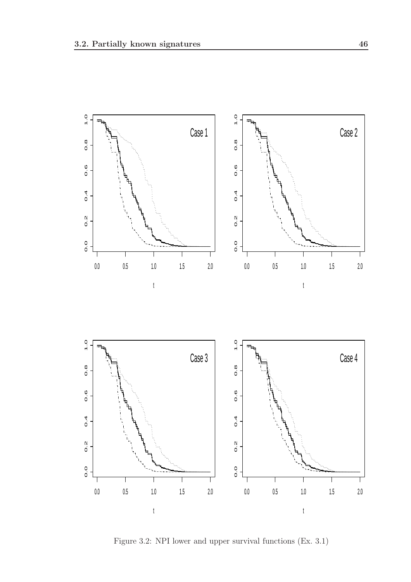

Figure 3.2: NPI lower and upper survival functions (Ex. 3.1)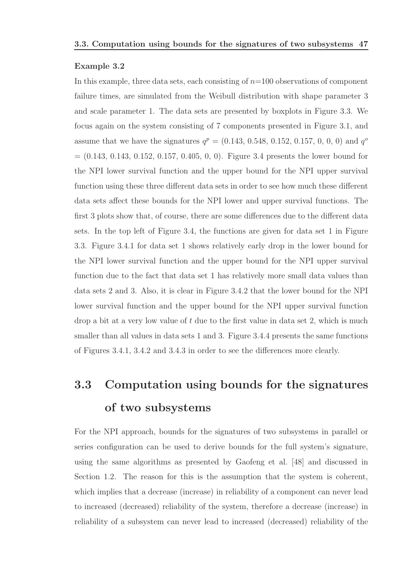#### Example 3.2

In this example, three data sets, each consisting of  $n=100$  observations of component failure times, are simulated from the Weibull distribution with shape parameter 3 and scale parameter 1. The data sets are presented by boxplots in Figure 3.3. We focus again on the system consisting of 7 components presented in Figure 3.1, and assume that we have the signatures  $q^p = (0.143, 0.548, 0.152, 0.157, 0, 0, 0)$  and  $q^o$  $= (0.143, 0.143, 0.152, 0.157, 0.405, 0, 0)$ . Figure 3.4 presents the lower bound for the NPI lower survival function and the upper bound for the NPI upper survival function using these three different data sets in order to see how much these different data sets affect these bounds for the NPI lower and upper survival functions. The first 3 plots show that, of course, there are some differences due to the different data sets. In the top left of Figure 3.4, the functions are given for data set 1 in Figure 3.3. Figure 3.4.1 for data set 1 shows relatively early drop in the lower bound for the NPI lower survival function and the upper bound for the NPI upper survival function due to the fact that data set 1 has relatively more small data values than data sets 2 and 3. Also, it is clear in Figure 3.4.2 that the lower bound for the NPI lower survival function and the upper bound for the NPI upper survival function drop a bit at a very low value of  $t$  due to the first value in data set 2, which is much smaller than all values in data sets 1 and 3. Figure 3.4.4 presents the same functions of Figures 3.4.1, 3.4.2 and 3.4.3 in order to see the differences more clearly.

# 3.3 Computation using bounds for the signatures of two subsystems

For the NPI approach, bounds for the signatures of two subsystems in parallel or series configuration can be used to derive bounds for the full system's signature, using the same algorithms as presented by Gaofeng et al. [48] and discussed in Section 1.2. The reason for this is the assumption that the system is coherent, which implies that a decrease (increase) in reliability of a component can never lead to increased (decreased) reliability of the system, therefore a decrease (increase) in reliability of a subsystem can never lead to increased (decreased) reliability of the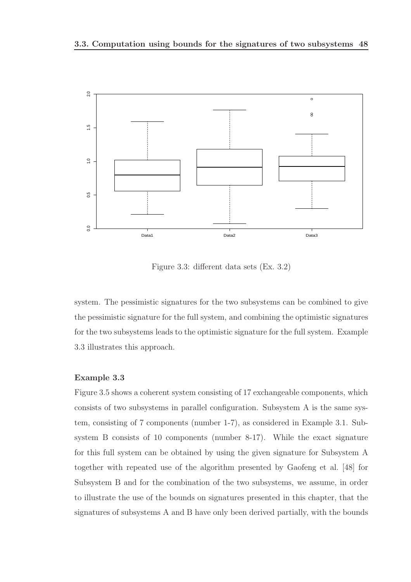

Figure 3.3: different data sets (Ex. 3.2)

system. The pessimistic signatures for the two subsystems can be combined to give the pessimistic signature for the full system, and combining the optimistic signatures for the two subsystems leads to the optimistic signature for the full system. Example 3.3 illustrates this approach.

#### Example 3.3

Figure 3.5 shows a coherent system consisting of 17 exchangeable components, which consists of two subsystems in parallel configuration. Subsystem A is the same system, consisting of 7 components (number 1-7), as considered in Example 3.1. Subsystem B consists of 10 components (number 8-17). While the exact signature for this full system can be obtained by using the given signature for Subsystem A together with repeated use of the algorithm presented by Gaofeng et al. [48] for Subsystem B and for the combination of the two subsystems, we assume, in order to illustrate the use of the bounds on signatures presented in this chapter, that the signatures of subsystems A and B have only been derived partially, with the bounds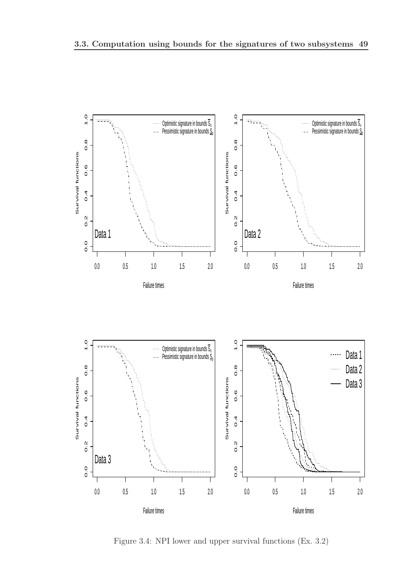

Figure 3.4: NPI lower and upper survival functions (Ex. 3.2)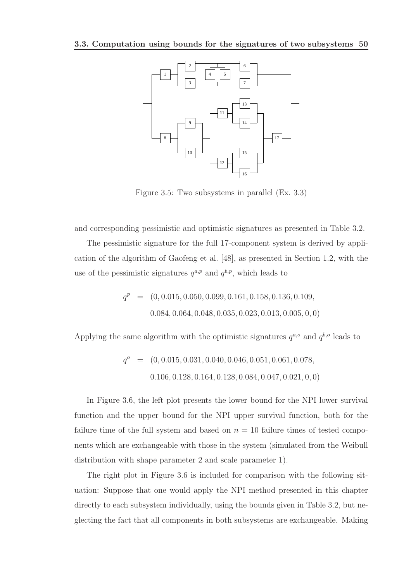

Figure 3.5: Two subsystems in parallel (Ex. 3.3)

and corresponding pessimistic and optimistic signatures as presented in Table 3.2.

The pessimistic signature for the full 17-component system is derived by application of the algorithm of Gaofeng et al. [48], as presented in Section 1.2, with the use of the pessimistic signatures  $q^{a,p}$  and  $q^{b,p}$ , which leads to

$$
q^{p} = (0, 0.015, 0.050, 0.099, 0.161, 0.158, 0.136, 0.109,
$$
  

$$
0.084, 0.064, 0.048, 0.035, 0.023, 0.013, 0.005, 0, 0)
$$

Applying the same algorithm with the optimistic signatures  $q^{a,o}$  and  $q^{b,o}$  leads to

$$
q^o = (0, 0.015, 0.031, 0.040, 0.046, 0.051, 0.061, 0.078,
$$
  
0.106, 0.128, 0.164, 0.128, 0.084, 0.047, 0.021, 0, 0)

In Figure 3.6, the left plot presents the lower bound for the NPI lower survival function and the upper bound for the NPI upper survival function, both for the failure time of the full system and based on  $n = 10$  failure times of tested components which are exchangeable with those in the system (simulated from the Weibull distribution with shape parameter 2 and scale parameter 1).

The right plot in Figure 3.6 is included for comparison with the following situation: Suppose that one would apply the NPI method presented in this chapter directly to each subsystem individually, using the bounds given in Table 3.2, but neglecting the fact that all components in both subsystems are exchangeable. Making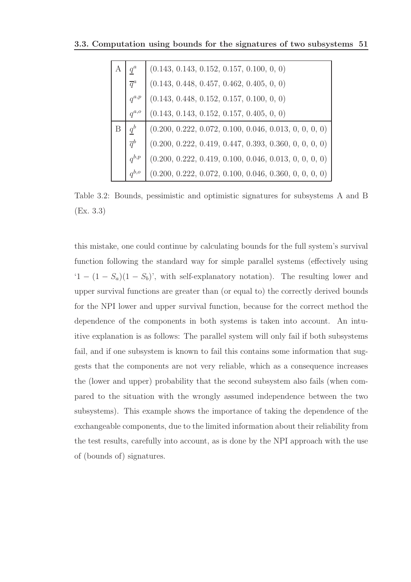|                   | $(0.143, 0.143, 0.152, 0.157, 0.100, 0, 0)$              |
|-------------------|----------------------------------------------------------|
| $\overline{q}^a$  | $(0.143, 0.448, 0.457, 0.462, 0.405, 0, 0)$              |
| $q^{a,p}$         | $(0.143, 0.448, 0.152, 0.157, 0.100, 0, 0)$              |
| $q^{a,o}$         | $(0.143, 0.143, 0.152, 0.157, 0.405, 0, 0)$              |
| $\underline{q}^b$ | $(0.200, 0.222, 0.072, 0.100, 0.046, 0.013, 0, 0, 0, 0)$ |
| $\overline{q}^b$  | $(0.200, 0.222, 0.419, 0.447, 0.393, 0.360, 0, 0, 0, 0)$ |
| $q^{b,p}$         | $(0.200, 0.222, 0.419, 0.100, 0.046, 0.013, 0, 0, 0, 0)$ |
| $q^{b,o}$         | $(0.200, 0.222, 0.072, 0.100, 0.046, 0.360, 0, 0, 0, 0)$ |

Table 3.2: Bounds, pessimistic and optimistic signatures for subsystems A and B (Ex. 3.3)

this mistake, one could continue by calculating bounds for the full system's survival function following the standard way for simple parallel systems (effectively using '1 −  $(1 - S_a)(1 - S_b)$ ', with self-explanatory notation). The resulting lower and upper survival functions are greater than (or equal to) the correctly derived bounds for the NPI lower and upper survival function, because for the correct method the dependence of the components in both systems is taken into account. An intuitive explanation is as follows: The parallel system will only fail if both subsystems fail, and if one subsystem is known to fail this contains some information that suggests that the components are not very reliable, which as a consequence increases the (lower and upper) probability that the second subsystem also fails (when compared to the situation with the wrongly assumed independence between the two subsystems). This example shows the importance of taking the dependence of the exchangeable components, due to the limited information about their reliability from the test results, carefully into account, as is done by the NPI approach with the use of (bounds of) signatures.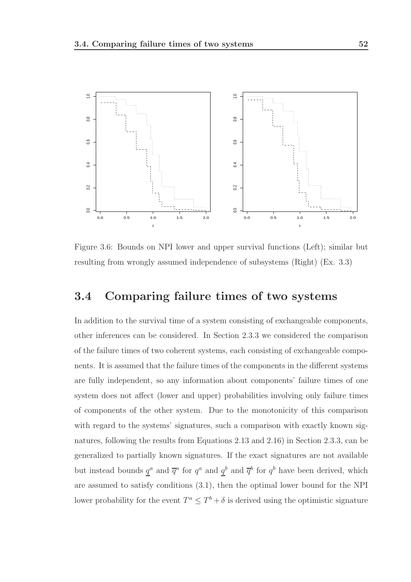

Figure 3.6: Bounds on NPI lower and upper survival functions (Left); similar but resulting from wrongly assumed independence of subsystems (Right) (Ex. 3.3)

# 3.4 Comparing failure times of two systems

In addition to the survival time of a system consisting of exchangeable components, other inferences can be considered. In Section 2.3.3 we considered the comparison of the failure times of two coherent systems, each consisting of exchangeable components. It is assumed that the failure times of the components in the different systems are fully independent, so any information about components' failure times of one system does not affect (lower and upper) probabilities involving only failure times of components of the other system. Due to the monotonicity of this comparison with regard to the systems' signatures, such a comparison with exactly known signatures, following the results from Equations 2.13 and 2.16) in Section 2.3.3, can be generalized to partially known signatures. If the exact signatures are not available but instead bounds  $q^a$  and  $\overline{q}^a$  for  $q^a$  and  $q^b$  and  $\overline{q}^b$  for  $q^b$  have been derived, which are assumed to satisfy conditions (3.1), then the optimal lower bound for the NPI lower probability for the event  $T^a \leq T^b + \delta$  is derived using the optimistic signature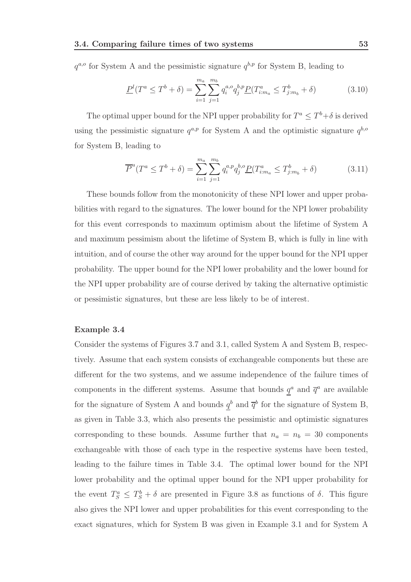$q^{a,o}$  for System A and the pessimistic signature  $q^{b,p}$  for System B, leading to

$$
\underline{P}^l(T^a \le T^b + \delta) = \sum_{i=1}^{m_a} \sum_{j=1}^{m_b} q_i^{a,o} q_j^{b,p} \underline{P}(T^a_{i:m_a} \le T^b_{j:m_b} + \delta)
$$
(3.10)

The optimal upper bound for the NPI upper probability for  $T^a \leq T^b + \delta$  is derived using the pessimistic signature  $q^{a,p}$  for System A and the optimistic signature  $q^{b,o}$ for System B, leading to

$$
\overline{P}^{u}(T^{a} \leq T^{b} + \delta) = \sum_{i=1}^{m_{a}} \sum_{j=1}^{m_{b}} q_{i}^{a,p} q_{j}^{b,o} \underline{P}(T_{i:m_{a}}^{a} \leq T_{j:m_{b}}^{b} + \delta)
$$
(3.11)

These bounds follow from the monotonicity of these NPI lower and upper probabilities with regard to the signatures. The lower bound for the NPI lower probability for this event corresponds to maximum optimism about the lifetime of System A and maximum pessimism about the lifetime of System B, which is fully in line with intuition, and of course the other way around for the upper bound for the NPI upper probability. The upper bound for the NPI lower probability and the lower bound for the NPI upper probability are of course derived by taking the alternative optimistic or pessimistic signatures, but these are less likely to be of interest.

#### Example 3.4

Consider the systems of Figures 3.7 and 3.1, called System A and System B, respectively. Assume that each system consists of exchangeable components but these are different for the two systems, and we assume independence of the failure times of components in the different systems. Assume that bounds  $q^a$  and  $\bar{q}^a$  are available for the signature of System A and bounds  $q^b$  and  $\overline{q}^b$  for the signature of System B, as given in Table 3.3, which also presents the pessimistic and optimistic signatures corresponding to these bounds. Assume further that  $n_a = n_b = 30$  components exchangeable with those of each type in the respective systems have been tested, leading to the failure times in Table 3.4. The optimal lower bound for the NPI lower probability and the optimal upper bound for the NPI upper probability for the event  $T_S^a \leq T_S^b + \delta$  are presented in Figure 3.8 as functions of  $\delta$ . This figure also gives the NPI lower and upper probabilities for this event corresponding to the exact signatures, which for System B was given in Example 3.1 and for System A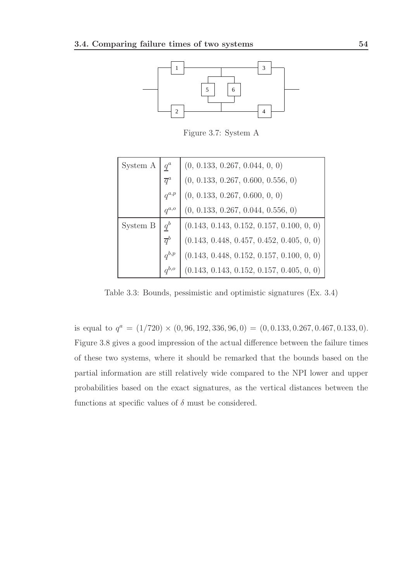

Figure 3.7: System A

| System A | $q^a$            | (0, 0.133, 0.267, 0.044, 0, 0)              |
|----------|------------------|---------------------------------------------|
|          | $\overline{q}^a$ | (0, 0.133, 0.267, 0.600, 0.556, 0)          |
|          | $q^{a,p}$        | (0, 0.133, 0.267, 0.600, 0, 0)              |
|          | $q^{a,o}$        | (0, 0.133, 0.267, 0.044, 0.556, 0)          |
|          |                  |                                             |
| System B | $q^b$            | $(0.143, 0.143, 0.152, 0.157, 0.100, 0, 0)$ |
|          | $\overline{q}^b$ | $(0.143, 0.448, 0.457, 0.452, 0.405, 0, 0)$ |
|          | $q^{b,p}$        | $(0.143, 0.448, 0.152, 0.157, 0.100, 0, 0)$ |

Table 3.3: Bounds, pessimistic and optimistic signatures (Ex. 3.4)

is equal to  $q^a = (1/720) \times (0, 96, 192, 336, 96, 0) = (0, 0.133, 0.267, 0.467, 0.133, 0).$ Figure 3.8 gives a good impression of the actual difference between the failure times of these two systems, where it should be remarked that the bounds based on the partial information are still relatively wide compared to the NPI lower and upper probabilities based on the exact signatures, as the vertical distances between the functions at specific values of  $\delta$  must be considered.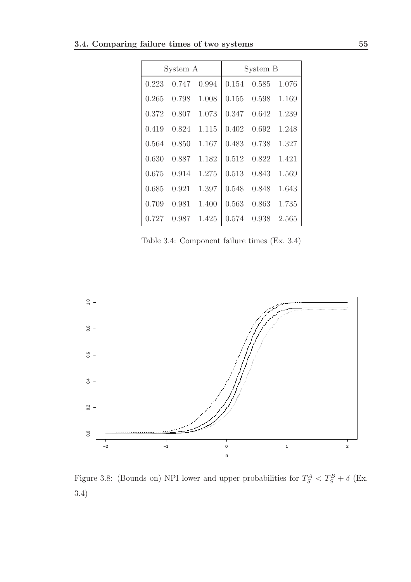| System A |       |       | System B |       |       |
|----------|-------|-------|----------|-------|-------|
| 0.223    | 0.747 | 0.994 | 0.154    | 0.585 | 1.076 |
| 0.265    | 0.798 | 1.008 | 0.155    | 0.598 | 1.169 |
| 0.372    | 0.807 | 1.073 | 0.347    | 0.642 | 1.239 |
| 0.419    | 0.824 | 1.115 | 0.402    | 0.692 | 1.248 |
| 0.564    | 0.850 | 1.167 | 0.483    | 0.738 | 1.327 |
| 0.630    | 0.887 | 1.182 | 0.512    | 0.822 | 1.421 |
| 0.675    | 0.914 | 1.275 | 0.513    | 0.843 | 1.569 |
| 0.685    | 0.921 | 1.397 | 0.548    | 0.848 | 1.643 |
| 0.709    | 0.981 | 1.400 | 0.563    | 0.863 | 1.735 |
| 0.727    | 0.987 | 1.425 | 0.574    | 0.938 | 2.565 |

Table 3.4: Component failure times (Ex. 3.4)



Figure 3.8: (Bounds on) NPI lower and upper probabilities for  $T_S^A < T_S^B + \delta$  (Ex. 3.4)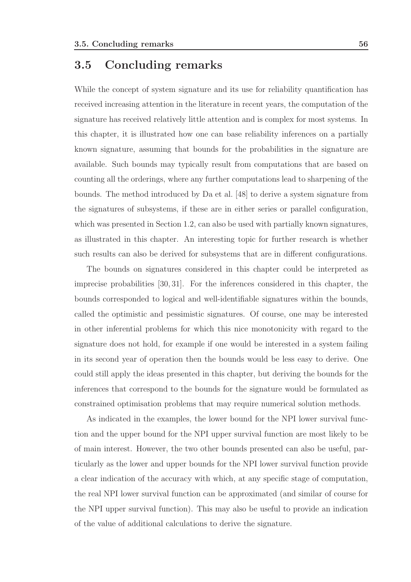### 3.5 Concluding remarks

While the concept of system signature and its use for reliability quantification has received increasing attention in the literature in recent years, the computation of the signature has received relatively little attention and is complex for most systems. In this chapter, it is illustrated how one can base reliability inferences on a partially known signature, assuming that bounds for the probabilities in the signature are available. Such bounds may typically result from computations that are based on counting all the orderings, where any further computations lead to sharpening of the bounds. The method introduced by Da et al. [48] to derive a system signature from the signatures of subsystems, if these are in either series or parallel configuration, which was presented in Section 1.2, can also be used with partially known signatures, as illustrated in this chapter. An interesting topic for further research is whether such results can also be derived for subsystems that are in different configurations.

The bounds on signatures considered in this chapter could be interpreted as imprecise probabilities [30, 31]. For the inferences considered in this chapter, the bounds corresponded to logical and well-identifiable signatures within the bounds, called the optimistic and pessimistic signatures. Of course, one may be interested in other inferential problems for which this nice monotonicity with regard to the signature does not hold, for example if one would be interested in a system failing in its second year of operation then the bounds would be less easy to derive. One could still apply the ideas presented in this chapter, but deriving the bounds for the inferences that correspond to the bounds for the signature would be formulated as constrained optimisation problems that may require numerical solution methods.

As indicated in the examples, the lower bound for the NPI lower survival function and the upper bound for the NPI upper survival function are most likely to be of main interest. However, the two other bounds presented can also be useful, particularly as the lower and upper bounds for the NPI lower survival function provide a clear indication of the accuracy with which, at any specific stage of computation, the real NPI lower survival function can be approximated (and similar of course for the NPI upper survival function). This may also be useful to provide an indication of the value of additional calculations to derive the signature.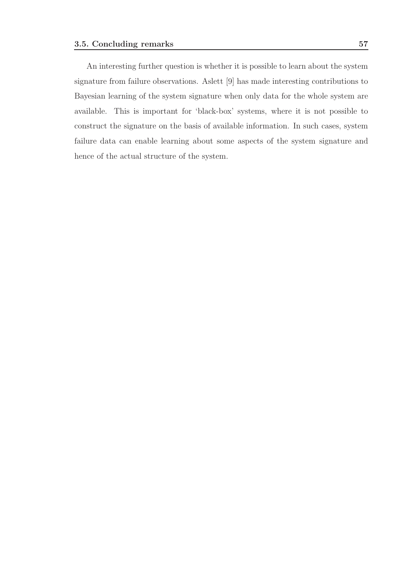An interesting further question is whether it is possible to learn about the system signature from failure observations. Aslett [9] has made interesting contributions to Bayesian learning of the system signature when only data for the whole system are available. This is important for 'black-box' systems, where it is not possible to construct the signature on the basis of available information. In such cases, system failure data can enable learning about some aspects of the system signature and hence of the actual structure of the system.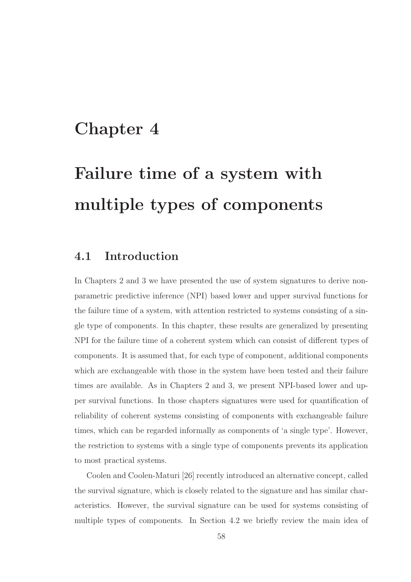# Chapter 4

# Failure time of a system with multiple types of components

### 4.1 Introduction

In Chapters 2 and 3 we have presented the use of system signatures to derive nonparametric predictive inference (NPI) based lower and upper survival functions for the failure time of a system, with attention restricted to systems consisting of a single type of components. In this chapter, these results are generalized by presenting NPI for the failure time of a coherent system which can consist of different types of components. It is assumed that, for each type of component, additional components which are exchangeable with those in the system have been tested and their failure times are available. As in Chapters 2 and 3, we present NPI-based lower and upper survival functions. In those chapters signatures were used for quantification of reliability of coherent systems consisting of components with exchangeable failure times, which can be regarded informally as components of 'a single type'. However, the restriction to systems with a single type of components prevents its application to most practical systems.

Coolen and Coolen-Maturi [26] recently introduced an alternative concept, called the survival signature, which is closely related to the signature and has similar characteristics. However, the survival signature can be used for systems consisting of multiple types of components. In Section 4.2 we briefly review the main idea of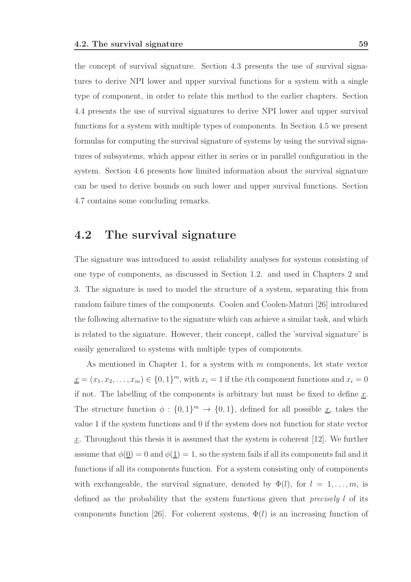the concept of survival signature. Section 4.3 presents the use of survival signatures to derive NPI lower and upper survival functions for a system with a single type of component, in order to relate this method to the earlier chapters. Section 4.4 presents the use of survival signatures to derive NPI lower and upper survival functions for a system with multiple types of components. In Section 4.5 we present formulas for computing the survival signature of systems by using the survival signatures of subsystems, which appear either in series or in parallel configuration in the system. Section 4.6 presents how limited information about the survival signature can be used to derive bounds on such lower and upper survival functions. Section 4.7 contains some concluding remarks.

### 4.2 The survival signature

The signature was introduced to assist reliability analyses for systems consisting of one type of components, as discussed in Section 1.2. and used in Chapters 2 and 3. The signature is used to model the structure of a system, separating this from random failure times of the components. Coolen and Coolen-Maturi [26] introduced the following alternative to the signature which can achieve a similar task, and which is related to the signature. However, their concept, called the 'survival signature' is easily generalized to systems with multiple types of components.

As mentioned in Chapter 1, for a system with m components, let state vector  $\underline{x} = (x_1, x_2, \dots, x_m) \in \{0, 1\}^m$ , with  $x_i = 1$  if the *i*th component functions and  $x_i = 0$ if not. The labelling of the components is arbitrary but must be fixed to define  $\underline{x}$ . The structure function  $\phi: \{0,1\}^m \to \{0,1\}$ , defined for all possible <u>x</u>, takes the value 1 if the system functions and 0 if the system does not function for state vector  $\underline{x}$ . Throughout this thesis it is assumed that the system is coherent [12]. We further assume that  $\phi(\underline{0}) = 0$  and  $\phi(\underline{1}) = 1$ , so the system fails if all its components fail and it functions if all its components function. For a system consisting only of components with exchangeable, the survival signature, denoted by  $\Phi(l)$ , for  $l = 1, \ldots, m$ , is defined as the probability that the system functions given that precisely l of its components function [26]. For coherent systems,  $\Phi(l)$  is an increasing function of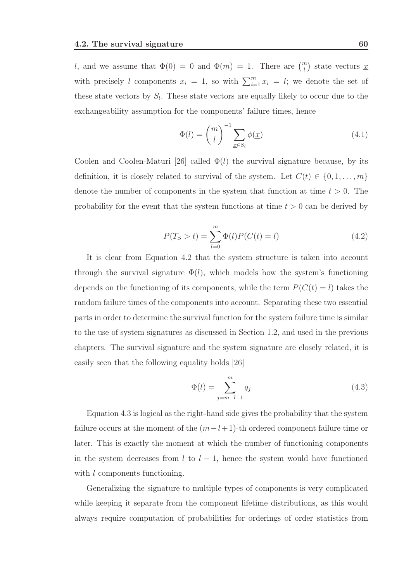l, and we assume that  $\Phi(0) = 0$  and  $\Phi(m) = 1$ . There are  $\binom{m}{l}$  state vectors <u>x</u> with precisely l components  $x_i = 1$ , so with  $\sum_{i=1}^{m} x_i = l$ ; we denote the set of these state vectors by  $S_l$ . These state vectors are equally likely to occur due to the exchangeability assumption for the components' failure times, hence

$$
\Phi(l) = \binom{m}{l}^{-1} \sum_{\underline{x} \in S_l} \phi(\underline{x}) \tag{4.1}
$$

Coolen and Coolen-Maturi [26] called  $\Phi(l)$  the survival signature because, by its definition, it is closely related to survival of the system. Let  $C(t) \in \{0, 1, \ldots, m\}$ denote the number of components in the system that function at time  $t > 0$ . The probability for the event that the system functions at time  $t > 0$  can be derived by

$$
P(T_S > t) = \sum_{l=0}^{m} \Phi(l) P(C(t) = l)
$$
\n(4.2)

It is clear from Equation 4.2 that the system structure is taken into account through the survival signature  $\Phi(l)$ , which models how the system's functioning depends on the functioning of its components, while the term  $P(C(t) = l)$  takes the random failure times of the components into account. Separating these two essential parts in order to determine the survival function for the system failure time is similar to the use of system signatures as discussed in Section 1.2, and used in the previous chapters. The survival signature and the system signature are closely related, it is easily seen that the following equality holds [26]

$$
\Phi(l) = \sum_{j=m-l+1}^{m} q_j \tag{4.3}
$$

Equation 4.3 is logical as the right-hand side gives the probability that the system failure occurs at the moment of the  $(m-l+1)$ -th ordered component failure time or later. This is exactly the moment at which the number of functioning components in the system decreases from  $l$  to  $l-1$ , hence the system would have functioned with *l* components functioning.

Generalizing the signature to multiple types of components is very complicated while keeping it separate from the component lifetime distributions, as this would always require computation of probabilities for orderings of order statistics from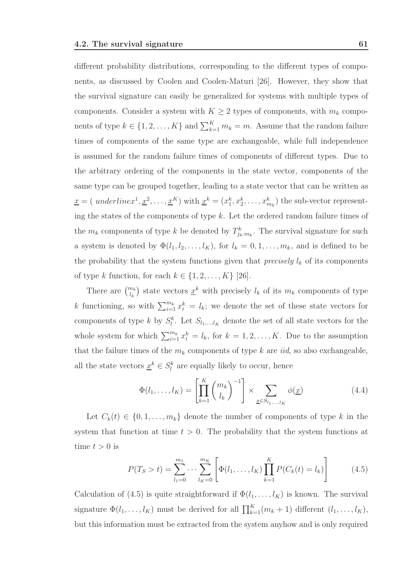different probability distributions, corresponding to the different types of components, as discussed by Coolen and Coolen-Maturi [26]. However, they show that the survival signature can easily be generalized for systems with multiple types of components. Consider a system with  $K \geq 2$  types of components, with  $m_k$  components of type  $k \in \{1, 2, ..., K\}$  and  $\sum_{k=1}^{K} m_k = m$ . Assume that the random failure times of components of the same type are exchangeable, while full independence is assumed for the random failure times of components of different types. Due to the arbitrary ordering of the components in the state vector, components of the same type can be grouped together, leading to a state vector that can be written as  $\underline{x} = ( \text{ underline} x^1, \underline{x}^2, \dots, \underline{x}^K) \text{ with } \underline{x}^k = (x_1^k, x_2^k, \dots, x_{m_k}^k) \text{ the sub-vector representation }$ ing the states of the components of type  $k$ . Let the ordered random failure times of the  $m_k$  components of type k be denoted by  $T_{j_k:m_k}^k$ . The survival signature for such a system is denoted by  $\Phi(l_1, l_2, \ldots, l_K)$ , for  $l_k = 0, 1, \ldots, m_k$ , and is defined to be the probability that the system functions given that *precisely*  $l_k$  of its components of type k function, for each  $k \in \{1, 2, \ldots, K\}$  [26].

There are  $\binom{m_k}{l_k}$  state vectors  $\underline{x}^k$  with precisely  $l_k$  of its  $m_k$  components of type k functioning, so with  $\sum_{i=1}^{m_k} x_i^k = l_k$ ; we denote the set of these state vectors for components of type k by  $S_l^k$ . Let  $S_{l_1,\dots,l_K}$  denote the set of all state vectors for the whole system for which  $\sum_{i=1}^{m_k} x_i^k = l_k$ , for  $k = 1, 2, ..., K$ . Due to the assumption that the failure times of the  $m_k$  components of type k are *iid*, so also exchangeable, all the state vectors  $\underline{x}^k \in S_l^k$  are equally likely to occur, hence

$$
\Phi(l_1,\ldots,l_K) = \left[\prod_{k=1}^K \binom{m_k}{l_k}^{-1}\right] \times \sum_{\underline{x} \in S_{l_1,\ldots,l_K}} \phi(\underline{x}) \tag{4.4}
$$

Let  $C_k(t) \in \{0, 1, \ldots, m_k\}$  denote the number of components of type k in the system that function at time  $t > 0$ . The probability that the system functions at time  $t > 0$  is

$$
P(T_S > t) = \sum_{l_1=0}^{m_1} \cdots \sum_{l_K=0}^{m_K} \left[ \Phi(l_1, \dots, l_K) \prod_{k=1}^K P(C_k(t) = l_k) \right]
$$
(4.5)

Calculation of (4.5) is quite straightforward if  $\Phi(l_1, \ldots, l_K)$  is known. The survival signature  $\Phi(l_1,\ldots,l_K)$  must be derived for all  $\prod_{k=1}^K(m_k+1)$  different  $(l_1,\ldots,l_K)$ , but this information must be extracted from the system anyhow and is only required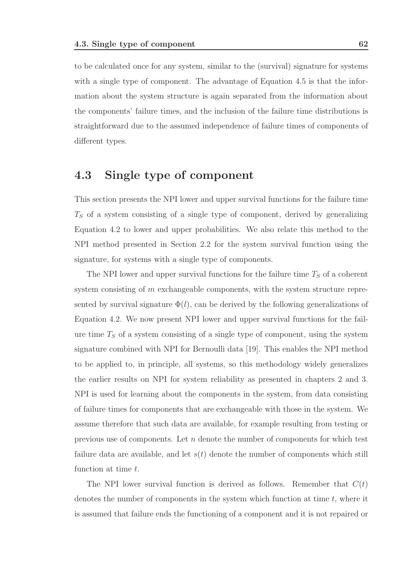to be calculated once for any system, similar to the (survival) signature for systems with a single type of component. The advantage of Equation 4.5 is that the information about the system structure is again separated from the information about the components' failure times, and the inclusion of the failure time distributions is straightforward due to the assumed independence of failure times of components of different types.

# 4.3 Single type of component

This section presents the NPI lower and upper survival functions for the failure time  $T<sub>S</sub>$  of a system consisting of a single type of component, derived by generalizing Equation 4.2 to lower and upper probabilities. We also relate this method to the NPI method presented in Section 2.2 for the system survival function using the signature, for systems with a single type of components.

The NPI lower and upper survival functions for the failure time  $T<sub>S</sub>$  of a coherent system consisting of m exchangeable components, with the system structure represented by survival signature  $\Phi(l)$ , can be derived by the following generalizations of Equation 4.2. We now present NPI lower and upper survival functions for the failure time  $T<sub>S</sub>$  of a system consisting of a single type of component, using the system signature combined with NPI for Bernoulli data [19]. This enables the NPI method to be applied to, in principle, all systems, so this methodology widely generalizes the earlier results on NPI for system reliability as presented in chapters 2 and 3. NPI is used for learning about the components in the system, from data consisting of failure times for components that are exchangeable with those in the system. We assume therefore that such data are available, for example resulting from testing or previous use of components. Let  $n$  denote the number of components for which test failure data are available, and let  $s(t)$  denote the number of components which still function at time t.

The NPI lower survival function is derived as follows. Remember that  $C(t)$ denotes the number of components in the system which function at time  $t$ , where it is assumed that failure ends the functioning of a component and it is not repaired or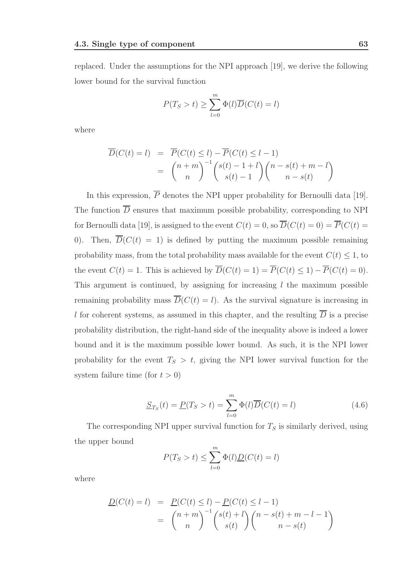replaced. Under the assumptions for the NPI approach [19], we derive the following lower bound for the survival function

$$
P(T_S > t) \ge \sum_{l=0}^{m} \Phi(l)\overline{D}(C(t) = l)
$$

where

$$
\overline{D}(C(t) = l) = \overline{P}(C(t) \le l) - \overline{P}(C(t) \le l - 1)
$$

$$
= {n + m \choose n}^{-1} {s(t) - 1 + l \choose s(t) - 1} {n - s(t) + m - l \choose n - s(t)}
$$

In this expression,  $\overline{P}$  denotes the NPI upper probability for Bernoulli data [19]. The function  $\overline{D}$  ensures that maximum possible probability, corresponding to NPI for Bernoulli data [19], is assigned to the event  $C(t) = 0$ , so  $\overline{D}(C(t) = 0) = \overline{P}(C(t) = 0)$ 0). Then,  $\overline{D}(C(t) = 1)$  is defined by putting the maximum possible remaining probability mass, from the total probability mass available for the event  $C(t) \leq 1$ , to the event  $C(t) = 1$ . This is achieved by  $\overline{D}(C(t) = 1) = \overline{P}(C(t) \le 1) - \overline{P}(C(t) = 0)$ . This argument is continued, by assigning for increasing  $l$  the maximum possible remaining probability mass  $\overline{D}(C(t) = l)$ . As the survival signature is increasing in l for coherent systems, as assumed in this chapter, and the resulting  $\overline{D}$  is a precise probability distribution, the right-hand side of the inequality above is indeed a lower bound and it is the maximum possible lower bound. As such, it is the NPI lower probability for the event  $T_S > t$ , giving the NPI lower survival function for the system failure time (for  $t > 0$ )

$$
\underline{S}_{T_S}(t) = \underline{P}(T_S > t) = \sum_{l=0}^{m} \Phi(l) \overline{D}(C(t) = l)
$$
\n(4.6)

The corresponding NPI upper survival function for  $T<sub>S</sub>$  is similarly derived, using the upper bound

$$
P(T_S > t) \le \sum_{l=0}^{m} \Phi(l) \underline{D}(C(t) = l)
$$

where

$$
\frac{D(C(t) = l)}{P(C(t) = l)} = \frac{P(C(t) \le l) - P(C(t) \le l - 1)}{n} = \binom{n + m}{n}^{-1} \binom{s(t) + l}{s(t)} \binom{n - s(t) + m - l - 1}{n - s(t)}
$$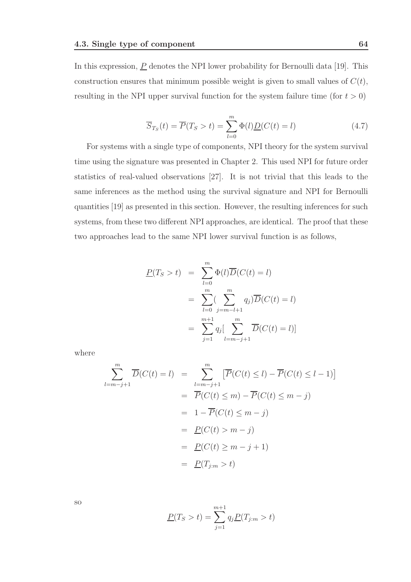In this expression,  $\underline{P}$  denotes the NPI lower probability for Bernoulli data [19]. This construction ensures that minimum possible weight is given to small values of  $C(t)$ , resulting in the NPI upper survival function for the system failure time (for  $t > 0$ )

$$
\overline{S}_{T_S}(t) = \overline{P}(T_S > t) = \sum_{l=0}^{m} \Phi(l) \underline{D}(C(t) = l)
$$
\n(4.7)

For systems with a single type of components, NPI theory for the system survival time using the signature was presented in Chapter 2. This used NPI for future order statistics of real-valued observations [27]. It is not trivial that this leads to the same inferences as the method using the survival signature and NPI for Bernoulli quantities [19] as presented in this section. However, the resulting inferences for such systems, from these two different NPI approaches, are identical. The proof that these two approaches lead to the same NPI lower survival function is as follows,

$$
\underline{P}(T_S > t) = \sum_{l=0}^{m} \Phi(l) \overline{D}(C(t) = l)
$$

$$
= \sum_{l=0}^{m} \sum_{j=m-l+1}^{m} q_j \overline{D}(C(t) = l)
$$

$$
= \sum_{j=1}^{m+1} q_j \left[ \sum_{l=m-j+1}^{m} \overline{D}(C(t) = l) \right]
$$

where

$$
\sum_{l=m-j+1}^{m} \overline{D}(C(t) = l) = \sum_{l=m-j+1}^{m} \left[ \overline{P}(C(t) \le l) - \overline{P}(C(t) \le l-1) \right]
$$

$$
= \overline{P}(C(t) \le m) - \overline{P}(C(t) \le m-j)
$$

$$
= 1 - \overline{P}(C(t) \le m-j)
$$

$$
= \underline{P}(C(t) > m-j)
$$

$$
= \underline{P}(C(t) \ge m-j+1)
$$

$$
= \underline{P}(T_{j:m} > t)
$$

so

$$
\underline{P}(T_S > t) = \sum_{j=1}^{m+1} q_j \underline{P}(T_{j:m} > t)
$$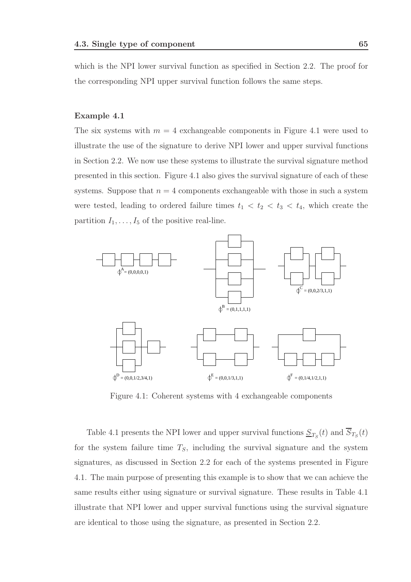which is the NPI lower survival function as specified in Section 2.2. The proof for the corresponding NPI upper survival function follows the same steps.

#### Example 4.1

The six systems with  $m = 4$  exchangeable components in Figure 4.1 were used to illustrate the use of the signature to derive NPI lower and upper survival functions in Section 2.2. We now use these systems to illustrate the survival signature method presented in this section. Figure 4.1 also gives the survival signature of each of these systems. Suppose that  $n = 4$  components exchangeable with those in such a system were tested, leading to ordered failure times  $t_1 < t_2 < t_3 < t_4$ , which create the partition  $I_1, \ldots, I_5$  of the positive real-line.



Figure 4.1: Coherent systems with 4 exchangeable components

Table 4.1 presents the NPI lower and upper survival functions  $S_{T_S}(t)$  and  $S_{T_S}(t)$ for the system failure time  $T<sub>S</sub>$ , including the survival signature and the system signatures, as discussed in Section 2.2 for each of the systems presented in Figure 4.1. The main purpose of presenting this example is to show that we can achieve the same results either using signature or survival signature. These results in Table 4.1 illustrate that NPI lower and upper survival functions using the survival signature are identical to those using the signature, as presented in Section 2.2.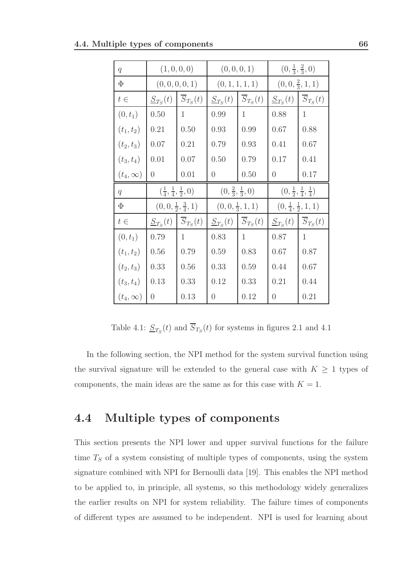| 4.4. Multiple types of components |  |
|-----------------------------------|--|
|-----------------------------------|--|

| q                                                |              | (1, 0, 0, 0)                                         |                | (0, 0, 0, 1)                       |                                              | $(0, \frac{1}{3}, \frac{2}{3}, 0)$    |
|--------------------------------------------------|--------------|------------------------------------------------------|----------------|------------------------------------|----------------------------------------------|---------------------------------------|
| $\Phi$                                           |              | (0, 0, 0, 0, 1)                                      |                | (0, 1, 1, 1, 1)                    |                                              | $(0,0,\frac{2}{3},1,1)$               |
| $t\in$                                           | $S_{T_S}(t)$ | $\overline{S}_{T_S}(t)$                              | $S_{T_S}(t)$   | $\overline{S}_{T_S}(t)$            | $S_{T_S}(t)$                                 | $\overline{S}_{T_S}(t)$               |
| $(0, t_1)$                                       | 0.50         | 1                                                    | 0.99           | 1                                  | 0.88                                         | $\mathbf{1}$                          |
| $(t_1, t_2)$                                     | 0.21         | 0.50                                                 | 0.93           | 0.99                               | 0.67                                         | 0.88                                  |
| $(t_2, t_3)$                                     | 0.07         | 0.21                                                 | 0.79           | 0.93                               | 0.41                                         | 0.67                                  |
| $(t_3, t_4)$                                     | 0.01         | 0.07                                                 | 0.50           | 0.79                               | 0.17                                         | 0.41                                  |
| $(t_4,\infty)$                                   | $\theta$     | 0.01                                                 | $\overline{0}$ | 0.50                               | $\theta$                                     | 0.17                                  |
|                                                  |              |                                                      |                |                                    |                                              |                                       |
| $\overline{q}$                                   |              | $\left(\frac{1}{4},\frac{1}{4},\frac{1}{2},0\right)$ |                | $(0, \frac{2}{3}, \frac{1}{3}, 0)$ | $(0, \frac{1}{2}, \frac{1}{4}, \frac{1}{4})$ |                                       |
| $\Phi$                                           |              | $(0,0,\frac{1}{2},\frac{3}{4},1)$                    |                | $(0,0,\frac{1}{3},1,1)$            |                                              | $(0, \frac{1}{4}, \frac{1}{2}, 1, 1)$ |
| $t\in% {\textstyle\bigoplus\nolimits^{r}} t^{r}$ | $S_{T_S}(t)$ | $\overline{S}_{T_S}(t)$                              | $S_{T_S}(t)$   | $\overline{S}_{T_S}(t)$            | $S_{T_S}(t)$                                 | $\overline{S}_{T_S}(t)$               |
| $(0, t_1)$                                       | 0.79         | $\mathbf{1}$                                         | 0.83           | 1                                  | 0.87                                         | $\mathbf{1}$                          |
| $(t_1, t_2)$                                     | 0.56         | 0.79                                                 | $0.59\,$       | 0.83                               | 0.67                                         | 0.87                                  |
| $(t_2, t_3)$                                     | 0.33         | 0.56                                                 | 0.33           | 0.59                               | 0.44                                         | 0.67                                  |
| $(t_3, t_4)$                                     | 0.13         | 0.33                                                 | 0.12           | 0.33                               | 0.21                                         | 0.44                                  |

Table 4.1:  $S_{T_S}(t)$  and  $S_{T_S}(t)$  for systems in figures 2.1 and 4.1

In the following section, the NPI method for the system survival function using the survival signature will be extended to the general case with  $K\,\geq\,1$  types of components, the main ideas are the same as for this case with  $K = 1$ .

## 4.4 Multiple types of components

This section presents the NPI lower and upper survival functions for the failure time  $T<sub>S</sub>$  of a system consisting of multiple types of components, using the system signature combined with NPI for Bernoulli data [19]. This enables the NPI method to be applied to, in principle, all systems, so this methodology widely generalizes the earlier results on NPI for system reliability. The failure times of components of different types are assumed to be independent. NPI is used for learning about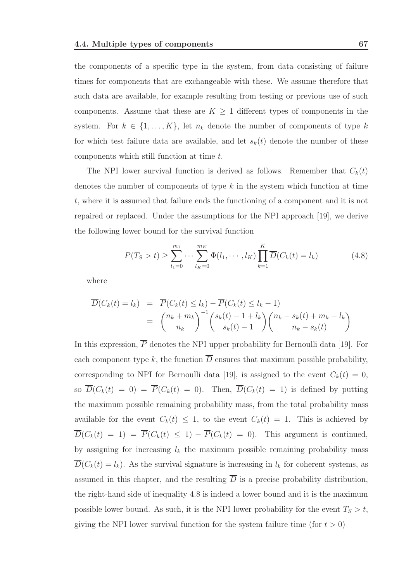the components of a specific type in the system, from data consisting of failure times for components that are exchangeable with these. We assume therefore that such data are available, for example resulting from testing or previous use of such components. Assume that these are  $K \geq 1$  different types of components in the system. For  $k \in \{1, ..., K\}$ , let  $n_k$  denote the number of components of type k for which test failure data are available, and let  $s_k(t)$  denote the number of these components which still function at time t.

The NPI lower survival function is derived as follows. Remember that  $C_k(t)$ denotes the number of components of type  $k$  in the system which function at time t, where it is assumed that failure ends the functioning of a component and it is not repaired or replaced. Under the assumptions for the NPI approach [19], we derive the following lower bound for the survival function

$$
P(T_S > t) \ge \sum_{l_1=0}^{m_1} \cdots \sum_{l_K=0}^{m_K} \Phi(l_1, \cdots, l_K) \prod_{k=1}^K \overline{D}(C_k(t) = l_k)
$$
(4.8)

where

$$
\overline{D}(C_k(t) = l_k) = \overline{P}(C_k(t) \le l_k) - \overline{P}(C_k(t) \le l_k - 1)
$$
  
= 
$$
{\binom{n_k + m_k}{n_k}}^{-1} {\binom{s_k(t) - 1 + l_k}{s_k(t) - 1}} {\binom{n_k - s_k(t) + m_k - l_k}{n_k - s_k(t)}}
$$

In this expression,  $\overline{P}$  denotes the NPI upper probability for Bernoulli data [19]. For each component type k, the function  $\overline{D}$  ensures that maximum possible probability, corresponding to NPI for Bernoulli data [19], is assigned to the event  $C_k(t) = 0$ , so  $\overline{D}(C_k(t) = 0) = \overline{P}(C_k(t) = 0)$ . Then,  $\overline{D}(C_k(t) = 1)$  is defined by putting the maximum possible remaining probability mass, from the total probability mass available for the event  $C_k(t) \leq 1$ , to the event  $C_k(t) = 1$ . This is achieved by  $\overline{D}(C_k(t) = 1) = \overline{P}(C_k(t) \leq 1) - \overline{P}(C_k(t) = 0)$ . This argument is continued, by assigning for increasing  $l_k$  the maximum possible remaining probability mass  $\overline{D}(C_k(t) = l_k)$ . As the survival signature is increasing in  $l_k$  for coherent systems, as assumed in this chapter, and the resulting  $\overline{D}$  is a precise probability distribution, the right-hand side of inequality 4.8 is indeed a lower bound and it is the maximum possible lower bound. As such, it is the NPI lower probability for the event  $T_S > t$ , giving the NPI lower survival function for the system failure time (for  $t > 0$ )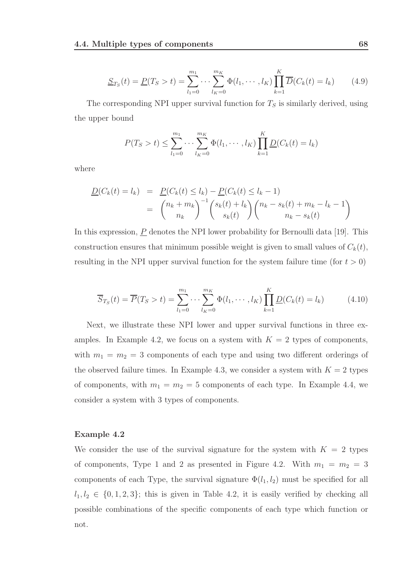$$
\underline{S}_{T_S}(t) = \underline{P}(T_S > t) = \sum_{l_1=0}^{m_1} \cdots \sum_{l_K=0}^{m_K} \Phi(l_1, \cdots, l_K) \prod_{k=1}^K \overline{D}(C_k(t) = l_k)
$$
(4.9)

The corresponding NPI upper survival function for  $T<sub>S</sub>$  is similarly derived, using the upper bound

$$
P(T_S > t) \le \sum_{l_1=0}^{m_1} \cdots \sum_{l_K=0}^{m_K} \Phi(l_1, \cdots, l_K) \prod_{k=1}^K \underline{D}(C_k(t) = l_k)
$$

where

$$
\underline{D}(C_k(t) = l_k) = \underline{P}(C_k(t) \le l_k) - \underline{P}(C_k(t) \le l_k - 1) \n= \binom{n_k + m_k}{n_k}^{-1} \binom{s_k(t) + l_k}{s_k(t)} \binom{n_k - s_k(t) + m_k - l_k - 1}{n_k - s_k(t)}
$$

In this expression,  $\underline{P}$  denotes the NPI lower probability for Bernoulli data [19]. This construction ensures that minimum possible weight is given to small values of  $C_k(t)$ , resulting in the NPI upper survival function for the system failure time (for  $t > 0$ )

$$
\overline{S}_{T_S}(t) = \overline{P}(T_S > t) = \sum_{l_1=0}^{m_1} \cdots \sum_{l_K=0}^{m_K} \Phi(l_1, \cdots, l_K) \prod_{k=1}^K \underline{D}(C_k(t) = l_k)
$$
(4.10)

Next, we illustrate these NPI lower and upper survival functions in three examples. In Example 4.2, we focus on a system with  $K = 2$  types of components, with  $m_1 = m_2 = 3$  components of each type and using two different orderings of the observed failure times. In Example 4.3, we consider a system with  $K = 2$  types of components, with  $m_1 = m_2 = 5$  components of each type. In Example 4.4, we consider a system with 3 types of components.

#### Example 4.2

We consider the use of the survival signature for the system with  $K = 2$  types of components, Type 1 and 2 as presented in Figure 4.2. With  $m_1 = m_2 = 3$ components of each Type, the survival signature  $\Phi(l_1, l_2)$  must be specified for all  $l_1, l_2 \in \{0, 1, 2, 3\}$ ; this is given in Table 4.2, it is easily verified by checking all possible combinations of the specific components of each type which function or not.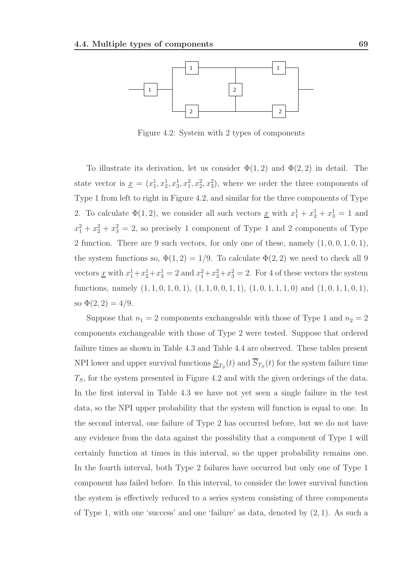

Figure 4.2: System with 2 types of components

To illustrate its derivation, let us consider  $\Phi(1,2)$  and  $\Phi(2,2)$  in detail. The state vector is  $\underline{x} = (x_1^1, x_2^1, x_3^1, x_1^2, x_2^2, x_3^2)$ , where we order the three components of Type 1 from left to right in Figure 4.2, and similar for the three components of Type 2. To calculate  $\Phi(1,2)$ , we consider all such vectors <u>x</u> with  $x_1^1 + x_2^1 + x_3^1 = 1$  and  $x_1^2 + x_2^2 + x_3^2 = 2$ , so precisely 1 component of Type 1 and 2 components of Type 2 function. There are 9 such vectors, for only one of these, namely  $(1, 0, 0, 1, 0, 1)$ , the system functions so,  $\Phi(1,2) = 1/9$ . To calculate  $\Phi(2,2)$  we need to check all 9 vectors <u>x</u> with  $x_1^1 + x_2^1 + x_3^1 = 2$  and  $x_1^2 + x_2^2 + x_3^2 = 2$ . For 4 of these vectors the system functions, namely  $(1, 1, 0, 1, 0, 1), (1, 1, 0, 0, 1, 1), (1, 0, 1, 1, 1, 0)$  and  $(1, 0, 1, 1, 0, 1),$ so  $\Phi(2,2) = 4/9$ .

Suppose that  $n_1 = 2$  components exchangeable with those of Type 1 and  $n_2 = 2$ components exchangeable with those of Type 2 were tested. Suppose that ordered failure times as shown in Table 4.3 and Table 4.4 are observed. These tables present NPI lower and upper survival functions  $S_{T_S}(t)$  and  $S_{T_S}(t)$  for the system failure time  $T<sub>S</sub>$ , for the system presented in Figure 4.2 and with the given orderings of the data. In the first interval in Table 4.3 we have not yet seen a single failure in the test data, so the NPI upper probability that the system will function is equal to one. In the second interval, one failure of Type 2 has occurred before, but we do not have any evidence from the data against the possibility that a component of Type 1 will certainly function at times in this interval, so the upper probability remains one. In the fourth interval, both Type 2 failures have occurred but only one of Type 1 component has failed before. In this interval, to consider the lower survival function the system is effectively reduced to a series system consisting of three components of Type 1, with one 'success' and one 'failure' as data, denoted by (2, 1). As such a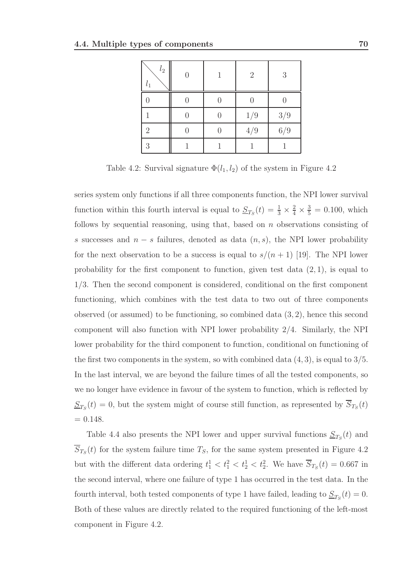| $\mathfrak{l}_2$<br>$l_1$ |  | $\overline{2}$ | 3       |
|---------------------------|--|----------------|---------|
|                           |  |                |         |
|                           |  | $1/9\,$        | $3/9\,$ |
| $\overline{2}$            |  | $4/9\,$        | $6/9$   |
| 3                         |  |                |         |

Table 4.2: Survival signature  $\Phi(l_1, l_2)$  of the system in Figure 4.2

series system only functions if all three components function, the NPI lower survival function within this fourth interval is equal to  $S_{T_S}(t) = \frac{1}{3} \times \frac{2}{4} \times \frac{3}{5} = 0.100$ , which follows by sequential reasoning, using that, based on  $n$  observations consisting of s successes and  $n - s$  failures, denoted as data  $(n, s)$ , the NPI lower probability for the next observation to be a success is equal to  $s/(n+1)$  [19]. The NPI lower probability for the first component to function, given test data  $(2, 1)$ , is equal to 1/3. Then the second component is considered, conditional on the first component functioning, which combines with the test data to two out of three components observed (or assumed) to be functioning, so combined data  $(3, 2)$ , hence this second component will also function with NPI lower probability 2/4. Similarly, the NPI lower probability for the third component to function, conditional on functioning of the first two components in the system, so with combined data  $(4, 3)$ , is equal to  $3/5$ . In the last interval, we are beyond the failure times of all the tested components, so we no longer have evidence in favour of the system to function, which is reflected by  $S_{T_S}(t) = 0$ , but the system might of course still function, as represented by  $S_{T_S}(t)$  $= 0.148.$ 

Table 4.4 also presents the NPI lower and upper survival functions  $\underline{S}_{T_S}(t)$  and  $S_{T_S}(t)$  for the system failure time  $T_S$ , for the same system presented in Figure 4.2 but with the different data ordering  $t_1^1 < t_1^2 < t_2^1 < t_2^2$ . We have  $\overline{S}_{T_S}(t) = 0.667$  in the second interval, where one failure of type 1 has occurred in the test data. In the fourth interval, both tested components of type 1 have failed, leading to  $S_{T_S}(t) = 0$ . Both of these values are directly related to the required functioning of the left-most component in Figure 4.2.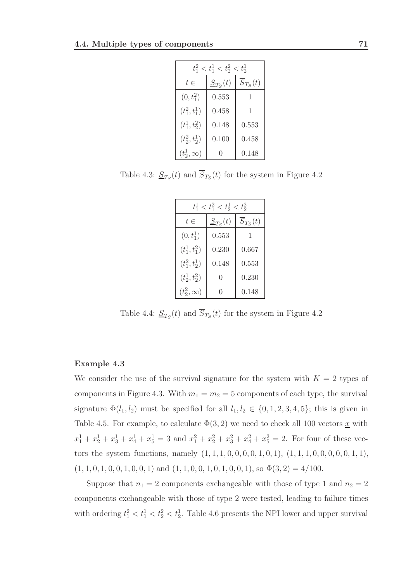| $t_1^2 < t_1^1 < t_2^2 < t_2^1$ |               |                         |  |  |
|---------------------------------|---------------|-------------------------|--|--|
| $t\in$                          | $S_{Ts}(t)$   | $\overline{S}_{T_S}(t)$ |  |  |
| $(0, t_1^2)$                    | 0.553         |                         |  |  |
| $(t_1^2, t_1^1)$                | 0.458         | 1                       |  |  |
| $(t_1^1, t_2^2)$                | 0.148         | 0.553                   |  |  |
| $(t_2^2, t_2^1)$                | 0.100         | 0.458                   |  |  |
| $(t_2^1,\infty)$                | $\mathcal{O}$ | 0.148                   |  |  |

Table 4.3:  $\underline{S}_{T_S}(t)$  and  $S_{T_S}(t)$  for the system in Figure 4.2

| $t_1^1 < t_1^2 < t_2^1 < t_2^2$ |              |                         |  |  |
|---------------------------------|--------------|-------------------------|--|--|
| $t\in$                          | $S_{T_S}(t)$ | $\overline{S}_{T_S}(t)$ |  |  |
| $(0, t_1^1)$                    | 0.553        |                         |  |  |
| $(t_1^1, t_1^2)$                | 0.230        | 0.667                   |  |  |
| $(t_1^2, t_2^1)$                | 0.148        | 0.553                   |  |  |
| $(t_2^1, t_2^2)$                | 0            | 0.230                   |  |  |
| $(t_2^2,\infty)$                | 0            | 0.148                   |  |  |

Table 4.4:  $\underline{S}_{T_S}(t)$  and  $S_{T_S}(t)$  for the system in Figure 4.2

### Example 4.3

We consider the use of the survival signature for the system with  $K = 2$  types of components in Figure 4.3. With  $m_1 = m_2 = 5$  components of each type, the survival signature  $\Phi(l_1, l_2)$  must be specified for all  $l_1, l_2 \in \{0, 1, 2, 3, 4, 5\}$ ; this is given in Table 4.5. For example, to calculate  $\Phi(3, 2)$  we need to check all 100 vectors <u>x</u> with  $x_1^1 + x_2^1 + x_3^1 + x_4^1 + x_5^1 = 3$  and  $x_1^2 + x_2^2 + x_3^2 + x_4^2 + x_5^2 = 2$ . For four of these vectors the system functions, namely  $(1, 1, 1, 0, 0, 0, 0, 1, 0, 1), (1, 1, 1, 0, 0, 0, 0, 0, 1, 1),$  $(1, 1, 0, 1, 0, 0, 1, 0, 0, 1)$  and  $(1, 1, 0, 0, 1, 0, 1, 0, 0, 1)$ , so  $\Phi(3, 2) = 4/100$ .

Suppose that  $n_1 = 2$  components exchangeable with those of type 1 and  $n_2 = 2$ components exchangeable with those of type 2 were tested, leading to failure times with ordering  $t_1^2 < t_1^1 < t_2^2 < t_2^1$ . Table 4.6 presents the NPI lower and upper survival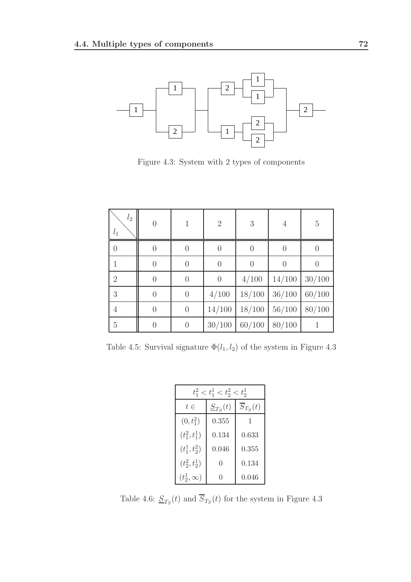

Figure 4.3: System with 2 types of components

| $l_2$<br>$l_1$ | $\Omega$         |                | $\overline{2}$ | 3              | 4        | 5                |
|----------------|------------------|----------------|----------------|----------------|----------|------------------|
| $\theta$       | $\left( \right)$ | $\overline{0}$ | $\theta$       | $\overline{0}$ | $\left($ |                  |
| 1              | $\overline{0}$   | $\overline{0}$ | $\overline{0}$ | $\theta$       | $\Omega$ | $\left( \right)$ |
| $\overline{2}$ | $\overline{0}$   | $\overline{0}$ | $\overline{0}$ | 4/100          | 14/100   | 30/100           |
| 3              | $\overline{0}$   | $\overline{0}$ | 4/100          | 18/100         | 36/100   | 60/100           |
| $\overline{4}$ | $\overline{0}$   | $\overline{0}$ | 14/100         | 18/100         | 56/100   | 80/100           |
| $\overline{5}$ |                  | $\overline{0}$ | 30/100         | 60/100         | 80/100   |                  |

Table 4.5: Survival signature  $\Phi(l_1,l_2)$  of the system in Figure 4.3

| $t_1^2 < t_1^1 < t_2^2 < t_2^1$ |              |                         |  |  |
|---------------------------------|--------------|-------------------------|--|--|
| $t\in$                          | $S_{T_S}(t)$ | $\overline{S}_{T_S}(t)$ |  |  |
| $(0, t_1^2)$                    | 0.355        |                         |  |  |
| $(t_1^2, t_1^1)$                | 0.134        | 0.633                   |  |  |
| $(t_1^1, t_2^2)$                | 0.046        | 0.355                   |  |  |
| $(t_2^2, t_2^1)$                | 0            | 0.134                   |  |  |
| $(t_2^1,\infty)$                | 0            | 0.046                   |  |  |

Table 4.6:  $\underline{S}_{T_S}(t)$  and  $S_{T_S}(t)$  for the system in Figure 4.3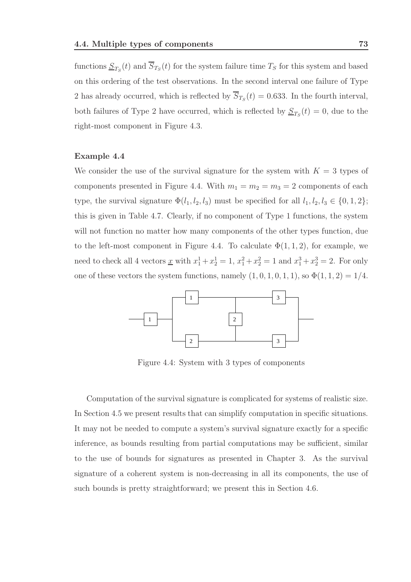functions  $\underline{S}_{T_S}(t)$  and  $S_{T_S}(t)$  for the system failure time  $T_S$  for this system and based on this ordering of the test observations. In the second interval one failure of Type 2 has already occurred, which is reflected by  $S_{T_S}(t) = 0.633$ . In the fourth interval, both failures of Type 2 have occurred, which is reflected by  $S_{T_S}(t) = 0$ , due to the right-most component in Figure 4.3.

### Example 4.4

We consider the use of the survival signature for the system with  $K = 3$  types of components presented in Figure 4.4. With  $m_1 = m_2 = m_3 = 2$  components of each type, the survival signature  $\Phi(l_1, l_2, l_3)$  must be specified for all  $l_1, l_2, l_3 \in \{0, 1, 2\};$ this is given in Table 4.7. Clearly, if no component of Type 1 functions, the system will not function no matter how many components of the other types function, due to the left-most component in Figure 4.4. To calculate  $\Phi(1,1,2)$ , for example, we need to check all 4 vectors <u>x</u> with  $x_1^1 + x_2^1 = 1$ ,  $x_1^2 + x_2^2 = 1$  and  $x_1^3 + x_2^3 = 2$ . For only one of these vectors the system functions, namely  $(1, 0, 1, 0, 1, 1)$ , so  $\Phi(1, 1, 2) = 1/4$ .



Figure 4.4: System with 3 types of components

Computation of the survival signature is complicated for systems of realistic size. In Section 4.5 we present results that can simplify computation in specific situations. It may not be needed to compute a system's survival signature exactly for a specific inference, as bounds resulting from partial computations may be sufficient, similar to the use of bounds for signatures as presented in Chapter 3. As the survival signature of a coherent system is non-decreasing in all its components, the use of such bounds is pretty straightforward; we present this in Section 4.6.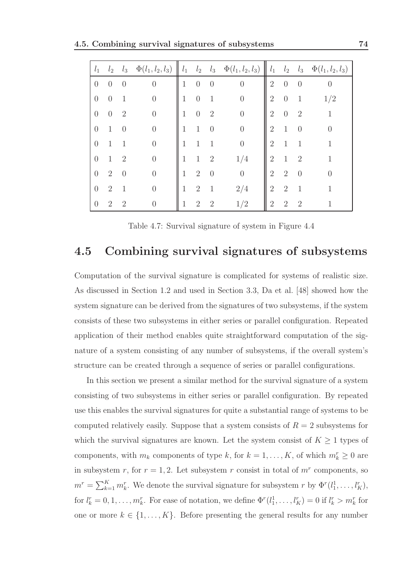| $l_1$    | $l_2$          | $l_3$          | $\Phi(l_1, l_2, l_3)$ | $l_1$        | $l_2$          | $l_3$          | $\Phi(l_{1}, l_{2}, l_{3})$ | $l_1$          | $l_2$          | $l_3$                       | $\Phi(l_1, l_2, l_3)$ |
|----------|----------------|----------------|-----------------------|--------------|----------------|----------------|-----------------------------|----------------|----------------|-----------------------------|-----------------------|
| $\theta$ | $\theta$       | $\theta$       | $\overline{0}$        | 1            | $\overline{0}$ | $\theta$       | $\overline{0}$              | $\overline{2}$ | $\theta$       | $\overline{0}$              | $\theta$              |
| $\theta$ | $\theta$       |                | $\overline{0}$        | 1            | $\theta$       | $\mathbf{1}$   | $\overline{0}$              | $\sqrt{2}$     | $\theta$       | $\mathbf{1}$                | 1/2                   |
| $\theta$ | $\theta$       | $\overline{2}$ | $\overline{0}$        | 1            | $\overline{0}$ | $\overline{2}$ | $\overline{0}$              | $\overline{2}$ | $\theta$       | $\overline{2}$              | 1                     |
| $\theta$ | $\mathbf{1}$   | $\theta$       | $\overline{0}$        | 1            | $\mathbf{1}$   | $\overline{0}$ | $\overline{0}$              | $\overline{2}$ | $\mathbf{1}$   | $\theta$                    |                       |
| $\theta$ | $\mathbf{1}$   | 1              | $\overline{0}$        | $\mathbf{1}$ | $\mathbf{1}$   | 1              | $\overline{0}$              | $\overline{2}$ | $\mathbf{1}$   | $\mathbf{1}$                |                       |
| $\theta$ | 1              | $\overline{2}$ | $\overline{0}$        | 1            | $\mathbf{1}$   | $\overline{2}$ | 1/4                         | $\overline{2}$ | $\mathbf{1}$   | $\overline{2}$              |                       |
| $\theta$ | $\overline{2}$ | $\theta$       | $\overline{0}$        | $\mathbf{1}$ | $\overline{2}$ | $\overline{0}$ | $\overline{0}$              | $\overline{2}$ | $\overline{2}$ | $\Omega$                    |                       |
| $\theta$ | $\overline{2}$ | $\mathbf{1}$   | $\overline{0}$        | $\mathbf{1}$ | $\overline{2}$ | $\mathbf{1}$   | 2/4                         | $\overline{2}$ | $\overline{2}$ | $\mathbf{1}$                | 1                     |
| $\theta$ | $\overline{2}$ | $\overline{2}$ | $\overline{0}$        | 1            | $\overline{2}$ | $\overline{2}$ | 1/2                         | $\overline{2}$ | $\overline{2}$ | $\mathcal{D}_{\mathcal{L}}$ |                       |

Table 4.7: Survival signature of system in Figure 4.4

# 4.5 Combining survival signatures of subsystems

Computation of the survival signature is complicated for systems of realistic size. As discussed in Section 1.2 and used in Section 3.3, Da et al. [48] showed how the system signature can be derived from the signatures of two subsystems, if the system consists of these two subsystems in either series or parallel configuration. Repeated application of their method enables quite straightforward computation of the signature of a system consisting of any number of subsystems, if the overall system's structure can be created through a sequence of series or parallel configurations.

In this section we present a similar method for the survival signature of a system consisting of two subsystems in either series or parallel configuration. By repeated use this enables the survival signatures for quite a substantial range of systems to be computed relatively easily. Suppose that a system consists of  $R = 2$  subsystems for which the survival signatures are known. Let the system consist of  $K \geq 1$  types of components, with  $m_k$  components of type k, for  $k = 1, ..., K$ , of which  $m_k^r \geq 0$  are in subsystem r, for  $r = 1, 2$ . Let subsystem r consist in total of  $m<sup>r</sup>$  components, so  $m^r = \sum_{k=1}^K m_k^r$ . We denote the survival signature for subsystem r by  $\Phi^r(l_1^1, \ldots, l_K^r)$ , for  $l_k^r = 0, 1, \ldots, m_k^r$ . For ease of notation, we define  $\Phi^r(l_1^1, \ldots, l_K^r) = 0$  if  $l_k^r > m_k^r$  for one or more  $k \in \{1, ..., K\}$ . Before presenting the general results for any number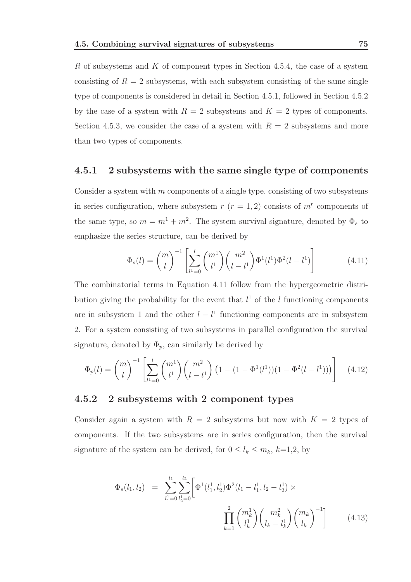R of subsystems and K of component types in Section 4.5.4, the case of a system consisting of  $R = 2$  subsystems, with each subsystem consisting of the same single type of components is considered in detail in Section 4.5.1, followed in Section 4.5.2 by the case of a system with  $R = 2$  subsystems and  $K = 2$  types of components. Section 4.5.3, we consider the case of a system with  $R = 2$  subsystems and more than two types of components.

### 4.5.1 2 subsystems with the same single type of components

Consider a system with m components of a single type, consisting of two subsystems in series configuration, where subsystem  $r(r=1,2)$  consists of  $m<sup>r</sup>$  components of the same type, so  $m = m^1 + m^2$ . The system survival signature, denoted by  $\Phi_s$  to emphasize the series structure, can be derived by

$$
\Phi_s(l) = {m \choose l}^{-1} \left[ \sum_{l^1=0}^l {m^1 \choose l^1} {m^2 \choose l-l^1} \Phi^1(l^1) \Phi^2(l-l^1) \right]
$$
(4.11)

The combinatorial terms in Equation 4.11 follow from the hypergeometric distribution giving the probability for the event that  $l^1$  of the l functioning components are in subsystem 1 and the other  $l - l<sup>1</sup>$  functioning components are in subsystem 2. For a system consisting of two subsystems in parallel configuration the survival signature, denoted by  $\Phi_p$ , can similarly be derived by

$$
\Phi_p(l) = {m \choose l}^{-1} \left[ \sum_{l^1=0}^l {m^1 \choose l^1} {m^2 \choose l-l^1} \left(1 - (1 - \Phi^1(l^1))(1 - \Phi^2(l - l^1))\right) \right] \tag{4.12}
$$

### 4.5.2 2 subsystems with 2 component types

Consider again a system with  $R = 2$  subsystems but now with  $K = 2$  types of components. If the two subsystems are in series configuration, then the survival signature of the system can be derived, for  $0 \leq l_k \leq m_k$ ,  $k=1,2$ , by

$$
\Phi_s(l_1, l_2) = \sum_{l_1=0}^{l_1} \sum_{l_2=0}^{l_2} \left[ \Phi^1(l_1^1, l_2^1) \Phi^2(l_1 - l_1^1, l_2 - l_2^1) \times \prod_{k=1}^2 \binom{m_k^1}{l_k^1} \binom{m_k^2}{l_k - l_k^1} \binom{m_k}{l_k}^{-1} \right] \tag{4.13}
$$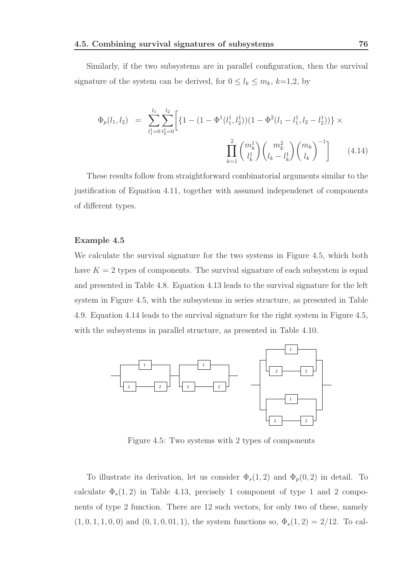Similarly, if the two subsystems are in parallel configuration, then the survival signature of the system can be derived, for  $0 \leq l_k \leq m_k$ ,  $k=1,2$ , by

$$
\Phi_p(l_1, l_2) = \sum_{l_1=0}^{l_1} \sum_{l_2=0}^{l_2} \left[ \left\{ 1 - \left( 1 - \Phi^1(l_1^1, l_2^1) \right) \left( 1 - \Phi^2(l_1 - l_1^1, l_2 - l_2^1) \right) \right\} \times \prod_{k=1}^2 \binom{m_k^1}{l_k} \binom{m_k^2}{l_k - l_k^1} \binom{m_k}{l_k}^{-1} \right] \tag{4.14}
$$

These results follow from straightforward combinatorial arguments similar to the justification of Equation 4.11, together with assumed independenet of components of different types.

### Example 4.5

We calculate the survival signature for the two systems in Figure 4.5, which both have  $K = 2$  types of components. The survival signature of each subsystem is equal and presented in Table 4.8. Equation 4.13 leads to the survival signature for the left system in Figure 4.5, with the subsystems in series structure, as presented in Table 4.9. Equation 4.14 leads to the survival signature for the right system in Figure 4.5, with the subsystems in parallel structure, as presented in Table 4.10.



Figure 4.5: Two systems with 2 types of components

To illustrate its derivation, let us consider  $\Phi_s(1,2)$  and  $\Phi_p(0,2)$  in detail. To calculate  $\Phi_s(1,2)$  in Table 4.13, precisely 1 component of type 1 and 2 components of type 2 function. There are 12 such vectors, for only two of these, namely  $(1, 0, 1, 1, 0, 0)$  and  $(0, 1, 0, 0, 1, 1)$ , the system functions so,  $\Phi_s(1, 2) = 2/12$ . To cal-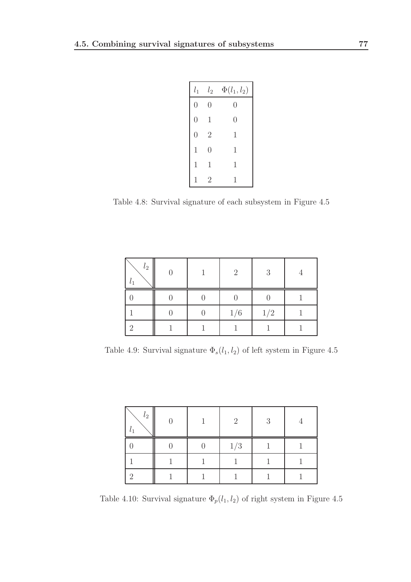| $l_1$          | l <sub>2</sub> | $\Phi(l_1,l_2)$ |  |
|----------------|----------------|-----------------|--|
| $\overline{0}$ | $\overline{0}$ | 0               |  |
| $\overline{0}$ | 1              | $\overline{0}$  |  |
| $\overline{0}$ | $\overline{2}$ | 1               |  |
| $\mathbf{1}$   | $\overline{0}$ | 1               |  |
| $\mathbf{1}$   | 1              | 1               |  |
| $\overline{1}$ | $\overline{2}$ | 1               |  |

Table 4.8: Survival signature of each subsystem in Figure 4.5

| l <sub>2</sub> |  | $\overline{2}$ | 3   |  |
|----------------|--|----------------|-----|--|
|                |  |                |     |  |
|                |  | 1/6            | 1/2 |  |
|                |  |                |     |  |

Table 4.9: Survival signature  $\Phi_s(l_1,l_2)$  of left system in Figure 4.5

| $l_2$ |  | $\mathcal{D}$ | 3 |  |
|-------|--|---------------|---|--|
|       |  | 1/3           |   |  |
|       |  |               |   |  |
|       |  |               |   |  |

Table 4.10: Survival signature  $\Phi_p(l_1,l_2)$  of right system in Figure 4.5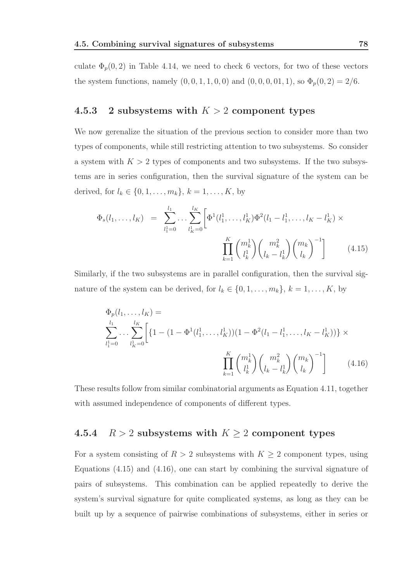culate  $\Phi_p(0,2)$  in Table 4.14, we need to check 6 vectors, for two of these vectors the system functions, namely  $(0, 0, 1, 1, 0, 0)$  and  $(0, 0, 0, 0, 1, 1)$ , so  $\Phi_p(0, 2) = 2/6$ .

### 4.5.3 2 subsystems with  $K > 2$  component types

We now gerenalize the situation of the previous section to consider more than two types of components, while still restricting attention to two subsystems. So consider a system with  $K > 2$  types of components and two subsystems. If the two subsystems are in series configuration, then the survival signature of the system can be derived, for  $l_k \in \{0, 1, ..., m_k\}, k = 1, ..., K$ , by

$$
\Phi_s(l_1,\ldots,l_K) = \sum_{l_1=0}^{l_1} \ldots \sum_{l_k=0}^{l_K} \left[ \Phi^1(l_1^1,\ldots,l_K^1) \Phi^2(l_1-l_1^1,\ldots,l_K-l_K^1) \times \prod_{k=1}^K {m_k^1 \choose l_k^1} {m_k^2 \choose l_k-l_k^1} {m_k \choose l_k}^{-1} \right] \qquad (4.15)
$$

Similarly, if the two subsystems are in parallel configuration, then the survival signature of the system can be derived, for  $l_k \in \{0, 1, \ldots, m_k\}, k = 1, \ldots, K$ , by

$$
\Phi_p(l_1, \dots, l_K) =
$$
\n
$$
\sum_{l_1=0}^{l_1} \dots \sum_{l_K=0}^{l_K} \left[ \left\{ 1 - \left( 1 - \Phi^1(l_1^1, \dots, l_K^1) \right) \left( 1 - \Phi^2(l_1 - l_1^1, \dots, l_K - l_K^1) \right) \right\} \times \prod_{k=1}^K \binom{m_k^1}{l_k} \binom{m_k^2}{l_k - l_k^1} \binom{m_k}{l_k}^{-1} \right] \tag{4.16}
$$

These results follow from similar combinatorial arguments as Equation 4.11, together with assumed independence of components of different types.

# 4.5.4  $R > 2$  subsystems with  $K \ge 2$  component types

For a system consisting of  $R > 2$  subsystems with  $K \geq 2$  component types, using Equations  $(4.15)$  and  $(4.16)$ , one can start by combining the survival signature of pairs of subsystems. This combination can be applied repeatedly to derive the system's survival signature for quite complicated systems, as long as they can be built up by a sequence of pairwise combinations of subsystems, either in series or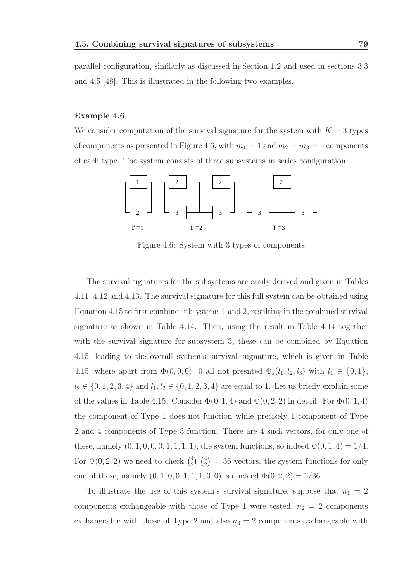parallel configuration, similarly as discussed in Section 1.2 and used in sections 3.3 and 4.5 [48]. This is illustrated in the following two examples.

#### Example 4.6

We consider computation of the survival signature for the system with  $K = 3$  types of components as presented in Figure 4.6, with  $m_1 = 1$  and  $m_2 = m_3 = 4$  components of each type. The system consists of three subsystems in series configuration.



Figure 4.6: System with 3 types of components

The survival signatures for the subsystems are easily derived and given in Tables 4.11, 4.12 and 4.13. The survival signature for this full system can be obtained using Equation 4.15 to first combine subsystems 1 and 2, resulting in the combined survival signature as shown in Table 4.14. Then, using the result in Table 4.14 together with the survival signature for subsystem 3, these can be combined by Equation 4.15, leading to the overall system's survival sugnature, which is given in Table 4.15, where apart from  $\Phi(0, 0, 0) = 0$  all not presnted  $\Phi_s(l_1, l_2, l_3)$  with  $l_1 \in \{0, 1\}$ ,  $l_2 \in \{0, 1, 2, 3, 4\}$  and  $l_1, l_2 \in \{0, 1, 2, 3, 4\}$  are equal to 1. Let us briefly explain some of the values in Table 4.15. Consider  $\Phi(0,1,4)$  and  $\Phi(0,2,2)$  in detail. For  $\Phi(0,1,4)$ the component of Type 1 does not function while precisely 1 component of Type 2 and 4 components of Type 3 function. There are 4 such vectors, for only one of these, namely  $(0, 1, 0, 0, 0, 1, 1, 1, 1)$ , the system functions, so indeed  $\Phi(0, 1, 4) = 1/4$ . For  $\Phi(0, 2, 2)$  we need to check  $\binom{4}{2}$  $_{2}^{4}$   $\binom{4}{2}$  = 36 vectors, the system functions for only one of these, namely  $(0, 1, 0, 0, 1, 1, 1, 0, 0)$ , so indeed  $\Phi(0, 2, 2) = 1/36$ .

To illustrate the use of this system's survival signature, suppose that  $n_1 = 2$ components exchangeable with those of Type 1 were tested,  $n_2 = 2$  components exchangeable with those of Type 2 and also  $n_3 = 2$  components exchangeable with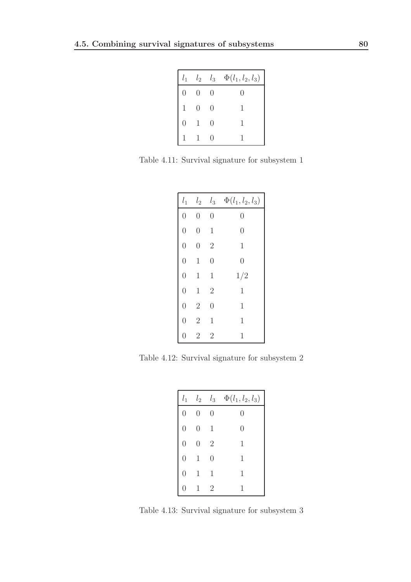|                  |                  | $l_1$ $l_2$ $l_3$ | $\Phi(l_1, l_2, l_3)$ |
|------------------|------------------|-------------------|-----------------------|
| $\left( \right)$ | $\left( \right)$ | $\bigcup$         | $\left( \right)$      |
| $\mathbf{1}$     | $\left( \right)$ | $\left( \right)$  | 1                     |
| 0                | $\overline{1}$   | $\bigcirc$        | 1                     |
| $\mathbf{1}$     | $\overline{1}$   | $\left( \right)$  | 1                     |

Table 4.11: Survival signature for subsystem 1

| $l_1$          | $l_2$          | $l_3$          | $\Phi(l_1, l_2, l_3)$ |
|----------------|----------------|----------------|-----------------------|
| $\overline{0}$ | $\overline{0}$ | $\overline{0}$ | 0                     |
| $\overline{0}$ | $\overline{0}$ | $\mathbf 1$    | $\overline{0}$        |
| $\overline{0}$ | $\overline{0}$ | $\overline{2}$ | $\mathbf{1}$          |
| $\overline{0}$ | $\mathbf 1$    | $\overline{0}$ | $\overline{0}$        |
| $\overline{0}$ | $\mathbf 1$    | $\mathbf 1$    | 1/2                   |
| $\overline{0}$ | $\mathbf 1$    | $\overline{2}$ | $\mathbf{1}$          |
| $\overline{0}$ | $\overline{2}$ | $\overline{0}$ | $\mathbf 1$           |
| $\overline{0}$ | $\overline{2}$ | $\mathbf 1$    | $\mathbf 1$           |
| 0              | $\overline{2}$ | $\overline{2}$ | 1                     |

Table 4.12: Survival signature for subsystem 2

| $l_1$            | $l_2$          | $l_3$          | $\Phi(l_{1},l_{2},l_{3})$ |
|------------------|----------------|----------------|---------------------------|
| $\overline{0}$   | 0              | 0              | $\left( \right)$          |
| $\overline{0}$   | $\overline{0}$ | 1              | $\left( \right)$          |
| $\overline{0}$   | $\theta$       | $\overline{2}$ | 1                         |
| $\overline{0}$   | 1              | 0              | 1                         |
| $\overline{0}$   | 1              | $\mathbf 1$    | 1                         |
| $\left( \right)$ | 1              | $\overline{2}$ | 1                         |

Table 4.13: Survival signature for subsystem 3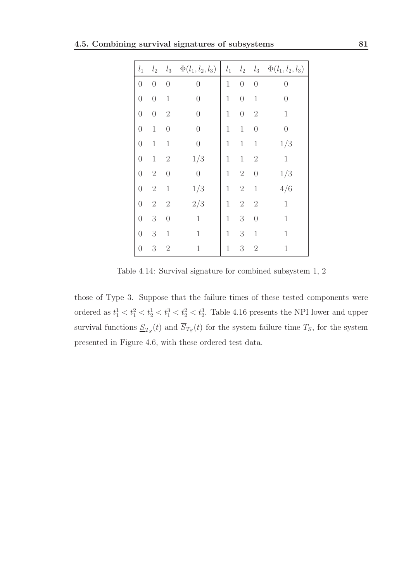|  |  |  |  | 4.5. Combining survival signatures of subsystems |  |
|--|--|--|--|--------------------------------------------------|--|
|--|--|--|--|--------------------------------------------------|--|

| $l_1$            | l <sub>2</sub>   | $l_3$            | $\Phi(l_1, l_2, l_3)$ | $l_1$       | $l_2$            | $l_3$            | $\Phi(l_1, l_2, l_3)$ |
|------------------|------------------|------------------|-----------------------|-------------|------------------|------------------|-----------------------|
| $\boldsymbol{0}$ | $\boldsymbol{0}$ | $\boldsymbol{0}$ | $\boldsymbol{0}$      | $\,1$       | $\boldsymbol{0}$ | $\boldsymbol{0}$ | $\overline{0}$        |
| $\boldsymbol{0}$ | $\boldsymbol{0}$ | $\mathbf 1$      | $\boldsymbol{0}$      | $\,1$       | $\boldsymbol{0}$ | $\,1$            | $\boldsymbol{0}$      |
| $\boldsymbol{0}$ | $\boldsymbol{0}$ | $\overline{2}$   | $\overline{0}$        | $\mathbf 1$ | $\overline{0}$   | $\sqrt{2}$       | $\mathbf 1$           |
| $\boldsymbol{0}$ | $\mathbf 1$      | $\boldsymbol{0}$ | $\sqrt{a}$            | $\,1$       | $\,1$            | $\theta$         | $\boldsymbol{0}$      |
| $\overline{0}$   | $\mathbf 1$      | $\mathbf{1}$     | $\overline{0}$        | $\mathbf 1$ | $\,1$            | $\mathbf 1$      | 1/3                   |
| $\boldsymbol{0}$ | $\,1$            | $\overline{2}$   | $1/3\,$               | $\,1$       | $\,1$            | $\mathbf{2}$     | $\mathbf 1$           |
| $\overline{0}$   | $\sqrt{2}$       | $\overline{0}$   | $\boldsymbol{0}$      | $\,1$       | $\sqrt{2}$       | $\boldsymbol{0}$ | 1/3                   |
| $\overline{0}$   | $\sqrt{2}$       | $\mathbf 1$      | $1/3\,$               | $\,1$       | $\sqrt{2}$       | $\mathbf 1$      | 4/6                   |
| $\overline{0}$   | $\overline{2}$   | $\sqrt{2}$       | 2/3                   | $\mathbf 1$ | $\sqrt{2}$       | $\sqrt{2}$       | $\mathbf 1$           |
| $\boldsymbol{0}$ | $\sqrt{3}$       | $\boldsymbol{0}$ | $\mathbf 1$           | $\,1$       | $\boldsymbol{3}$ | $\boldsymbol{0}$ | $\mathbf 1$           |
| $\boldsymbol{0}$ | $\sqrt{3}$       | $\mathbf 1$      | $\mathbf 1$           | $\mathbf 1$ | $\sqrt{3}$       | $\mathbf 1$      | $\mathbf 1$           |
| $\boldsymbol{0}$ | $\sqrt{3}$       | $\overline{2}$   | $\mathbf{1}$          | $\mathbf 1$ | $\overline{3}$   | $\overline{2}$   | $\mathbf{1}$          |

Table 4.14: Survival signature for combined subsystem 1, 2

those of Type 3. Suppose that the failure times of these tested components were ordered as  $t_1^1 < t_1^2 < t_2^1 < t_1^3 < t_2^2 < t_2^3$ . Table 4.16 presents the NPI lower and upper survival functions  $\underline{S}_{T_S}(t)$  and  $S_{T_S}(t)$  for the system failure time  $T_S$ , for the system presented in Figure 4.6, with these ordered test data.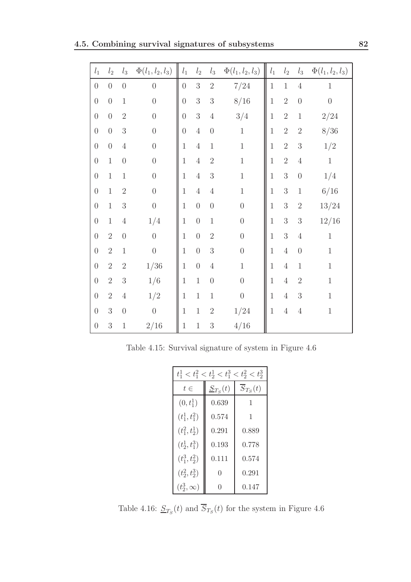| $l_1$                                | $l_2$            | $\mathfrak{l}_3$ | $\Phi(l_1, l_2, l_3)$ | $l_1$            | $l_2$            | $l_3$                                | $\Phi(l_1, l_2, l_3)$ | $\mathcal{l}_1$ | $\mathfrak{l}_2$ | $\mathfrak{l}_3$ | $\Phi(l_1, l_2, l_3)$ |
|--------------------------------------|------------------|------------------|-----------------------|------------------|------------------|--------------------------------------|-----------------------|-----------------|------------------|------------------|-----------------------|
| $\theta$                             | $\boldsymbol{0}$ | $\overline{0}$   | $\overline{0}$        | $\boldsymbol{0}$ | $\sqrt{3}$       | $\overline{2}$                       | 7/24                  | $\mathbf{1}$    | $\mathbf 1$      | $\sqrt{4}$       | $\,1$                 |
| $\overline{0}$                       | $\overline{0}$   | $\,1$            | $\overline{0}$        | $\boldsymbol{0}$ | $\overline{3}$   | $\sqrt{3}$                           | 8/16                  | $\mathbf{1}$    | $\overline{2}$   | $\overline{0}$   | $\overline{0}$        |
| $\overline{0}$                       | $\overline{0}$   | $\overline{2}$   | $\boldsymbol{0}$      | $\boldsymbol{0}$ | $\overline{3}$   | $\sqrt{4}$                           | 3/4                   | $\overline{1}$  | $\overline{2}$   | $\,1$            | 2/24                  |
| $\overline{0}$                       | $\overline{0}$   | $\overline{3}$   | $\boldsymbol{0}$      | $\overline{0}$   | $\overline{4}$   | $\begin{matrix} 0 \\ 0 \end{matrix}$ | $\,1$                 | $\mathbf 1$     | $\overline{2}$   | $\sqrt{2}$       | 8/36                  |
| $\boldsymbol{0}$                     | $\overline{0}$   | $\sqrt{4}$       | $\boldsymbol{0}$      | $\mathbf 1$      | $\overline{4}$   | $\,1$                                | $\,1$                 | $\mathbf{1}$    | $\overline{2}$   | $\overline{3}$   | 1/2                   |
| $\boldsymbol{0}$                     | $\mathbf{1}$     | $\overline{0}$   | $\boldsymbol{0}$      | $\mathbf{1}$     | $\overline{4}$   | $\overline{2}$                       | $\,1$                 | $\mathbf{1}$    | $\overline{2}$   | $\overline{4}$   | $\,1$                 |
| $\boldsymbol{0}$                     | $\,1$            | $\,1$            | $\boldsymbol{0}$      | $\mathbf 1$      | $\sqrt{4}$       | 3                                    | $\,1$                 | $\mathbf 1$     | $\overline{3}$   | $\overline{0}$   | 1/4                   |
| $\boldsymbol{0}$                     | $\mathbf{1}$     | $\overline{2}$   | $\boldsymbol{0}$      | $\mathbf{1}$     | $\sqrt{4}$       | $\sqrt{4}$                           | $\,1$                 | $\mathbf 1$     | $\overline{3}$   | $\,1$            | 6/16                  |
| $\begin{matrix} 0 \\ 0 \end{matrix}$ | $\,1$            | $\mathfrak{Z}$   | $\overline{0}$        | $\mathbf 1$      | $\boldsymbol{0}$ | $\theta$                             | $\overline{0}$        | $\,1$           | 3                | $\sqrt{2}$       | 13/24                 |
| $\boldsymbol{0}$                     | $\mathbf 1$      | $\sqrt{4}$       | 1/4                   | $\mathbf{1}$     | $\boldsymbol{0}$ | $\,1$                                | $\overline{0}$        | $\mathbf{1}$    | 3                | $\overline{3}$   | 12/16                 |
| $\boldsymbol{0}$                     | $\overline{2}$   | $\overline{0}$   | $\overline{0}$        | $\overline{1}$   | $\boldsymbol{0}$ | $\sqrt{2}$                           | $\overline{0}$        | $\overline{1}$  | $\overline{3}$   | $\sqrt{4}$       | $1\,$                 |
| $\overline{0}$                       | $\overline{2}$   | $\,1\,$          | $\boldsymbol{0}$      | $\mathbf{1}$     | $\boldsymbol{0}$ | $\sqrt{3}$                           | $\overline{0}$        | $\mathbf{1}$    | $\overline{4}$   | $\boldsymbol{0}$ | $\,1$                 |
| $\boldsymbol{0}$                     | $\overline{2}$   | $\sqrt{2}$       | 1/36                  | $\mathbf{1}$     | $\boldsymbol{0}$ | $\sqrt{4}$                           | $\,1$                 | $\overline{1}$  | $\overline{4}$   | $\,1\,$          | $\mathbf 1$           |
| $\overline{0}$                       | $\overline{2}$   | $\mathfrak{Z}$   | 1/6                   | $\mathbf{1}$     | $\mathbf{1}$     | $\overline{0}$                       | $\theta$              | $\overline{1}$  | $\overline{4}$   | $\overline{2}$   | $\mathbf{1}$          |
| $\overline{0}$                       | $\overline{2}$   | $\sqrt{4}$       | 1/2                   | $\mathbf 1$      | $\mathbf 1$      | $\,1\,$                              | $\boldsymbol{0}$      | $\,1$           | $\overline{4}$   | $\sqrt{3}$       | $\,1$                 |
| $\theta$                             | 3                | $\overline{0}$   | $\overline{0}$        | $\mathbf{1}$     | $\,1$            | $\sqrt{2}$                           | 1/24                  | $\overline{1}$  | $\overline{4}$   | $\sqrt{4}$       | $\,1$                 |
| $\theta$                             | 3                | $\mathbf{1}$     | 2/16                  | $\mathbf{1}$     | $\mathbf{1}$     | $\overline{3}$                       | 4/16                  |                 |                  |                  |                       |

Table 4.15: Survival signature of system in Figure 4.6

|                  | $t_1^1 < t_1^2 < t_2^1 < t_1^3 < t_2^2 < t_2^3$ |                         |  |  |  |  |  |
|------------------|-------------------------------------------------|-------------------------|--|--|--|--|--|
| $t\in$           | $S_{T_S}(t)$                                    | $\overline{S}_{T_S}(t)$ |  |  |  |  |  |
| $(0, t_1^1)$     | 0.639                                           | 1                       |  |  |  |  |  |
| $(t_1^1, t_1^2)$ | 0.574                                           | 1                       |  |  |  |  |  |
| $(t_1^2, t_2^1)$ | 0.291                                           | 0.889                   |  |  |  |  |  |
| $(t_2^1, t_1^3)$ | 0.193                                           | 0.778                   |  |  |  |  |  |
| $(t_1^3, t_2^2)$ | 0.111                                           | 0.574                   |  |  |  |  |  |
| $(t_2^2, t_2^3)$ | 0                                               | 0.291                   |  |  |  |  |  |
| $(t_2^3,\infty)$ | O                                               | 0.147                   |  |  |  |  |  |

Table 4.16:  $S_{T_S}(t)$  and  $S_{T_S}(t)$  for the system in Figure 4.6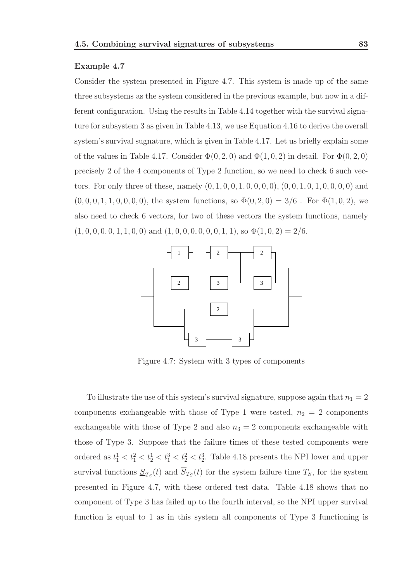### Example 4.7

Consider the system presented in Figure 4.7. This system is made up of the same three subsystems as the system considered in the previous example, but now in a different configuration. Using the results in Table 4.14 together with the survival signature for subsystem 3 as given in Table 4.13, we use Equation 4.16 to derive the overall system's survival sugnature, which is given in Table 4.17. Let us briefly explain some of the values in Table 4.17. Consider  $\Phi(0, 2, 0)$  and  $\Phi(1, 0, 2)$  in detail. For  $\Phi(0, 2, 0)$ precisely 2 of the 4 components of Type 2 function, so we need to check 6 such vectors. For only three of these, namely  $(0, 1, 0, 0, 1, 0, 0, 0, 0)$ ,  $(0, 0, 1, 0, 1, 0, 0, 0, 0)$  and  $(0, 0, 0, 1, 1, 0, 0, 0, 0)$ , the system functions, so  $\Phi(0, 2, 0) = 3/6$ . For  $\Phi(1, 0, 2)$ , we also need to check 6 vectors, for two of these vectors the system functions, namely  $(1, 0, 0, 0, 0, 1, 1, 0, 0)$  and  $(1, 0, 0, 0, 0, 0, 0, 1, 1)$ , so  $\Phi(1, 0, 2) = 2/6$ .



Figure 4.7: System with 3 types of components

To illustrate the use of this system's survival signature, suppose again that  $n_1 = 2$ components exchangeable with those of Type 1 were tested,  $n_2 = 2$  components exchangeable with those of Type 2 and also  $n_3 = 2$  components exchangeable with those of Type 3. Suppose that the failure times of these tested components were ordered as  $t_1^1 < t_1^2 < t_2^1 < t_1^3 < t_2^2 < t_2^3$ . Table 4.18 presents the NPI lower and upper survival functions  $\underline{S}_{T_S}(t)$  and  $S_{T_S}(t)$  for the system failure time  $T_S$ , for the system presented in Figure 4.7, with these ordered test data. Table 4.18 shows that no component of Type 3 has failed up to the fourth interval, so the NPI upper survival function is equal to 1 as in this system all components of Type 3 functioning is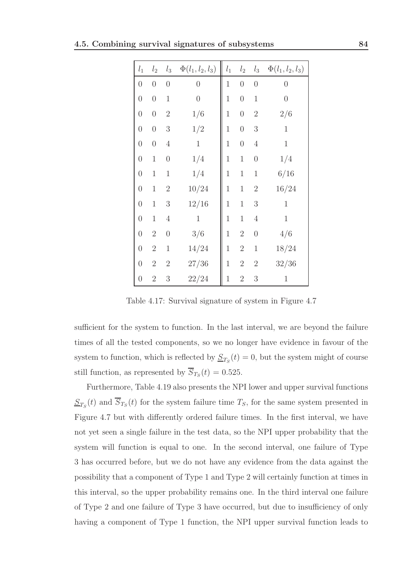|  |  |  |  | 4.5. Combining survival signatures of subsystems | 84 |
|--|--|--|--|--------------------------------------------------|----|
|--|--|--|--|--------------------------------------------------|----|

| $l_1$            | $l_2$            | $l_3$            | $\Phi(l_1, l_2, l_3)$ | $\mathfrak{l}_1$ | $l_2$            | $l_3$            | $\Phi(l_1, l_2, l_3)$ |
|------------------|------------------|------------------|-----------------------|------------------|------------------|------------------|-----------------------|
| $\boldsymbol{0}$ | $\boldsymbol{0}$ | $\boldsymbol{0}$ | $\overline{0}$        | $\mathbf 1$      | $\boldsymbol{0}$ | $\boldsymbol{0}$ | $\boldsymbol{0}$      |
| $\boldsymbol{0}$ | $\boldsymbol{0}$ | $\mathbf 1$      | $\overline{0}$        | $\mathbf 1$      | $\overline{0}$   | $1\,$            | $\boldsymbol{0}$      |
| $\boldsymbol{0}$ | $\boldsymbol{0}$ | $\sqrt{2}$       | 1/6                   | $\mathbf 1$      | $\boldsymbol{0}$ | $\overline{2}$   | 2/6                   |
| $\boldsymbol{0}$ | $\boldsymbol{0}$ | $\sqrt{3}$       | $1/2\,$               | $\mathbf 1$      | $\boldsymbol{0}$ | $\boldsymbol{3}$ | $\mathbf 1$           |
| $\boldsymbol{0}$ | $\overline{0}$   | $\overline{4}$   | $\mathbf 1$           | $\mathbf 1$      | $\overline{0}$   | $\overline{4}$   | $1\,$                 |
| $\overline{0}$   | $\mathbf 1$      | $\boldsymbol{0}$ | 1/4                   | $\mathbf 1$      | $\mathbf{1}$     | $\boldsymbol{0}$ | 1/4                   |
| $\overline{0}$   | $\mathbf 1$      | $\mathbf 1$      | 1/4                   | $\mathbf 1$      | $\mathbf 1$      | $\mathbf 1$      | 6/16                  |
| $\overline{0}$   | $\mathbf 1$      | $\overline{2}$   | 10/24                 | $\mathbf{1}$     | $\mathbf{1}$     | $\sqrt{2}$       | 16/24                 |
| $\overline{0}$   | $\mathbf 1$      | $\sqrt{3}$       | 12/16                 | $\mathbf 1$      | $\mathbf 1$      | $\boldsymbol{3}$ | $\mathbf{1}$          |
| $\overline{0}$   | $\mathbf 1$      | $\,4\,$          | $\mathbf{1}$          | $\mathbf{1}$     | $\mathbf{1}$     | $\sqrt{4}$       | $\mathbf 1$           |
| $\boldsymbol{0}$ | $\overline{2}$   | $\overline{0}$   | 3/6                   | $\mathbf 1$      | $\sqrt{2}$       | $\boldsymbol{0}$ | 4/6                   |
| $\boldsymbol{0}$ | $\overline{2}$   | $\mathbf 1$      | 14/24                 | $\mathbf{1}$     | $\sqrt{2}$       | $1\,$            | 18/24                 |
| $\overline{0}$   | $\overline{2}$   | $\overline{2}$   | 27/36                 | $\mathbf 1$      | $\sqrt{2}$       | $\sqrt{2}$       | 32/36                 |
| $\boldsymbol{0}$ | $\overline{2}$   | 3                | 22/24                 | $\mathbf{1}$     | $\sqrt{2}$       | 3                | 1                     |
|                  |                  |                  |                       |                  |                  |                  |                       |

Table 4.17: Survival signature of system in Figure 4.7

sufficient for the system to function. In the last interval, we are beyond the failure times of all the tested components, so we no longer have evidence in favour of the system to function, which is reflected by  $S_{T_S}(t) = 0$ , but the system might of course still function, as represented by  $S_{T_S}(t) = 0.525$ .

Furthermore, Table 4.19 also presents the NPI lower and upper survival functions  $S_{T_S}(t)$  and  $S_{T_S}(t)$  for the system failure time  $T_S$ , for the same system presented in Figure 4.7 but with differently ordered failure times. In the first interval, we have not yet seen a single failure in the test data, so the NPI upper probability that the system will function is equal to one. In the second interval, one failure of Type 3 has occurred before, but we do not have any evidence from the data against the possibility that a component of Type 1 and Type 2 will certainly function at times in this interval, so the upper probability remains one. In the third interval one failure of Type 2 and one failure of Type 3 have occurred, but due to insufficiency of only having a component of Type 1 function, the NPI upper survival function leads to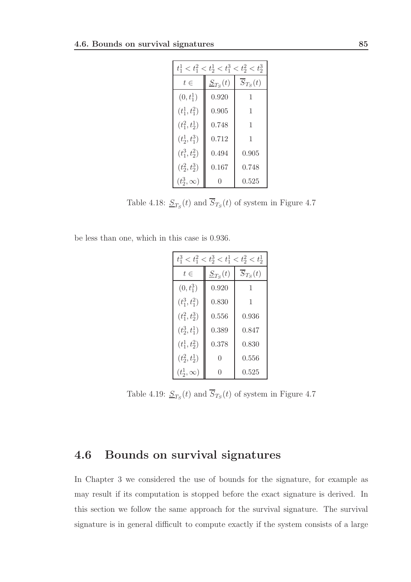| $t_1^1 < t_1^2 < t_2^1 < t_1^3 < t_2^2 < t_2^3$ |              |                         |  |  |  |  |  |
|-------------------------------------------------|--------------|-------------------------|--|--|--|--|--|
| $t\in$                                          | $S_{T_S}(t)$ | $\overline{S}_{T_S}(t)$ |  |  |  |  |  |
| $(0, t_1^1)$                                    | 0.920        | 1                       |  |  |  |  |  |
| $(t_1^1, t_1^2)$                                | 0.905        | 1                       |  |  |  |  |  |
| $(t_1^2, t_2^1)$                                | 0.748        | 1                       |  |  |  |  |  |
| $(t_2^1, t_1^3)$                                | 0.712        | 1                       |  |  |  |  |  |
| $(t_1^3, t_2^2)$                                | 0.494        | 0.905                   |  |  |  |  |  |
| $(t_2^2, t_2^3)$                                | 0.167        | 0.748                   |  |  |  |  |  |
| $(t_2^3,\infty)$                                | $\mathbf{0}$ | 0.525                   |  |  |  |  |  |

Table 4.18:  $S_{T_S}(t)$  and  $S_{T_S}(t)$  of system in Figure 4.7

be less than one, which in this case is 0.936.

| $t_1^3 < t_1^2 < t_2^3 < t_1^1 < t_2^2 < t_2^1$ |              |                         |  |  |  |  |
|-------------------------------------------------|--------------|-------------------------|--|--|--|--|
| $t\in$                                          | $S_{T_S}(t)$ | $\overline{S}_{T_S}(t)$ |  |  |  |  |
| $(0, t_1^3)$                                    | 0.920        | 1                       |  |  |  |  |
| $(t_1^3, t_1^2)$                                | 0.830        | 1                       |  |  |  |  |
| $(t_1^2, t_2^3)$                                | 0.556        | 0.936                   |  |  |  |  |
| $(t_2^3, t_1^1)$                                | 0.389        | 0.847                   |  |  |  |  |
| $(t_1^1, t_2^2)$                                | 0.378        | 0.830                   |  |  |  |  |
| $(t_2^2, t_2^1)$                                | 0            | 0.556                   |  |  |  |  |
| $(t_2^1,\infty)$                                | O            | 0.525                   |  |  |  |  |

Table 4.19:  $\underline{S}_{T_S}(t)$  and  $S_{T_S}(t)$  of system in Figure 4.7

# 4.6 Bounds on survival signatures

In Chapter 3 we considered the use of bounds for the signature, for example as may result if its computation is stopped before the exact signature is derived. In this section we follow the same approach for the survival signature. The survival signature is in general difficult to compute exactly if the system consists of a large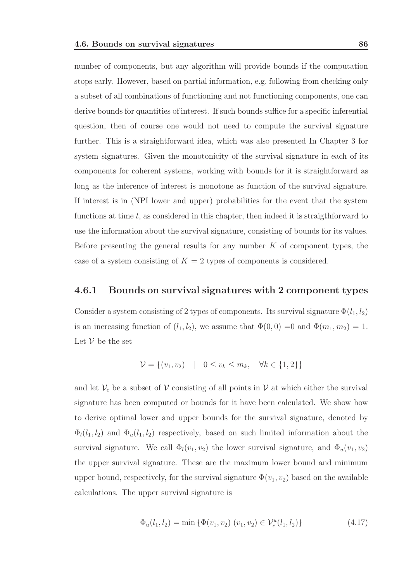number of components, but any algorithm will provide bounds if the computation stops early. However, based on partial information, e.g. following from checking only a subset of all combinations of functioning and not functioning components, one can derive bounds for quantities of interest. If such bounds suffice for a specific inferential question, then of course one would not need to compute the survival signature further. This is a straightforward idea, which was also presented In Chapter 3 for system signatures. Given the monotonicity of the survival signature in each of its components for coherent systems, working with bounds for it is straightforward as long as the inference of interest is monotone as function of the survival signature. If interest is in (NPI lower and upper) probabilities for the event that the system functions at time  $t$ , as considered in this chapter, then indeed it is straigthforward to use the information about the survival signature, consisting of bounds for its values. Before presenting the general results for any number  $K$  of component types, the case of a system consisting of  $K = 2$  types of components is considered.

### 4.6.1 Bounds on survival signatures with 2 component types

Consider a system consisting of 2 types of components. Its survival signature  $\Phi(l_1, l_2)$ is an increasing function of  $(l_1, l_2)$ , we assume that  $\Phi(0, 0) = 0$  and  $\Phi(m_1, m_2) = 1$ . Let  $V$  be the set

$$
\mathcal{V} = \{ (v_1, v_2) \mid 0 \le v_k \le m_k, \forall k \in \{1, 2\} \}
$$

and let  $V_c$  be a subset of V consisting of all points in V at which either the survival signature has been computed or bounds for it have been calculated. We show how to derive optimal lower and upper bounds for the survival signature, denoted by  $\Phi_l(l_1, l_2)$  and  $\Phi_u(l_1, l_2)$  respectively, based on such limited information about the survival signature. We call  $\Phi_l(v_1, v_2)$  the lower survival signature, and  $\Phi_u(v_1, v_2)$ the upper survival signature. These are the maximum lower bound and minimum upper bound, respectively, for the survival signature  $\Phi(v_1, v_2)$  based on the available calculations. The upper survival signature is

$$
\Phi_u(l_1, l_2) = \min \left\{ \Phi(v_1, v_2) | (v_1, v_2) \in \mathcal{V}_c^u(l_1, l_2) \right\} \tag{4.17}
$$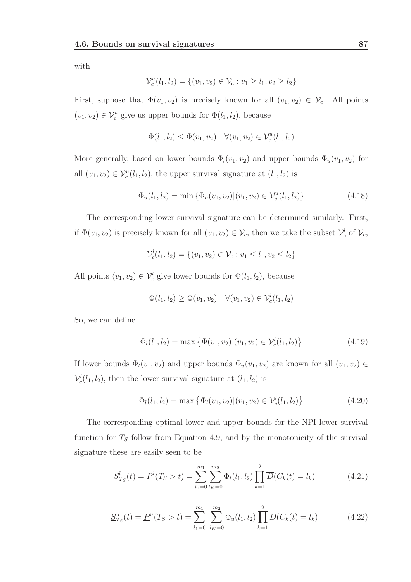with

$$
\mathcal{V}_c^u(l_1, l_2) = \{(v_1, v_2) \in \mathcal{V}_c : v_1 \ge l_1, v_2 \ge l_2\}
$$

First, suppose that  $\Phi(v_1, v_2)$  is precisely known for all  $(v_1, v_2) \in \mathcal{V}_c$ . All points  $(v_1, v_2) \in \mathcal{V}_c^u$  give us upper bounds for  $\Phi(l_1, l_2)$ , because

$$
\Phi(l_1, l_2) \le \Phi(v_1, v_2) \quad \forall (v_1, v_2) \in \mathcal{V}_c^u(l_1, l_2)
$$

More generally, based on lower bounds  $\Phi_l(v_1, v_2)$  and upper bounds  $\Phi_u(v_1, v_2)$  for all  $(v_1, v_2) \in V_c^u(l_1, l_2)$ , the upper survival signature at  $(l_1, l_2)$  is

$$
\Phi_u(l_1, l_2) = \min \{ \Phi_u(v_1, v_2) | (v_1, v_2) \in \mathcal{V}_c^u(l_1, l_2) \}
$$
\n(4.18)

The corresponding lower survival signature can be determined similarly. First, if  $\Phi(v_1, v_2)$  is precisely known for all  $(v_1, v_2) \in \mathcal{V}_c$ , then we take the subset  $\mathcal{V}_c^l$  of  $\mathcal{V}_c$ ,

$$
\mathcal{V}_c^l(l_1, l_2) = \{(v_1, v_2) \in \mathcal{V}_c : v_1 \le l_1, v_2 \le l_2\}
$$

All points  $(v_1, v_2) \in \mathcal{V}_c^l$  give lower bounds for  $\Phi(l_1, l_2)$ , because

$$
\Phi(l_1, l_2) \ge \Phi(v_1, v_2) \quad \forall (v_1, v_2) \in \mathcal{V}_c^l(l_1, l_2)
$$

So, we can define

$$
\Phi_l(l_1, l_2) = \max \left\{ \Phi(v_1, v_2) | (v_1, v_2) \in \mathcal{V}_c^l(l_1, l_2) \right\}
$$
\n(4.19)

If lower bounds  $\Phi_l(v_1, v_2)$  and upper bounds  $\Phi_u(v_1, v_2)$  are known for all  $(v_1, v_2) \in$  $\mathcal{V}_c^l(l_1, l_2)$ , then the lower survival signature at  $(l_1, l_2)$  is

$$
\Phi_l(l_1, l_2) = \max \left\{ \Phi_l(v_1, v_2) | (v_1, v_2) \in \mathcal{V}_c^l(l_1, l_2) \right\}
$$
\n(4.20)

The corresponding optimal lower and upper bounds for the NPI lower survival function for  $T<sub>S</sub>$  follow from Equation 4.9, and by the monotonicity of the survival signature these are easily seen to be

$$
\underline{S}_{T_S}^l(t) = \underline{P}^l(T_S > t) = \sum_{l_1=0}^{m_1} \sum_{l_K=0}^{m_2} \Phi_l(l_1, l_2) \prod_{k=1}^2 \overline{D}(C_k(t) = l_k)
$$
(4.21)

$$
\underline{S}_{T_S}^u(t) = \underline{P}^u(T_S > t) = \sum_{l_1=0}^{m_1} \sum_{l_K=0}^{m_2} \Phi_u(l_1, l_2) \prod_{k=1}^2 \overline{D}(C_k(t) = l_k)
$$
(4.22)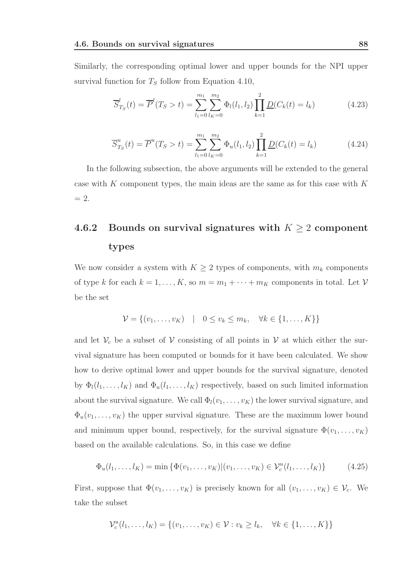Similarly, the corresponding optimal lower and upper bounds for the NPI upper survival function for  $T<sub>S</sub>$  follow from Equation 4.10,

$$
\overline{S}_{T_S}^l(t) = \overline{P}^l(T_S > t) = \sum_{l_1=0}^{m_1} \sum_{l_K=0}^{m_2} \Phi_l(l_1, l_2) \prod_{k=1}^2 \underline{D}(C_k(t) = l_k)
$$
(4.23)

$$
\overline{S}_{T_S}^u(t) = \overline{P}^u(T_S > t) = \sum_{l_1=0}^{m_1} \sum_{l_K=0}^{m_2} \Phi_u(l_1, l_2) \prod_{k=1}^2 \underline{D}(C_k(t) = l_k)
$$
(4.24)

In the following subsection, the above arguments will be extended to the general case with K component types, the main ideas are the same as for this case with  $K$  $= 2.$ 

# 4.6.2 Bounds on survival signatures with  $K \geq 2$  component types

We now consider a system with  $K \geq 2$  types of components, with  $m_k$  components of type k for each  $k = 1, ..., K$ , so  $m = m_1 + \cdots + m_K$  components in total. Let V be the set

$$
\mathcal{V} = \{(v_1, \ldots, v_K) \mid 0 \le v_k \le m_k, \forall k \in \{1, \ldots, K\}\}\
$$

and let  $V_c$  be a subset of V consisting of all points in V at which either the survival signature has been computed or bounds for it have been calculated. We show how to derive optimal lower and upper bounds for the survival signature, denoted by  $\Phi_l(l_1,\ldots,l_K)$  and  $\Phi_u(l_1,\ldots,l_K)$  respectively, based on such limited information about the survival signature. We call  $\Phi_l(v_1, \ldots, v_K)$  the lower survival signature, and  $\Phi_u(v_1,\ldots,v_K)$  the upper survival signature. These are the maximum lower bound and minimum upper bound, respectively, for the survival signature  $\Phi(v_1, \ldots, v_K)$ based on the available calculations. So, in this case we define

$$
\Phi_u(l_1,\ldots,l_K) = \min \{ \Phi(v_1,\ldots,v_K) | (v_1,\ldots,v_K) \in \mathcal{V}_c^u(l_1,\ldots,l_K) \}
$$
(4.25)

First, suppose that  $\Phi(v_1,\ldots,v_K)$  is precisely known for all  $(v_1,\ldots,v_K) \in \mathcal{V}_c$ . We take the subset

$$
\mathcal{V}_c^u(l_1,\ldots,l_K)=\{(v_1,\ldots,v_K)\in \mathcal{V}: v_k\geq l_k,\quad \forall k\in\{1,\ldots,K\}\}
$$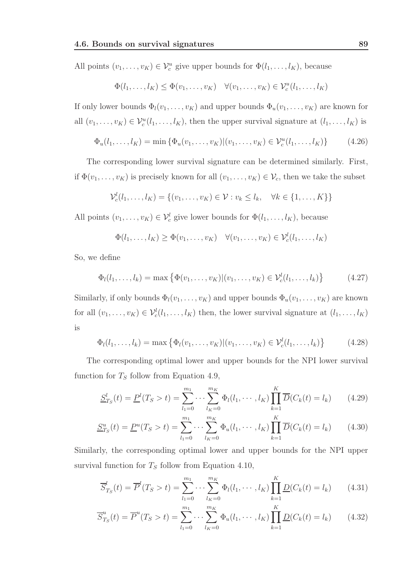All points  $(v_1, \ldots, v_K) \in \mathcal{V}_c^u$  give upper bounds for  $\Phi(l_1, \ldots, l_K)$ , because

$$
\Phi(l_1,\ldots,l_K) \leq \Phi(v_1,\ldots,v_K) \quad \forall (v_1,\ldots,v_K) \in \mathcal{V}_c^u(l_1,\ldots,l_K)
$$

If only lower bounds  $\Phi_l(v_1, \ldots, v_K)$  and upper bounds  $\Phi_u(v_1, \ldots, v_K)$  are known for all  $(v_1, \ldots, v_K) \in \mathcal{V}_c^u(l_1, \ldots, l_K)$ , then the upper survival signature at  $(l_1, \ldots, l_K)$  is

$$
\Phi_u(l_1,\ldots,l_K) = \min \{ \Phi_u(v_1,\ldots,v_K) | (v_1,\ldots,v_K) \in \mathcal{V}_c^u(l_1,\ldots,l_K) \}
$$
(4.26)

The corresponding lower survival signature can be determined similarly. First, if  $\Phi(v_1,\ldots,v_K)$  is precisely known for all  $(v_1,\ldots,v_K) \in \mathcal{V}_c$ , then we take the subset

$$
\mathcal{V}_c^l(l_1,\ldots,l_K)=\{(v_1,\ldots,v_K)\in \mathcal{V}: v_k\leq l_k,\quad \forall k\in\{1,\ldots,K\}\}
$$

All points  $(v_1, \ldots, v_K) \in \mathcal{V}_c^l$  give lower bounds for  $\Phi(l_1, \ldots, l_K)$ , because

$$
\Phi(l_1,\ldots,l_K)\geq \Phi(v_1,\ldots,v_K)\quad \forall (v_1,\ldots,v_K)\in \mathcal{V}_c^l(l_1,\ldots,l_K)
$$

So, we define

$$
\Phi_l(l_1, ..., l_k) = \max \{ \Phi(v_1, ..., v_K) | (v_1, ..., v_K) \in \mathcal{V}_c^l(l_1, ..., l_k) \}
$$
(4.27)

Similarly, if only bounds  $\Phi_l(v_1, \ldots, v_K)$  and upper bounds  $\Phi_u(v_1, \ldots, v_K)$  are known for all  $(v_1, \ldots, v_K) \in \mathcal{V}_c^l(l_1, \ldots, l_K)$  then, the lower survival signature at  $(l_1, \ldots, l_K)$ is

$$
\Phi_l(l_1, ..., l_k) = \max \left\{ \Phi_l(v_1, ..., v_K) | (v_1, ..., v_K) \in \mathcal{V}_c^l(l_1, ..., l_k) \right\}
$$
(4.28)

The corresponding optimal lower and upper bounds for the NPI lower survival function for  $T<sub>S</sub>$  follow from Equation 4.9,

$$
\underline{S}_{T_S}^l(t) = \underline{P}^l(T_S > t) = \sum_{l_1=0}^{m_1} \cdots \sum_{l_K=0}^{m_K} \Phi_l(l_1, \cdots, l_K) \prod_{k=1}^K \overline{D}(C_k(t) = l_k)
$$
(4.29)

$$
\underline{S}_{T_S}^u(t) = \underline{P}^u(T_S > t) = \sum_{l_1=0}^{m_1} \cdots \sum_{l_K=0}^{m_K} \Phi_u(l_1, \cdots, l_K) \prod_{k=1}^K \overline{D}(C_k(t) = l_k)
$$
(4.30)

Similarly, the corresponding optimal lower and upper bounds for the NPI upper survival function for  $T<sub>S</sub>$  follow from Equation 4.10,

$$
\overline{S}_{T_S}^l(t) = \overline{P}^l(T_S > t) = \sum_{l_1=0}^{m_1} \cdots \sum_{l_K=0}^{m_K} \Phi_l(l_1, \cdots, l_K) \prod_{k=1}^K \underline{D}(C_k(t) = l_k)
$$
(4.31)

$$
\overline{S}_{T_S}^u(t) = \overline{P}^u(T_S > t) = \sum_{l_1=0}^{m_1} \cdots \sum_{l_K=0}^{m_K} \Phi_u(l_1, \cdots, l_K) \prod_{k=1}^K \underline{D}(C_k(t) = l_k)
$$
(4.32)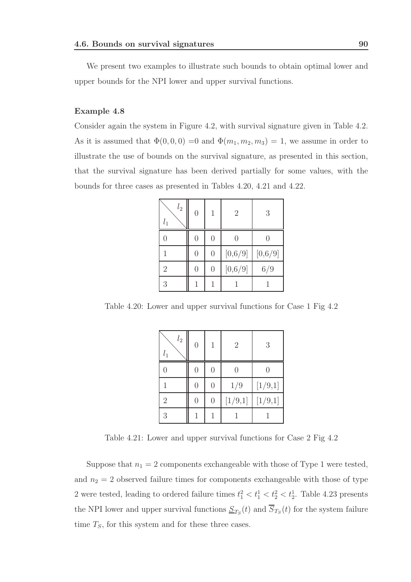We present two examples to illustrate such bounds to obtain optimal lower and upper bounds for the NPI lower and upper survival functions.

### Example 4.8

Consider again the system in Figure 4.2, with survival signature given in Table 4.2. As it is assumed that  $\Phi(0,0,0) = 0$  and  $\Phi(m_1, m_2, m_3) = 1$ , we assume in order to illustrate the use of bounds on the survival signature, as presented in this section, that the survival signature has been derived partially for some values, with the bounds for three cases as presented in Tables 4.20, 4.21 and 4.22.

| l <sub>2</sub><br>$l_{1}$ | $\overline{0}$ | 1              | $\overline{2}$ | 3       |
|---------------------------|----------------|----------------|----------------|---------|
| 0                         | 0              | $\overline{0}$ | 0              | 0       |
|                           | $\overline{0}$ | $\overline{0}$ | [0,6/9]        | [0,6/9] |
| $\overline{2}$            | $\overline{0}$ | $\overline{0}$ | [0,6/9]        | 6/9     |
| 3                         |                | 1              |                |         |

Table 4.20: Lower and upper survival functions for Case 1 Fig 4.2

| l <sub>2</sub><br>$l_1$ | $\overline{0}$ | 1              | $\overline{2}$ | 3       |
|-------------------------|----------------|----------------|----------------|---------|
| 0                       | $\overline{0}$ | $\overline{0}$ | 0              |         |
| 1                       | $\overline{0}$ | $\overline{0}$ | 1/9            | [1/9,1] |
| $\overline{2}$          | $\overline{0}$ | $\overline{0}$ | [1/9,1]        | [1/9,1] |
| 3                       | 1              | 1              |                |         |

Table 4.21: Lower and upper survival functions for Case 2 Fig 4.2

Suppose that  $n_1 = 2$  components exchangeable with those of Type 1 were tested, and  $n_2 = 2$  observed failure times for components exchangeable with those of type 2 were tested, leading to ordered failure times  $t_1^2 < t_1^1 < t_2^2 < t_2^1$ . Table 4.23 presents the NPI lower and upper survival functions  $S_{T_S}(t)$  and  $S_{T_S}(t)$  for the system failure time  $T<sub>S</sub>$ , for this system and for these three cases.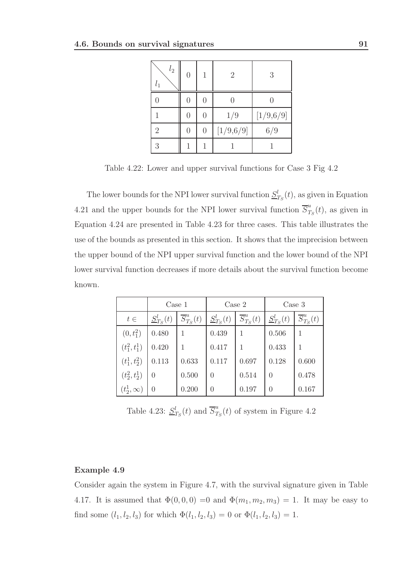| l <sub>2</sub><br>$l_1$ | $\overline{0}$ | 1              | $\overline{2}$ | 3         |  |  |  |
|-------------------------|----------------|----------------|----------------|-----------|--|--|--|
|                         | $\overline{0}$ | $\overline{0}$ |                |           |  |  |  |
|                         | $\overline{0}$ | $\overline{0}$ | 1/9            | [1/9,6/9] |  |  |  |
| $\overline{2}$          | $\overline{0}$ | $\overline{0}$ | [1/9,6/9]      | 6/9       |  |  |  |
| 3                       |                |                |                |           |  |  |  |

Table 4.22: Lower and upper survival functions for Case 3 Fig 4.2

The lower bounds for the NPI lower survival function  $S_7^l$  $t_{T_S}(t)$ , as given in Equation 4.21 and the upper bounds for the NPI lower survival function  $\overline{S}_{T}^{u}$  $T_S(t)$ , as given in Equation 4.24 are presented in Table 4.23 for three cases. This table illustrates the use of the bounds as presented in this section. It shows that the imprecision between the upper bound of the NPI upper survival function and the lower bound of the NPI lower survival function decreases if more details about the survival function become known.

|                  | $\text{Case} 1$  |                           |                  | $\text{Case} 2$           | Case 3         |                           |  |
|------------------|------------------|---------------------------|------------------|---------------------------|----------------|---------------------------|--|
| $t\in$           | $S_{T_S}^l(t)$   | $\overline{S}_{T_S}^u(t)$ | $S_{T_S}^l(t)$   | $\overline{S}_{T_S}^u(t)$ | $S_{T_S}^l(t)$ | $\overline{S}_{T_S}^u(t)$ |  |
| $(0, t_1^2)$     | 0.480            |                           | 0.439            |                           | 0.506          |                           |  |
| $(t_1^2, t_1^1)$ | 0.420            |                           | 0.417            |                           | 0.433          |                           |  |
| $(t_1^1, t_2^2)$ | 0.113            | 0.633                     | 0.117            | 0.697                     | 0.128          | 0.600                     |  |
| $(t_2^2, t_2^1)$ | $\left( \right)$ | 0.500                     | $\left( \right)$ | 0.514                     | 0              | 0.478                     |  |
| $(t_2^1,\infty)$ | 0                | 0.200                     | $\Omega$         | 0.197                     |                | 0.167                     |  |

Table 4.23:  $S_7^l$  $t_{T_S}(t)$  and  $\overline{S}_T^u$  $T_S(t)$  of system in Figure 4.2

### Example 4.9

Consider again the system in Figure 4.7, with the survival signature given in Table 4.17. It is assumed that  $\Phi(0,0,0) = 0$  and  $\Phi(m_1, m_2, m_3) = 1$ . It may be easy to find some  $(l_1, l_2, l_3)$  for which  $\Phi(l_1, l_2, l_3) = 0$  or  $\Phi(l_1, l_2, l_3) = 1$ .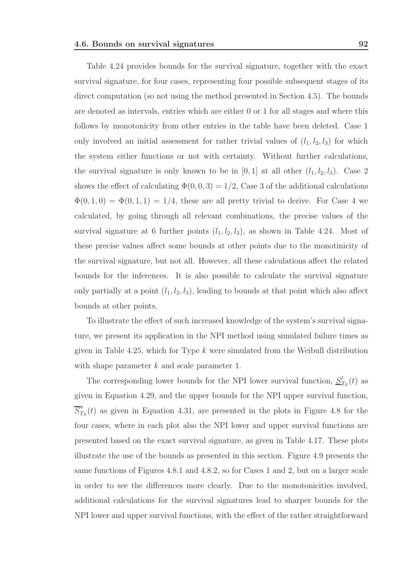Table 4.24 provides bounds for the survival signature, together with the exact survival signature, for four cases, representing four possible subsequent stages of its direct computation (so not using the method presented in Section 4.5). The bounds are denoted as intervals, entries which are either 0 or 1 for all stages and where this follows by monotonicity from other entries in the table have been deleted. Case 1 only involved an initial assessment for rather trivial values of  $(l_1, l_2, l_3)$  for which the system either functions or not with certainty. Without further calculations, the survival signature is only known to be in  $[0, 1]$  at all other  $(l_1, l_2, l_3)$ . Case 2 shows the effect of calculating  $\Phi(0,0,3) = 1/2$ , Case 3 of the additional calculations  $\Phi(0,1,0) = \Phi(0,1,1) = 1/4$ , these are all pretty trivial to derive. For Case 4 we calculated, by going through all relevant combinations, the precise values of the survival signature at 6 further points  $(l_1, l_2, l_3)$ , as shown in Table 4.24. Most of these precise values affect some bounds at other points due to the monotinicity of the survival signature, but not all. However, all these calculations affect the related bounds for the inferences. It is also possible to calculate the survival signature only partially at a point  $(l_1, l_2, l_3)$ , leading to bounds at that point which also affect bounds at other points.

To illustrate the effect of such increased knowledge of the system's survival signature, we present its application in the NPI method using simulated failure times as given in Table 4.25, which for Type  $k$  were simulated from the Weibull distribution with shape parameter  $k$  and scale parameter 1.

The corresponding lower bounds for the NPI lower survival function,  $\underline{S}_{T_S}^l(t)$  as given in Equation 4.29, and the upper bounds for the NPI upper survival function,  $\overline{S}_{T}^{u}$  $T_S(t)$  as given in Equation 4.31, are presented in the plots in Figure 4.8 for the four cases, where in each plot also the NPI lower and upper survival functions are presented based on the exact survival signature, as given in Table 4.17. These plots illustrate the use of the bounds as presented in this section. Figure 4.9 presents the same functions of Figures 4.8.1 and 4.8.2, so for Cases 1 and 2, but on a larger scale in order to see the differences more clearly. Due to the monotonicities involved, additional calculations for the survival signatures lead to sharper bounds for the NPI lower and upper survival functions, with the effect of the rather straightforward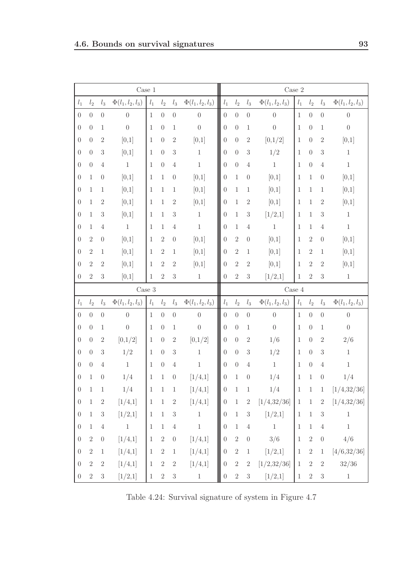|                  |                  |                  | Case 1                |                  |                |                  |                       | $\rm Case~2$          |                                                                             |                  |                       |                  |                  |                  |                       |
|------------------|------------------|------------------|-----------------------|------------------|----------------|------------------|-----------------------|-----------------------|-----------------------------------------------------------------------------|------------------|-----------------------|------------------|------------------|------------------|-----------------------|
| $l_1$            | l <sub>2</sub>   | $l_3$            | $\Phi(l_1, l_2, l_3)$ | $\mathfrak{l}_1$ | l <sub>2</sub> | $l_3$            | $\Phi(l_1, l_2, l_3)$ | $\mathfrak{l}_1$      | $\mathfrak{l}_2$                                                            | $\mathfrak{l}_3$ | $\Phi(l_1, l_2, l_3)$ | $\mathfrak{l}_1$ | l <sub>2</sub>   | $l_3$            | $\Phi(l_1, l_2, l_3)$ |
| $\boldsymbol{0}$ | $\boldsymbol{0}$ | $\theta$         | $\boldsymbol{0}$      | $\mathbf{1}$     | $\theta$       | $\boldsymbol{0}$ | $\boldsymbol{0}$      | $\boldsymbol{0}$      | $\boldsymbol{0}$                                                            | $\boldsymbol{0}$ | $\boldsymbol{0}$      | $\mathbf{1}$     | $\boldsymbol{0}$ | $\boldsymbol{0}$ | $\boldsymbol{0}$      |
| $\boldsymbol{0}$ | $\boldsymbol{0}$ | $\mathbf{1}$     | $\overline{0}$        | 1                | $\theta$       | $\mathbf{1}$     | $\boldsymbol{0}$      | $\boldsymbol{0}$      | $\overline{0}$                                                              | $\mathbf 1$      | $\overline{0}$        | $\mathbf{1}$     | $\theta$         | $\mathbf 1$      | $\boldsymbol{0}$      |
| $\boldsymbol{0}$ | $\boldsymbol{0}$ | $\overline{2}$   | [0,1]                 | 1                | $\theta$       | $\overline{2}$   | [0,1]                 | $\boldsymbol{0}$      | $\theta$                                                                    | $\sqrt{2}$       | [0,1/2]               | $\mathbf{1}$     | $\theta$         | $\sqrt{2}$       | [0,1]                 |
| $\boldsymbol{0}$ | $\boldsymbol{0}$ | $\mathfrak{Z}$   | [0,1]                 | 1                | $\theta$       | $\sqrt{3}$       | $\mathbf{1}$          | $\boldsymbol{0}$      | $\theta$                                                                    | $\sqrt{3}$       | 1/2                   | 1                | $\theta$         | 3                | $\mathbf{1}$          |
| $\boldsymbol{0}$ | $\boldsymbol{0}$ | $\overline{4}$   | $1\,$                 | $\mathbf{1}$     | $\theta$       | $\overline{4}$   | $\mathbf{1}$          | $\boldsymbol{0}$      | $\overline{0}$                                                              | $\overline{4}$   | $1\,$                 | $\mathbf{1}$     | $\boldsymbol{0}$ | $\overline{4}$   | $1\,$                 |
| $\boldsymbol{0}$ | $\mathbf{1}$     | $\theta$         | [0,1]                 | 1                | $\mathbf{1}$   | $\theta$         | [0,1]                 | $\boldsymbol{0}$      | 1                                                                           | $\theta$         | [0,1]                 | 1                | $\mathbf{1}$     | $\theta$         | [0,1]                 |
| $\boldsymbol{0}$ | $\mathbf 1$      | $\mathbf{1}$     | [0,1]                 | 1                | $\mathbf{1}$   | $\mathbf{1}$     | [0,1]                 | $\boldsymbol{0}$      | 1                                                                           | $\mathbf 1$      | [0,1]                 | 1                | $\mathbf{1}$     | 1                | [0,1]                 |
| $\boldsymbol{0}$ | $\mathbf{1}$     | $\sqrt{2}$       | [0,1]                 | 1                | $\mathbf{1}$   | $\sqrt{2}$       | [0,1]                 | $\boldsymbol{0}$      | 1                                                                           | $\sqrt{2}$       | [0,1]                 | 1                | $\mathbf{1}$     | $\sqrt{2}$       | [0,1]                 |
| $\boldsymbol{0}$ | 1                | 3                | [0,1]                 | 1                | $\mathbf{1}$   | $\sqrt{3}$       | $\mathbf{1}$          | $\boldsymbol{0}$      | 1                                                                           | 3                | [1/2,1]               | 1                | $\mathbf{1}$     | $\sqrt{3}$       | $\mathbf{1}$          |
| $\boldsymbol{0}$ | $\mathbf{1}$     | $\overline{4}$   | $1\,$                 | 1                | $\mathbf{1}$   | $\overline{4}$   | $\mathbf{1}$          | $\boldsymbol{0}$      | 1                                                                           | $\overline{4}$   | $1\,$                 | $\mathbf{1}$     | $\mathbf{1}$     | $\overline{4}$   | $1\,$                 |
| $\boldsymbol{0}$ | $\sqrt{2}$       | $\theta$         | [0,1]                 | 1                | $\overline{2}$ | $\theta$         | [0,1]                 | $\boldsymbol{0}$      | $\overline{2}$                                                              | $\boldsymbol{0}$ | [0,1]                 | $\mathbf{1}$     | $\sqrt{2}$       | $\theta$         | [0,1]                 |
| $\boldsymbol{0}$ | $\,2$            | $\mathbf{1}$     | [0,1]                 | 1                | $\overline{2}$ | $\mathbf{1}$     | [0,1]                 | $\boldsymbol{0}$      | $\overline{2}$                                                              | $\mathbf 1$      | [0,1]                 | 1                | $\,2$            | 1                | [0,1]                 |
| $\boldsymbol{0}$ | $\overline{2}$   | $\overline{2}$   | [0,1]                 | 1                | $\overline{2}$ | $\sqrt{2}$       | [0,1]                 | $\boldsymbol{0}$      | $\overline{2}$                                                              | $\sqrt{2}$       | [0,1]                 | 1                | $\sqrt{2}$       | $\sqrt{2}$       | [0,1]                 |
| $\boldsymbol{0}$ | $\overline{2}$   | 3                | [0,1]                 | 1                | $\overline{2}$ | $\overline{3}$   | $\mathbf{1}$          | $\boldsymbol{0}$      | $\overline{2}$                                                              | $\sqrt{3}$       | [1/2,1]               | $\mathbf{1}$     | $\sqrt{2}$       | $\sqrt{3}$       | $\,1$                 |
|                  |                  |                  | $\rm Case~3$          |                  |                |                  |                       |                       | Case 4                                                                      |                  |                       |                  |                  |                  |                       |
| $l_1$            | l <sub>2</sub>   | $l_3$            | $\Phi(l_1, l_2, l_3)$ | $l_1$            | l <sub>2</sub> | $l_3$            | $\Phi(l_1, l_2, l_3)$ | $l_1$                 | $l_2$<br>$l_3$<br>$\Phi(l_1, l_2, l_3)$<br>$l_1$<br>l <sub>2</sub><br>$l_3$ |                  | $\Phi(l_1, l_2, l_3)$ |                  |                  |                  |                       |
| $\theta$         | $\boldsymbol{0}$ | $\theta$         | $\theta$              | $\mathbf{1}$     | $\theta$       | $\boldsymbol{0}$ | $\boldsymbol{0}$      | $\boldsymbol{0}$      | $\boldsymbol{0}$                                                            | $\theta$         | $\boldsymbol{0}$      | $\mathbf{1}$     | $\boldsymbol{0}$ | $\boldsymbol{0}$ | $\boldsymbol{0}$      |
| $\theta$         | $\theta$         | 1                | $\overline{0}$        | 1                | $\theta$       | $\mathbf{1}$     | $\boldsymbol{0}$      | $\boldsymbol{0}$      | $\theta$                                                                    | 1                | $\overline{0}$        | 1                | $\theta$         | 1                | $\boldsymbol{0}$      |
| $\boldsymbol{0}$ | $\boldsymbol{0}$ | 2                | [0,1/2]               | $\mathbf{1}$     | $\theta$       | $\overline{2}$   | [0,1/2]               | $\boldsymbol{0}$      | $\theta$                                                                    | $\sqrt{2}$       | 1/6                   | 1                | $\theta$         | $\overline{2}$   | 2/6                   |
| $\theta$         | $\theta$         | 3                | 1/2                   | 1                | $\theta$       | $\mathbf{3}$     | 1                     | $\boldsymbol{0}$      | $\overline{0}$                                                              | $\mathfrak{Z}$   | 1/2                   | 1                | $\theta$         | 3                | $\mathbf{1}$          |
| $\theta$         | $\boldsymbol{0}$ | $\overline{4}$   | $1\,$                 | 1                | $\theta$       | $\overline{4}$   | $\mathbf{1}$          | $\boldsymbol{0}$      | $\overline{0}$                                                              | 4                | $1\,$                 | 1                | $\boldsymbol{0}$ | $\overline{4}$   | $\mathbf{1}$          |
| $\theta$         | 1                | $\theta$         | 1/4                   | 1                | $\mathbf{1}$   | $\boldsymbol{0}$ | [1/4,1]               | $\boldsymbol{0}$      | 1                                                                           | $\theta$         | 1/4                   | 1                | $\mathbf{1}$     | $\theta$         | 1/4                   |
| $\theta$         | $\mathbf 1$      | 1                | 1/4                   | $\mathbf 1$      | $\mathbf 1$    | 1                | [1/4,1]               | ║<br>$\theta$         | 1                                                                           | 1                | 1/4                   | 1                | 1                | 1                | [1/4, 32/36]          |
| $\boldsymbol{0}$ | $\mathbf{1}$     | $\sqrt{2}$       | [1/4,1]               | $\,1\,$          | $\,1\,$        | $\sqrt{2}$       | [1/4,1]               | $\parallel$ 0         | $\mathbf{1}$                                                                | $\sqrt{2}$       | [1/4, 32/36]          | $\mathbf{1}$     | $\,1\,$          | $\sqrt{2}$       | [1/4, 32/36]          |
| $\boldsymbol{0}$ | $\,1$            | $\sqrt{3}$       | [1/2,1]               | $\mathbf{1}$     | $\,1\,$        | $\sqrt{3}$       | $\,1\,$               | $\boldsymbol{0}$      | $\,1\,$                                                                     | $\sqrt{3}$       | [1/2,1]               | $\mathbf{1}$     | $\,1$            | $\sqrt{3}$       | $\mathbf{1}$          |
| $\boldsymbol{0}$ | $\mathbf{1}$     | $\sqrt{4}$       | $\,1\,$               | $\mathbf{1}$     | $\,1\,$        | $\,4\,$          | $\,1$                 | $\boldsymbol{0}$      | $\mathbf{1}$                                                                | $\sqrt{4}$       | $\,1\,$               | $\mathbf{1}$     | $\,1$            | $\sqrt{4}$       | $\,1\,$               |
| $\boldsymbol{0}$ | $\,2$            | $\boldsymbol{0}$ | [1/4,1]               | $\mathbf{1}$     | $\sqrt{2}$     | $\boldsymbol{0}$ | [1/4,1]               | $\boldsymbol{0}$      | $\sqrt{2}$                                                                  | $\boldsymbol{0}$ | 3/6                   | $1\,$            | $\sqrt{2}$       | $\boldsymbol{0}$ | 4/6                   |
| $\boldsymbol{0}$ | $\,2$            | $\mathbf{1}$     | [1/4,1]               | $\mathbf{1}$     | $\sqrt{2}$     | $\,1\,$          | [1/4,1]               | $\boldsymbol{0}$      | $\sqrt{2}$                                                                  | $\,1$            | [1/2,1]               | $\mathbf{1}$     | $\,2$            | $\mathbf{1}$     | [4/6, 32/36]          |
| $\boldsymbol{0}$ | $\sqrt{2}$       | $\sqrt{2}$       | [1/4,1]               | $\mathbf{1}$     | $\sqrt{2}$     | $\sqrt{2}$       | [1/4,1]               | $\boldsymbol{0}$      | $\,2$                                                                       | $\sqrt{2}$       | [1/2, 32/36]          | $\mathbf{1}$     | $\sqrt{2}$       | $\sqrt{2}$       | 32/36                 |
| $\boldsymbol{0}$ | $\,2$            | $\sqrt{3}$       | [1/2,1]               | $\mathbf{1}$     | $\sqrt{2}$     | $\sqrt{3}$       | $\,1$                 | ⊪<br>$\boldsymbol{0}$ | $\sqrt{2}$                                                                  | $\sqrt{3}$       | [1/2,1]               | $\mathbf{1}$     | $\sqrt{2}$       | $\sqrt{3}$       | $\,1\,$               |

Table 4.24: Survival signature of system in Figure 4.7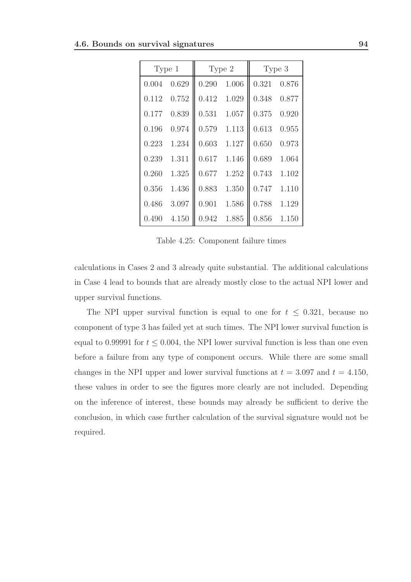| Type 1 |       |       | Type 2 | Type 3 |       |  |  |
|--------|-------|-------|--------|--------|-------|--|--|
| 0.004  | 0.629 | 0.290 | 1.006  | 0.321  | 0.876 |  |  |
| 0.112  | 0.752 | 0.412 | 1.029  | 0.348  | 0.877 |  |  |
| 0.177  | 0.839 | 0.531 | 1.057  | 0.375  | 0.920 |  |  |
| 0.196  | 0.974 | 0.579 | 1.113  | 0.613  | 0.955 |  |  |
| 0.223  | 1.234 | 0.603 | 1.127  | 0.650  | 0.973 |  |  |
| 0.239  | 1.311 | 0.617 | 1.146  | 0.689  | 1.064 |  |  |
| 0.260  | 1.325 | 0.677 | 1.252  | 0.743  | 1.102 |  |  |
| 0.356  | 1.436 | 0.883 | 1.350  | 0.747  | 1.110 |  |  |
| 0.486  | 3.097 | 0.901 | 1.586  | 0.788  | 1.129 |  |  |
| 0.490  | 4.150 | 0.942 | 1.885  | 0.856  | 1.150 |  |  |

Table 4.25: Component failure times

calculations in Cases 2 and 3 already quite substantial. The additional calculations in Case 4 lead to bounds that are already mostly close to the actual NPI lower and upper survival functions.

The NPI upper survival function is equal to one for  $t \leq 0.321$ , because no component of type 3 has failed yet at such times. The NPI lower survival function is equal to 0.99991 for  $t \leq 0.004$ , the NPI lower survival function is less than one even before a failure from any type of component occurs. While there are some small changes in the NPI upper and lower survival functions at  $t = 3.097$  and  $t = 4.150$ , these values in order to see the figures more clearly are not included. Depending on the inference of interest, these bounds may already be sufficient to derive the conclusion, in which case further calculation of the survival signature would not be required.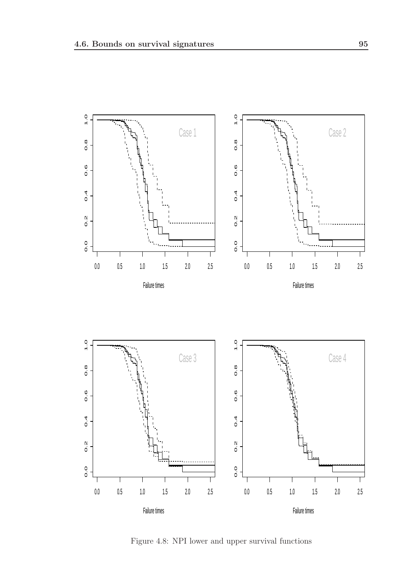

Figure 4.8: NPI lower and upper survival functions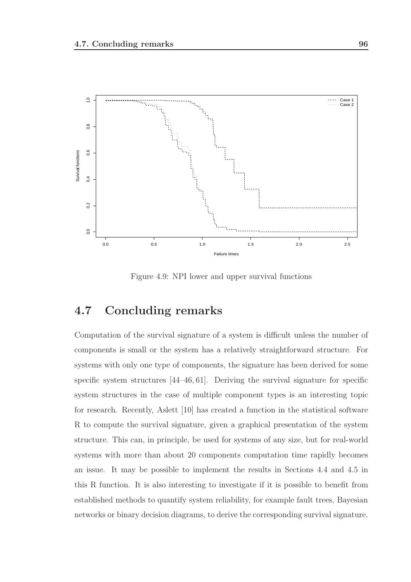

Figure 4.9: NPI lower and upper survival functions

## 4.7 Concluding remarks

Computation of the survival signature of a system is difficult unless the number of components is small or the system has a relatively straightforward structure. For systems with only one type of components, the signature has been derived for some specific system structures [44–46, 61]. Deriving the survival signature for specific system structures in the case of multiple component types is an interesting topic for research. Recently, Aslett [10] has created a function in the statistical software R to compute the survival signature, given a graphical presentation of the system structure. This can, in principle, be used for systems of any size, but for real-world systems with more than about 20 components computation time rapidly becomes an issue. It may be possible to implement the results in Sections 4.4 and 4.5 in this R function. It is also interesting to investigate if it is possible to benefit from established methods to quantify system reliability, for example fault trees, Bayesian networks or binary decision diagrams, to derive the corresponding survival signature.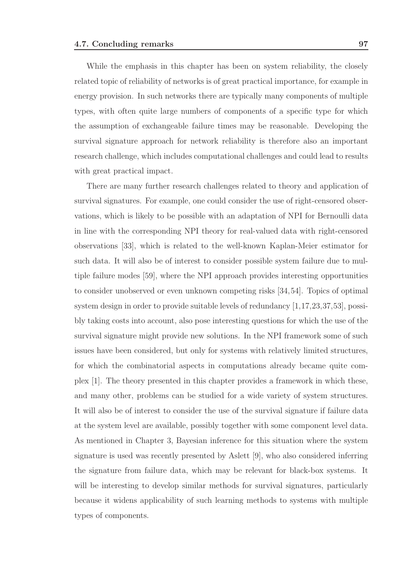While the emphasis in this chapter has been on system reliability, the closely related topic of reliability of networks is of great practical importance, for example in energy provision. In such networks there are typically many components of multiple types, with often quite large numbers of components of a specific type for which the assumption of exchangeable failure times may be reasonable. Developing the survival signature approach for network reliability is therefore also an important research challenge, which includes computational challenges and could lead to results with great practical impact.

There are many further research challenges related to theory and application of survival signatures. For example, one could consider the use of right-censored observations, which is likely to be possible with an adaptation of NPI for Bernoulli data in line with the corresponding NPI theory for real-valued data with right-censored observations [33], which is related to the well-known Kaplan-Meier estimator for such data. It will also be of interest to consider possible system failure due to multiple failure modes [59], where the NPI approach provides interesting opportunities to consider unobserved or even unknown competing risks [34,54]. Topics of optimal system design in order to provide suitable levels of redundancy [1,17,23,37,53], possibly taking costs into account, also pose interesting questions for which the use of the survival signature might provide new solutions. In the NPI framework some of such issues have been considered, but only for systems with relatively limited structures, for which the combinatorial aspects in computations already became quite complex [1]. The theory presented in this chapter provides a framework in which these, and many other, problems can be studied for a wide variety of system structures. It will also be of interest to consider the use of the survival signature if failure data at the system level are available, possibly together with some component level data. As mentioned in Chapter 3, Bayesian inference for this situation where the system signature is used was recently presented by Aslett [9], who also considered inferring the signature from failure data, which may be relevant for black-box systems. It will be interesting to develop similar methods for survival signatures, particularly because it widens applicability of such learning methods to systems with multiple types of components.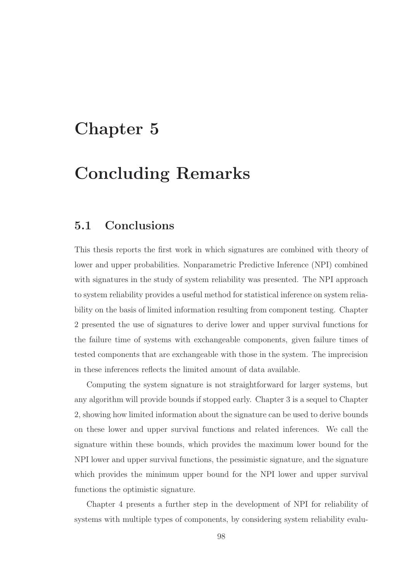# Chapter 5

# Concluding Remarks

## 5.1 Conclusions

This thesis reports the first work in which signatures are combined with theory of lower and upper probabilities. Nonparametric Predictive Inference (NPI) combined with signatures in the study of system reliability was presented. The NPI approach to system reliability provides a useful method for statistical inference on system reliability on the basis of limited information resulting from component testing. Chapter 2 presented the use of signatures to derive lower and upper survival functions for the failure time of systems with exchangeable components, given failure times of tested components that are exchangeable with those in the system. The imprecision in these inferences reflects the limited amount of data available.

Computing the system signature is not straightforward for larger systems, but any algorithm will provide bounds if stopped early. Chapter 3 is a sequel to Chapter 2, showing how limited information about the signature can be used to derive bounds on these lower and upper survival functions and related inferences. We call the signature within these bounds, which provides the maximum lower bound for the NPI lower and upper survival functions, the pessimistic signature, and the signature which provides the minimum upper bound for the NPI lower and upper survival functions the optimistic signature.

Chapter 4 presents a further step in the development of NPI for reliability of systems with multiple types of components, by considering system reliability evalu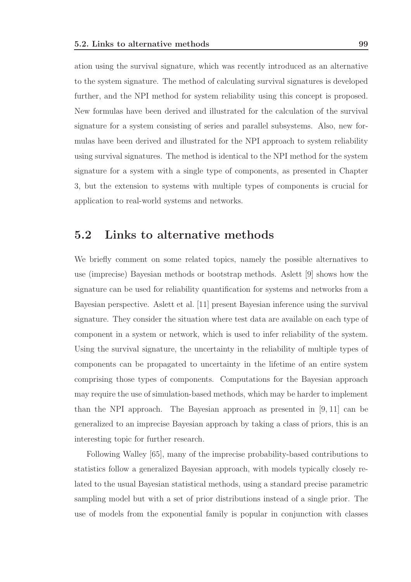ation using the survival signature, which was recently introduced as an alternative to the system signature. The method of calculating survival signatures is developed further, and the NPI method for system reliability using this concept is proposed. New formulas have been derived and illustrated for the calculation of the survival signature for a system consisting of series and parallel subsystems. Also, new formulas have been derived and illustrated for the NPI approach to system reliability using survival signatures. The method is identical to the NPI method for the system signature for a system with a single type of components, as presented in Chapter 3, but the extension to systems with multiple types of components is crucial for application to real-world systems and networks.

### 5.2 Links to alternative methods

We briefly comment on some related topics, namely the possible alternatives to use (imprecise) Bayesian methods or bootstrap methods. Aslett [9] shows how the signature can be used for reliability quantification for systems and networks from a Bayesian perspective. Aslett et al. [11] present Bayesian inference using the survival signature. They consider the situation where test data are available on each type of component in a system or network, which is used to infer reliability of the system. Using the survival signature, the uncertainty in the reliability of multiple types of components can be propagated to uncertainty in the lifetime of an entire system comprising those types of components. Computations for the Bayesian approach may require the use of simulation-based methods, which may be harder to implement than the NPI approach. The Bayesian approach as presented in [9, 11] can be generalized to an imprecise Bayesian approach by taking a class of priors, this is an interesting topic for further research.

Following Walley [65], many of the imprecise probability-based contributions to statistics follow a generalized Bayesian approach, with models typically closely related to the usual Bayesian statistical methods, using a standard precise parametric sampling model but with a set of prior distributions instead of a single prior. The use of models from the exponential family is popular in conjunction with classes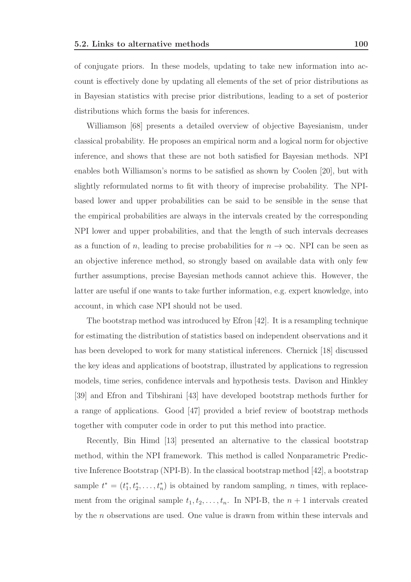of conjugate priors. In these models, updating to take new information into account is effectively done by updating all elements of the set of prior distributions as in Bayesian statistics with precise prior distributions, leading to a set of posterior distributions which forms the basis for inferences.

Williamson [68] presents a detailed overview of objective Bayesianism, under classical probability. He proposes an empirical norm and a logical norm for objective inference, and shows that these are not both satisfied for Bayesian methods. NPI enables both Williamson's norms to be satisfied as shown by Coolen [20], but with slightly reformulated norms to fit with theory of imprecise probability. The NPIbased lower and upper probabilities can be said to be sensible in the sense that the empirical probabilities are always in the intervals created by the corresponding NPI lower and upper probabilities, and that the length of such intervals decreases as a function of n, leading to precise probabilities for  $n \to \infty$ . NPI can be seen as an objective inference method, so strongly based on available data with only few further assumptions, precise Bayesian methods cannot achieve this. However, the latter are useful if one wants to take further information, e.g. expert knowledge, into account, in which case NPI should not be used.

The bootstrap method was introduced by Efron [42]. It is a resampling technique for estimating the distribution of statistics based on independent observations and it has been developed to work for many statistical inferences. Chernick [18] discussed the key ideas and applications of bootstrap, illustrated by applications to regression models, time series, confidence intervals and hypothesis tests. Davison and Hinkley [39] and Efron and Tibshirani [43] have developed bootstrap methods further for a range of applications. Good [47] provided a brief review of bootstrap methods together with computer code in order to put this method into practice.

Recently, Bin Himd [13] presented an alternative to the classical bootstrap method, within the NPI framework. This method is called Nonparametric Predictive Inference Bootstrap (NPI-B). In the classical bootstrap method [42], a bootstrap sample  $t^* = (t_1^*, t_2^*, \ldots, t_n^*)$  is obtained by random sampling, *n* times, with replacement from the original sample  $t_1, t_2, \ldots, t_n$ . In NPI-B, the  $n + 1$  intervals created by the n observations are used. One value is drawn from within these intervals and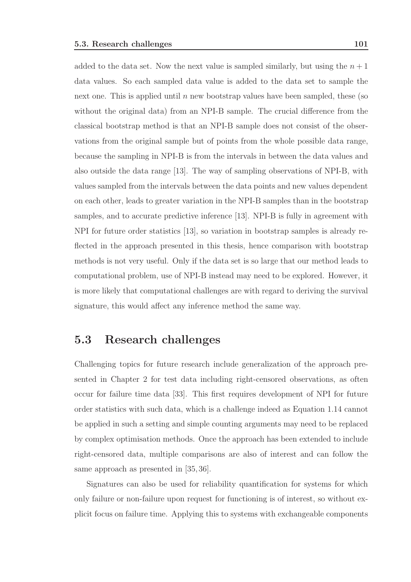added to the data set. Now the next value is sampled similarly, but using the  $n + 1$ data values. So each sampled data value is added to the data set to sample the next one. This is applied until  $n$  new bootstrap values have been sampled, these (so without the original data) from an NPI-B sample. The crucial difference from the classical bootstrap method is that an NPI-B sample does not consist of the observations from the original sample but of points from the whole possible data range, because the sampling in NPI-B is from the intervals in between the data values and also outside the data range [13]. The way of sampling observations of NPI-B, with values sampled from the intervals between the data points and new values dependent on each other, leads to greater variation in the NPI-B samples than in the bootstrap samples, and to accurate predictive inference [13]. NPI-B is fully in agreement with NPI for future order statistics [13], so variation in bootstrap samples is already reflected in the approach presented in this thesis, hence comparison with bootstrap methods is not very useful. Only if the data set is so large that our method leads to computational problem, use of NPI-B instead may need to be explored. However, it is more likely that computational challenges are with regard to deriving the survival signature, this would affect any inference method the same way.

## 5.3 Research challenges

Challenging topics for future research include generalization of the approach presented in Chapter 2 for test data including right-censored observations, as often occur for failure time data [33]. This first requires development of NPI for future order statistics with such data, which is a challenge indeed as Equation 1.14 cannot be applied in such a setting and simple counting arguments may need to be replaced by complex optimisation methods. Once the approach has been extended to include right-censored data, multiple comparisons are also of interest and can follow the same approach as presented in [35, 36].

Signatures can also be used for reliability quantification for systems for which only failure or non-failure upon request for functioning is of interest, so without explicit focus on failure time. Applying this to systems with exchangeable components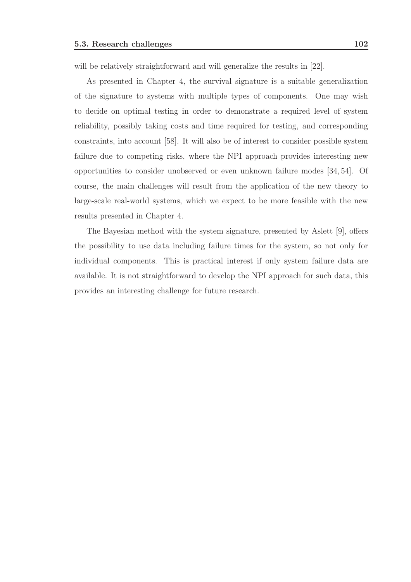will be relatively straightforward and will generalize the results in [22].

As presented in Chapter 4, the survival signature is a suitable generalization of the signature to systems with multiple types of components. One may wish to decide on optimal testing in order to demonstrate a required level of system reliability, possibly taking costs and time required for testing, and corresponding constraints, into account [58]. It will also be of interest to consider possible system failure due to competing risks, where the NPI approach provides interesting new opportunities to consider unobserved or even unknown failure modes [34, 54]. Of course, the main challenges will result from the application of the new theory to large-scale real-world systems, which we expect to be more feasible with the new results presented in Chapter 4.

The Bayesian method with the system signature, presented by Aslett [9], offers the possibility to use data including failure times for the system, so not only for individual components. This is practical interest if only system failure data are available. It is not straightforward to develop the NPI approach for such data, this provides an interesting challenge for future research.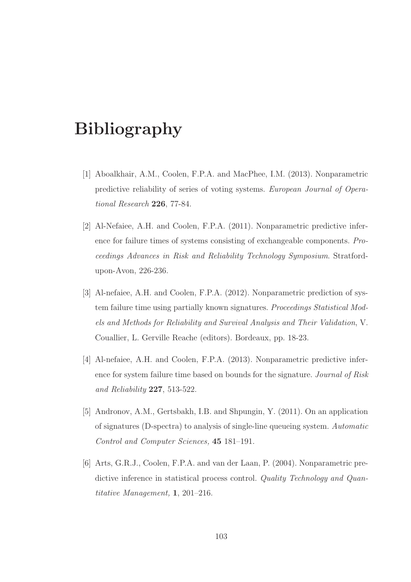## Bibliography

- [1] Aboalkhair, A.M., Coolen, F.P.A. and MacPhee, I.M. (2013). Nonparametric predictive reliability of series of voting systems. European Journal of Operational Research 226, 77-84.
- [2] Al-Nefaiee, A.H. and Coolen, F.P.A. (2011). Nonparametric predictive inference for failure times of systems consisting of exchangeable components. Proceedings Advances in Risk and Reliability Technology Symposium. Stratfordupon-Avon, 226-236.
- [3] Al-nefaiee, A.H. and Coolen, F.P.A. (2012). Nonparametric prediction of system failure time using partially known signatures. Proceedings Statistical Models and Methods for Reliability and Survival Analysis and Their Validation, V. Couallier, L. Gerville Reache (editors). Bordeaux, pp. 18-23.
- [4] Al-nefaiee, A.H. and Coolen, F.P.A. (2013). Nonparametric predictive inference for system failure time based on bounds for the signature. Journal of Risk and Reliability 227, 513-522.
- [5] Andronov, A.M., Gertsbakh, I.B. and Shpungin, Y. (2011). On an application of signatures (D-spectra) to analysis of single-line queueing system. Automatic Control and Computer Sciences, 45 181–191.
- [6] Arts, G.R.J., Coolen, F.P.A. and van der Laan, P. (2004). Nonparametric predictive inference in statistical process control. Quality Technology and Quantitative Management, 1, 201–216.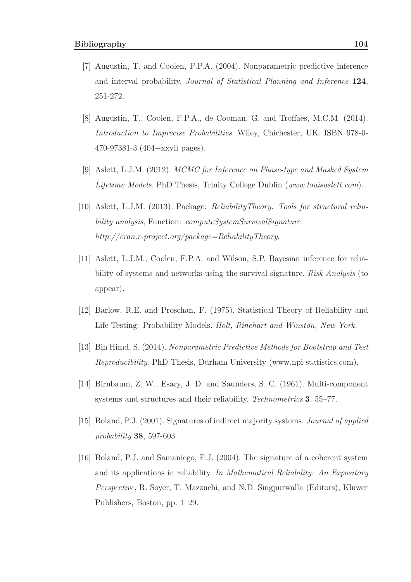- [7] Augustin, T. and Coolen, F.P.A. (2004). Nonparametric predictive inference and interval probability. Journal of Statistical Planning and Inference 124, 251-272.
- [8] Augustin, T., Coolen, F.P.A., de Cooman, G. and Troffaes, M.C.M. (2014). Introduction to Imprecise Probabilities. Wiley, Chichester, UK. ISBN 978-0- 470-97381-3 (404+xxvii pages).
- [9] Aslett, L.J.M. (2012). MCMC for Inference on Phase-type and Masked System Lifetime Models. PhD Thesis, Trinity College Dublin (www.louisaslett.com).
- [10] Aslett, L.J.M. (2013). Package: ReliabilityTheory: Tools for structural reliability analysis, Function: *computeSystemSurvivalSignature* http://cran.r-project.org/package=ReliabilityTheory.
- [11] Aslett, L.J.M., Coolen, F.P.A. and Wilson, S.P. Bayesian inference for reliability of systems and networks using the survival signature. Risk Analysis (to appear).
- [12] Barlow, R.E. and Proschan, F. (1975). Statistical Theory of Reliability and Life Testing: Probability Models. Holt, Rinehart and Winston, New York.
- [13] Bin Himd, S. (2014). Nonparametric Predictive Methods for Bootstrap and Test Reproducibility. PhD Thesis, Durham University (www.npi-statistics.com).
- [14] Birnbaum, Z. W., Esary, J. D. and Saunders, S. C. (1961). Multi-component systems and structures and their reliability. Technometrics 3, 55–77.
- [15] Boland, P.J. (2001). Signatures of indirect majority systems. Journal of applied probability 38, 597-603.
- [16] Boland, P.J. and Samaniego, F.J. (2004). The signature of a coherent system and its applications in reliability. In Mathematical Reliability: An Expository Perspective, R. Soyer, T. Mazzuchi, and N.D. Singpurwalla (Editors), Kluwer Publishers, Boston, pp. 1–29.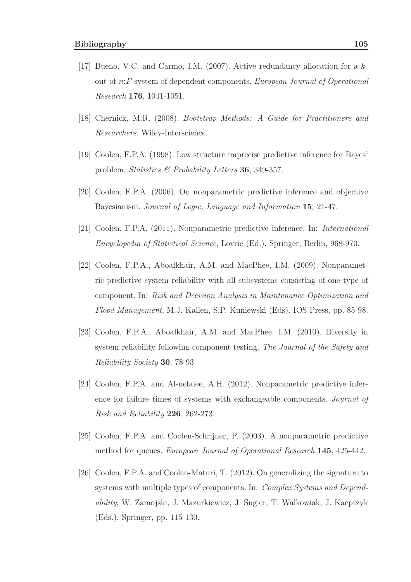- [17] Bueno, V.C. and Carmo, I.M. (2007). Active redundancy allocation for a kout-of-n:F system of dependent components. European Journal of Operational Research 176, 1041-1051.
- [18] Chernick, M.R. (2008). Bootstrap Methods: A Guide for Practitioners and Researchers. Wiley-Interscience.
- [19] Coolen, F.P.A. (1998). Low structure imprecise predictive inference for Bayes' problem. Statistics & Probability Letters 36, 349-357.
- [20] Coolen, F.P.A. (2006). On nonparametric predictive inference and objective Bayesianism. Journal of Logic, Language and Information 15, 21-47.
- [21] Coolen, F.P.A. (2011). Nonparametric predictive inference. In: International Encyclopedia of Statistical Science, Lovric (Ed.). Springer, Berlin, 968-970.
- [22] Coolen, F.P.A., Aboalkhair, A.M. and MacPhee, I.M. (2009). Nonparametric predictive system reliability with all subsystems consisting of one type of component. In: Risk and Decision Analysis in Maintenance Optimization and Flood Management, M.J. Kallen, S.P. Kuniewski (Eds). IOS Press, pp. 85-98.
- [23] Coolen, F.P.A., Aboalkhair, A.M. and MacPhee, I.M. (2010). Diversity in system reliability following component testing. The Journal of the Safety and Reliability Society 30, 78-93.
- [24] Coolen, F.P.A. and Al-nefaiee, A.H. (2012). Nonparametric predictive inference for failure times of systems with exchangeable components. Journal of Risk and Reliability 226, 262-273.
- [25] Coolen, F.P.A. and Coolen-Schrijner, P. (2003). A nonparametric predictive method for queues. European Journal of Operational Research 145, 425-442.
- [26] Coolen, F.P.A. and Coolen-Maturi, T. (2012). On generalizing the signature to systems with multiple types of components. In: Complex Systems and Dependability, W. Zamojski, J. Mazurkiewicz, J. Sugier, T. Walkowiak, J. Kacprzyk (Eds.). Springer, pp. 115-130.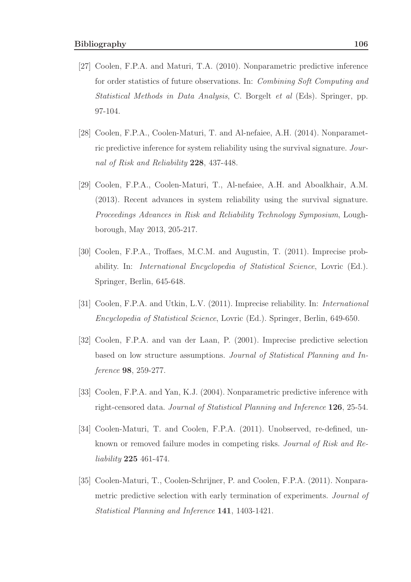- [27] Coolen, F.P.A. and Maturi, T.A. (2010). Nonparametric predictive inference for order statistics of future observations. In: Combining Soft Computing and Statistical Methods in Data Analysis, C. Borgelt et al (Eds). Springer, pp. 97-104.
- [28] Coolen, F.P.A., Coolen-Maturi, T. and Al-nefaiee, A.H. (2014). Nonparametric predictive inference for system reliability using the survival signature. Journal of Risk and Reliability 228, 437-448.
- [29] Coolen, F.P.A., Coolen-Maturi, T., Al-nefaiee, A.H. and Aboalkhair, A.M. (2013). Recent advances in system reliability using the survival signature. Proceedings Advances in Risk and Reliability Technology Symposium, Loughborough, May 2013, 205-217.
- [30] Coolen, F.P.A., Troffaes, M.C.M. and Augustin, T. (2011). Imprecise probability. In: International Encyclopedia of Statistical Science, Lovric (Ed.). Springer, Berlin, 645-648.
- [31] Coolen, F.P.A. and Utkin, L.V. (2011). Imprecise reliability. In: International Encyclopedia of Statistical Science, Lovric (Ed.). Springer, Berlin, 649-650.
- [32] Coolen, F.P.A. and van der Laan, P. (2001). Imprecise predictive selection based on low structure assumptions. Journal of Statistical Planning and Inference 98, 259-277.
- [33] Coolen, F.P.A. and Yan, K.J. (2004). Nonparametric predictive inference with right-censored data. Journal of Statistical Planning and Inference 126, 25-54.
- [34] Coolen-Maturi, T. and Coolen, F.P.A. (2011). Unobserved, re-defined, unknown or removed failure modes in competing risks. Journal of Risk and Reliability 225 461-474.
- [35] Coolen-Maturi, T., Coolen-Schrijner, P. and Coolen, F.P.A. (2011). Nonparametric predictive selection with early termination of experiments. Journal of Statistical Planning and Inference 141, 1403-1421.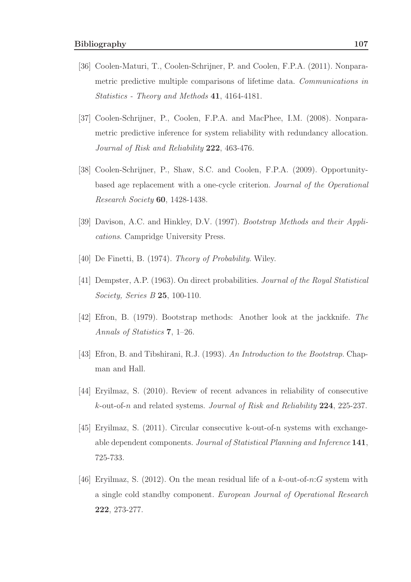- [36] Coolen-Maturi, T., Coolen-Schrijner, P. and Coolen, F.P.A. (2011). Nonparametric predictive multiple comparisons of lifetime data. Communications in Statistics - Theory and Methods 41, 4164-4181.
- [37] Coolen-Schrijner, P., Coolen, F.P.A. and MacPhee, I.M. (2008). Nonparametric predictive inference for system reliability with redundancy allocation. Journal of Risk and Reliability 222, 463-476.
- [38] Coolen-Schrijner, P., Shaw, S.C. and Coolen, F.P.A. (2009). Opportunitybased age replacement with a one-cycle criterion. Journal of the Operational Research Society 60, 1428-1438.
- [39] Davison, A.C. and Hinkley, D.V. (1997). Bootstrap Methods and their Applications. Campridge University Press.
- [40] De Finetti, B. (1974). Theory of Probability. Wiley.
- [41] Dempster, A.P. (1963). On direct probabilities. Journal of the Royal Statistical Society, Series B 25, 100-110.
- [42] Efron, B. (1979). Bootstrap methods: Another look at the jackknife. The Annals of Statistics 7, 1–26.
- [43] Efron, B. and Tibshirani, R.J. (1993). An Introduction to the Bootstrap. Chapman and Hall.
- [44] Eryilmaz, S. (2010). Review of recent advances in reliability of consecutive k-out-of-n and related systems. Journal of Risk and Reliability 224, 225-237.
- [45] Eryilmaz, S. (2011). Circular consecutive k-out-of-n systems with exchangeable dependent components. Journal of Statistical Planning and Inference 141, 725-733.
- [46] Eryilmaz, S. (2012). On the mean residual life of a  $k$ -out-of-n: G system with a single cold standby component. European Journal of Operational Research 222, 273-277.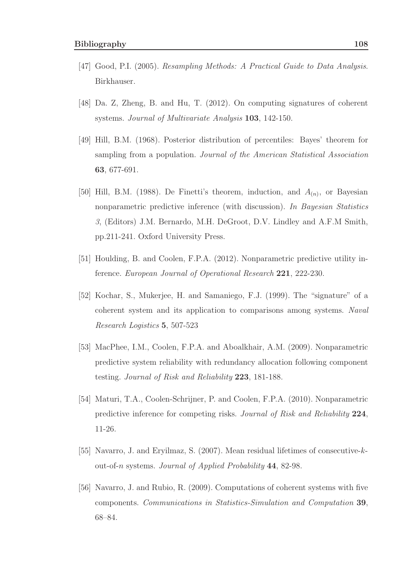- [47] Good, P.I. (2005). Resampling Methods: A Practical Guide to Data Analysis. Birkhauser.
- [48] Da. Z, Zheng, B. and Hu, T. (2012). On computing signatures of coherent systems. Journal of Multivariate Analysis 103, 142-150.
- [49] Hill, B.M. (1968). Posterior distribution of percentiles: Bayes' theorem for sampling from a population. Journal of the American Statistical Association 63, 677-691.
- [50] Hill, B.M. (1988). De Finetti's theorem, induction, and  $A_{(n)}$ , or Bayesian nonparametric predictive inference (with discussion). In Bayesian Statistics 3, (Editors) J.M. Bernardo, M.H. DeGroot, D.V. Lindley and A.F.M Smith, pp.211-241. Oxford University Press.
- [51] Houlding, B. and Coolen, F.P.A. (2012). Nonparametric predictive utility inference. European Journal of Operational Research 221, 222-230.
- [52] Kochar, S., Mukerjee, H. and Samaniego, F.J. (1999). The "signature" of a coherent system and its application to comparisons among systems. Naval Research Logistics 5, 507-523
- [53] MacPhee, I.M., Coolen, F.P.A. and Aboalkhair, A.M. (2009). Nonparametric predictive system reliability with redundancy allocation following component testing. Journal of Risk and Reliability 223, 181-188.
- [54] Maturi, T.A., Coolen-Schrijner, P. and Coolen, F.P.A. (2010). Nonparametric predictive inference for competing risks. Journal of Risk and Reliability 224, 11-26.
- [55] Navarro, J. and Eryilmaz, S. (2007). Mean residual lifetimes of consecutive-kout-of-n systems. Journal of Applied Probability 44, 82-98.
- [56] Navarro, J. and Rubio, R. (2009). Computations of coherent systems with five components. Communications in Statistics-Simulation and Computation 39, 68–84.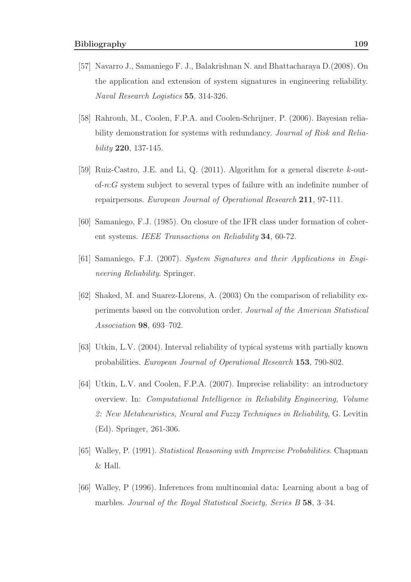- [57] Navarro J., Samaniego F. J., Balakrishnan N. and Bhattacharaya D.(2008). On the application and extension of system signatures in engineering reliability. Naval Research Logistics 55, 314-326.
- [58] Rahrouh, M., Coolen, F.P.A. and Coolen-Schrijner, P. (2006). Bayesian reliability demonstration for systems with redundancy. Journal of Risk and Reliability 220, 137-145.
- [59] Ruiz-Castro, J.E. and Li, Q. (2011). Algorithm for a general discrete k-outof-n:G system subject to several types of failure with an indefinite number of repairpersons. European Journal of Operational Research 211, 97-111.
- [60] Samaniego, F.J. (1985). On closure of the IFR class under formation of coherent systems. IEEE Transactions on Reliability 34, 60-72.
- [61] Samaniego, F.J. (2007). System Signatures and their Applications in Engineering Reliability. Springer.
- [62] Shaked, M. and Suarez-Llorens, A. (2003) On the comparison of reliability experiments based on the convolution order. Journal of the American Statistical Association 98, 693–702.
- [63] Utkin, L.V. (2004). Interval reliability of typical systems with partially known probabilities. European Journal of Operational Research 153, 790-802.
- [64] Utkin, L.V. and Coolen, F.P.A. (2007). Imprecise reliability: an introductory overview. In: Computational Intelligence in Reliability Engineering, Volume 2: New Metaheuristics, Neural and Fuzzy Techniques in Reliability, G. Levitin (Ed). Springer, 261-306.
- [65] Walley, P. (1991). Statistical Reasoning with Imprecise Probabilities. Chapman & Hall.
- [66] Walley, P (1996). Inferences from multinomial data: Learning about a bag of marbles. Journal of the Royal Statistical Society, Series B 58, 3-34.